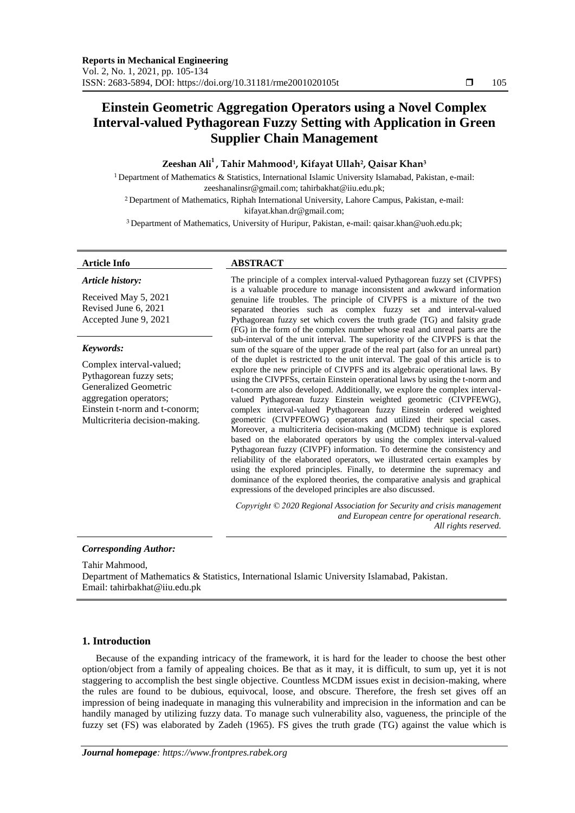# **Einstein Geometric Aggregation Operators using a Novel Complex Interval-valued Pythagorean Fuzzy Setting with Application in Green Supplier Chain Management**

## **Zeeshan Ali<sup>1</sup> , Tahir Mahmood<sup>1</sup> , Kifayat Ullah<sup>2</sup> , Qaisar Khan<sup>3</sup>**

<sup>1</sup>Department of Mathematics & Statistics, International Islamic University Islamabad, Pakistan, e-mail: [zeeshanalinsr@gmail.com;](mailto:zeeshanalinsr@gmail.com) [tahirbakhat@iiu.edu.pk;](mailto:tahirbakhat@iiu.edu.pk) <sup>2</sup> Department of Mathematics, Riphah International University, Lahore Campus, Pakistan, e-mail:

[kifayat.khan.dr@gmail.com;](mailto:kifayat.khan.dr@gmail.com)

<sup>3</sup> Department of Mathematics, University of Huripur, Pakistan, e-mail: [qaisar.khan@uoh.edu.pk;](mailto:qaisar.khan@uoh.edu.pk)

#### *Article history:*

Received May 5, 2021 Revised June 6, 2021 Accepted June 9, 2021

## *Keywords:*

Complex interval-valued; Pythagorean fuzzy sets; Generalized Geometric aggregation operators; Einstein t-norm and t-conorm; Multicriteria decision-making.

## **Article Info ABSTRACT**

The principle of a complex interval-valued Pythagorean fuzzy set (CIVPFS) is a valuable procedure to manage inconsistent and awkward information genuine life troubles. The principle of CIVPFS is a mixture of the two separated theories such as complex fuzzy set and interval-valued Pythagorean fuzzy set which covers the truth grade (TG) and falsity grade (FG) in the form of the complex number whose real and unreal parts are the sub-interval of the unit interval. The superiority of the CIVPFS is that the sum of the square of the upper grade of the real part (also for an unreal part) of the duplet is restricted to the unit interval. The goal of this article is to explore the new principle of CIVPFS and its algebraic operational laws. By using the CIVPFSs, certain Einstein operational laws by using the t-norm and t-conorm are also developed. Additionally, we explore the complex intervalvalued Pythagorean fuzzy Einstein weighted geometric (CIVPFEWG), complex interval-valued Pythagorean fuzzy Einstein ordered weighted geometric (CIVPFEOWG) operators and utilized their special cases. Moreover, a multicriteria decision-making (MCDM) technique is explored based on the elaborated operators by using the complex interval-valued Pythagorean fuzzy (CIVPF) information. To determine the consistency and reliability of the elaborated operators, we illustrated certain examples by using the explored principles. Finally, to determine the supremacy and dominance of the explored theories, the comparative analysis and graphical expressions of the developed principles are also discussed.

*Copyright © 2020 Regional Association for Security and crisis management and European centre for operational research. All rights reserved.*

### *Corresponding Author:*

Tahir Mahmood, Department of Mathematics & Statistics, International Islamic University Islamabad, Pakistan. Email: [tahirbakhat@iiu.edu.pk](mailto:tahirbakhat@iiu.edu.pk)

## **1. Introduction**

Because of the expanding intricacy of the framework, it is hard for the leader to choose the best other option/object from a family of appealing choices. Be that as it may, it is difficult, to sum up, yet it is not staggering to accomplish the best single objective. Countless MCDM issues exist in decision-making, where the rules are found to be dubious, equivocal, loose, and obscure. Therefore, the fresh set gives off an impression of being inadequate in managing this vulnerability and imprecision in the information and can be handily managed by utilizing fuzzy data. To manage such vulnerability also, vagueness, the principle of the fuzzy set (FS) was elaborated by Zadeh (1965). FS gives the truth grade (TG) against the value which is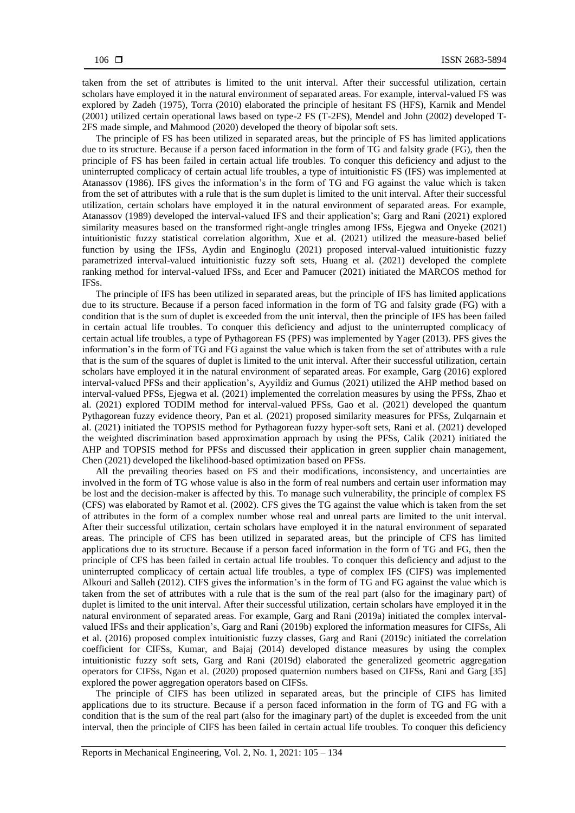taken from the set of attributes is limited to the unit interval. After their successful utilization, certain scholars have employed it in the natural environment of separated areas. For example, interval-valued FS was explored by Zadeh (1975), Torra (2010) elaborated the principle of hesitant FS (HFS), Karnik and Mendel (2001) utilized certain operational laws based on type-2 FS (T-2FS), Mendel and John (2002) developed T-2FS made simple, and Mahmood (2020) developed the theory of bipolar soft sets.

The principle of FS has been utilized in separated areas, but the principle of FS has limited applications due to its structure. Because if a person faced information in the form of TG and falsity grade (FG), then the principle of FS has been failed in certain actual life troubles. To conquer this deficiency and adjust to the uninterrupted complicacy of certain actual life troubles, a type of intuitionistic FS (IFS) was implemented at Atanassov (1986). IFS gives the information's in the form of TG and FG against the value which is taken from the set of attributes with a rule that is the sum duplet is limited to the unit interval. After their successful utilization, certain scholars have employed it in the natural environment of separated areas. For example, Atanassov (1989) developed the interval-valued IFS and their application's; Garg and Rani (2021) explored similarity measures based on the transformed right-angle tringles among IFSs, Ejegwa and Onyeke (2021) intuitionistic fuzzy statistical correlation algorithm, Xue et al. (2021) utilized the measure-based belief function by using the IFSs, Aydin and Enginoglu (2021) proposed interval-valued intuitionistic fuzzy parametrized interval-valued intuitionistic fuzzy soft sets, Huang et al. (2021) developed the complete ranking method for interval-valued IFSs, and Ecer and Pamucer (2021) initiated the MARCOS method for **IFSs**.

The principle of IFS has been utilized in separated areas, but the principle of IFS has limited applications due to its structure. Because if a person faced information in the form of TG and falsity grade (FG) with a condition that is the sum of duplet is exceeded from the unit interval, then the principle of IFS has been failed in certain actual life troubles. To conquer this deficiency and adjust to the uninterrupted complicacy of certain actual life troubles, a type of Pythagorean FS (PFS) was implemented by Yager (2013). PFS gives the information's in the form of TG and FG against the value which is taken from the set of attributes with a rule that is the sum of the squares of duplet is limited to the unit interval. After their successful utilization, certain scholars have employed it in the natural environment of separated areas. For example, Garg (2016) explored interval-valued PFSs and their application's, Ayyildiz and Gumus (2021) utilized the AHP method based on interval-valued PFSs, Ejegwa et al. (2021) implemented the correlation measures by using the PFSs, Zhao et al. (2021) explored TODIM method for interval-valued PFSs, Gao et al. (2021) developed the quantum Pythagorean fuzzy evidence theory, Pan et al. (2021) proposed similarity measures for PFSs, Zulqarnain et al. (2021) initiated the TOPSIS method for Pythagorean fuzzy hyper-soft sets, Rani et al. (2021) developed the weighted discrimination based approximation approach by using the PFSs, Calik (2021) initiated the AHP and TOPSIS method for PFSs and discussed their application in green supplier chain management, Chen (2021) developed the likelihood-based optimization based on PFSs.

All the prevailing theories based on FS and their modifications, inconsistency, and uncertainties are involved in the form of TG whose value is also in the form of real numbers and certain user information may be lost and the decision-maker is affected by this. To manage such vulnerability, the principle of complex FS (CFS) was elaborated by Ramot et al. (2002). CFS gives the TG against the value which is taken from the set of attributes in the form of a complex number whose real and unreal parts are limited to the unit interval. After their successful utilization, certain scholars have employed it in the natural environment of separated areas. The principle of CFS has been utilized in separated areas, but the principle of CFS has limited applications due to its structure. Because if a person faced information in the form of TG and FG, then the principle of CFS has been failed in certain actual life troubles. To conquer this deficiency and adjust to the uninterrupted complicacy of certain actual life troubles, a type of complex IFS (CIFS) was implemented Alkouri and Salleh (2012). CIFS gives the information's in the form of TG and FG against the value which is taken from the set of attributes with a rule that is the sum of the real part (also for the imaginary part) of duplet is limited to the unit interval. After their successful utilization, certain scholars have employed it in the natural environment of separated areas. For example, Garg and Rani (2019a) initiated the complex intervalvalued IFSs and their application's, Garg and Rani (2019b) explored the information measures for CIFSs, Ali et al. (2016) proposed complex intuitionistic fuzzy classes, Garg and Rani (2019c) initiated the correlation coefficient for CIFSs, Kumar, and Bajaj (2014) developed distance measures by using the complex intuitionistic fuzzy soft sets, Garg and Rani (2019d) elaborated the generalized geometric aggregation operators for CIFSs, Ngan et al. (2020) proposed quaternion numbers based on CIFSs, Rani and Garg [35] explored the power aggregation operators based on CIFSs.

The principle of CIFS has been utilized in separated areas, but the principle of CIFS has limited applications due to its structure. Because if a person faced information in the form of TG and FG with a condition that is the sum of the real part (also for the imaginary part) of the duplet is exceeded from the unit interval, then the principle of CIFS has been failed in certain actual life troubles. To conquer this deficiency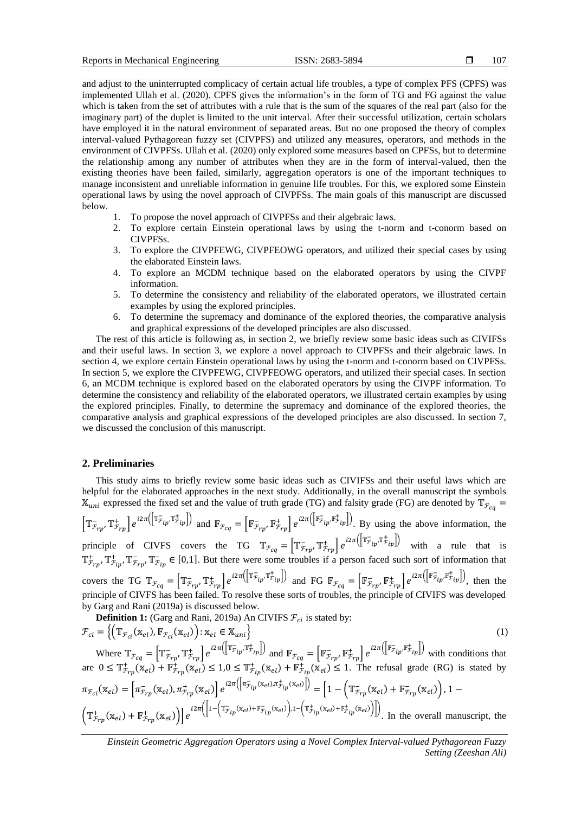and adjust to the uninterrupted complicacy of certain actual life troubles, a type of complex PFS (CPFS) was implemented Ullah et al. (2020). CPFS gives the information's in the form of TG and FG against the value which is taken from the set of attributes with a rule that is the sum of the squares of the real part (also for the imaginary part) of the duplet is limited to the unit interval. After their successful utilization, certain scholars have employed it in the natural environment of separated areas. But no one proposed the theory of complex interval-valued Pythagorean fuzzy set (CIVPFS) and utilized any measures, operators, and methods in the environment of CIVPFSs. Ullah et al. (2020) only explored some measures based on CPFSs, but to determine the relationship among any number of attributes when they are in the form of interval-valued, then the existing theories have been failed, similarly, aggregation operators is one of the important techniques to manage inconsistent and unreliable information in genuine life troubles. For this, we explored some Einstein operational laws by using the novel approach of CIVPFSs. The main goals of this manuscript are discussed below.

- 1. To propose the novel approach of CIVPFSs and their algebraic laws.
- 2. To explore certain Einstein operational laws by using the t-norm and t-conorm based on CIVPFSs.
- 3. To explore the CIVPFEWG, CIVPFEOWG operators, and utilized their special cases by using the elaborated Einstein laws.
- 4. To explore an MCDM technique based on the elaborated operators by using the CIVPF information.
- 5. To determine the consistency and reliability of the elaborated operators, we illustrated certain examples by using the explored principles.
- 6. To determine the supremacy and dominance of the explored theories, the comparative analysis and graphical expressions of the developed principles are also discussed.

The rest of this article is following as, in section 2, we briefly review some basic ideas such as CIVIFSs and their useful laws. In section 3, we explore a novel approach to CIVPFSs and their algebraic laws. In section 4, we explore certain Einstein operational laws by using the t-norm and t-conorm based on CIVPFSs. In section 5, we explore the CIVPFEWG, CIVPFEOWG operators, and utilized their special cases. In section 6, an MCDM technique is explored based on the elaborated operators by using the CIVPF information. To determine the consistency and reliability of the elaborated operators, we illustrated certain examples by using the explored principles. Finally, to determine the supremacy and dominance of the explored theories, the comparative analysis and graphical expressions of the developed principles are also discussed. In section 7, we discussed the conclusion of this manuscript.

#### **2. Preliminaries**

This study aims to briefly review some basic ideas such as CIVIFSs and their useful laws which are helpful for the elaborated approaches in the next study. Additionally, in the overall manuscript the symbols  $\mathbb{X}_{uni}$  expressed the fixed set and the value of truth grade (TG) and falsity grade (FG) are denoted by  $\mathbb{T}_{\mathcal{F}_{ca}}$  =  $\left[\mathbb{T}_{\bar{\mathcal{F}}_{rp}}, \mathbb{T}_{\bar{\mathcal{F}}_{rp}}^+\right]e^{i2\pi(\left[\mathbb{T}_{\bar{\mathcal{F}}_{tp}}, \mathbb{T}_{\bar{\mathcal{F}}_{rp}}^+\right])}\right]$  and  $\mathbb{F}_{\bar{\mathcal{F}}_{cq}} = \left[\mathbb{F}_{\bar{\mathcal{F}}_{rp}}, \mathbb{F}_{\bar{\mathcal{F}}_{rp}}^+\right]e^{i2\pi(\left[\mathbb{F}_{\bar{\mathcal{F}}_{tp}}, \mathbb{F}_{\bar{\mathcal{F}}_{tp}}^+\right])}\right]$ . By using the above principle of CIVFS covers the TG  $\mathbb{T}_{\mathcal{F}_{cq}} = \left[\mathbb{T}_{\mathcal{F}_{rp}}^-, \mathbb{T}_{\mathcal{F}_{rp}}^+\right] e^{i2\pi \left(\left[\mathbb{T}_{\mathcal{F}_{ip}}^-, \mathbb{T}_{\mathcal{F}_{ip}}^+\right]\right)}$  with a rule that is  $\mathbb{T}^+_{\mathcal{F}_{rp}}$ ,  $\mathbb{T}^+_{\mathcal{F}_{rp}}$ ,  $\mathbb{T}^-_{\mathcal{F}_{ip}} \in [0,1]$ . But there were some troubles if a person faced such sort of information that covers the TG  $\mathbb{T}_{\mathcal{F}_{cq}} = \left[ \mathbb{T}_{\mathcal{F}_{rp}}^-, \mathbb{T}_{\mathcal{F}_{rp}}^+ \right] e^{i2\pi \left( \left[ \mathbb{T}_{\mathcal{F}_{ip}}^-, \mathbb{T}_{\mathcal{F}_{ip}}^+ \right] \right)}$  and FG  $\mathbb{F}_{\mathcal{F}_{cq}} = \left[ \mathbb{F}_{\mathcal{F}_{rp}}^-, \mathbb{F}_{\mathcal{F}_{rp}}^+ \right] e^{i2\pi \left( \left[ \mathbb{F}_{\mathcal{F}_{ip}}^-, \mathbb{F}_{\mathcal{F}_{ip}}^+ \$ principle of CIVFS has been failed. To resolve these sorts of troubles, the principle of CIVIFS was developed by Garg and Rani (2019a) is discussed below.<br> **Definition 1:**  $(G_{\text{max}} + 1)$  is defined as  $\frac{1}{2}$  and  $\frac{1}{2}$  and  $\frac{1}{2}$  and  $\frac{1}{2}$  and  $\frac{1}{2}$  and  $\frac{1}{2}$  and  $\frac{1}{2}$  and  $\frac{1}{2}$  and  $\frac{1}{2}$  and  $\frac{1$ 

**Definition 1:** (Garg and Rani, 2019a) An CIVIFS 
$$
\mathcal{F}_{ci}
$$
 is stated by:  
\n
$$
\mathcal{F}_{ci} = \left\{ \left( \mathbb{T}_{\mathcal{F}_{ci}}(\mathbf{x}_{el}), \mathbb{F}_{\mathcal{F}_{ci}}(\mathbf{x}_{el}) \right) : \mathbf{x}_{el} \in \mathbf{X}_{uni} \right\}
$$
\nwhere  $\mathbb{T}_{\mathcal{F}_{cq}} = \left[ \mathbb{T}_{\mathcal{F}_{rp}}, \mathbb{T}_{\mathcal{F}_{rp}}^{\pm} \right] e^{i2\pi \left( \left[ \mathbb{T}_{\mathcal{F}_{ip}}, \mathbb{T}_{\mathcal{F}_{ip}}^{\pm} \right] \right)}$  and  $\mathbb{F}_{\mathcal{F}_{cq}} = \left[ \mathbb{F}_{\mathcal{F}_{rp}}, \mathbb{F}_{\mathcal{F}_{rp}}^{\pm} \right] e^{i2\pi \left( \left[ \mathbb{F}_{\mathcal{F}_{ip}}, \mathbb{F}_{\mathcal{F}_{ip}}^{\pm} \right] \right)}$  with conditions that are  $0 \leq \mathbb{T}_{\mathcal{F}_{rp}}^{\pm}(\mathbf{x}_{el}) + \mathbb{F}_{\mathcal{F}_{rp}}^{\pm}(\mathbf{x}_{el}) \leq 1, 0 \leq \mathbb{T}_{\mathcal{F}_{ip}}^{\pm}(\mathbf{x}_{el}) + \mathbb{F}_{\mathcal{F}_{ip}}^{\pm}(\mathbf{x}_{el}) \leq 1$ . The refusal grade (RG) is stated by  $\pi_{\mathcal{F}_{ci}}(\mathbf{x}_{el}) = \left[ \pi_{\mathcal{F}_{rp}}(\mathbf{x}_{el}), \pi_{\mathcal{F}_{rp}}^{\pm}(\mathbf{x}_{el}) \right] e^{i2\pi \left( \left[ \pi_{\mathcal{F}_{ip}}^{\pm}(\mathbf{x}_{el}), \pi_{\mathcal{F}_{ip}}^{\pm}(\mathbf{x}_{el}) \right] \right)} = \left[ 1 - \left( \mathbb{T}_{\mathcal{F}_{rp}}^{\pm}(\mathbf{x}_{el}) + \mathbb{F}_{\mathcal{F}_{rp}}^{\pm}(\mathbf{x}_{el}) \right), 1 - \left( \mathbb{T}_{\mathcal{F}_{rp}}^{\pm}(\mathbf{x}_{el}) + \mathbb{F}_{\mathcal{F}_{rp}}^{\pm}(\mathbf{x}_{el}) \right) \right]$ \n
$$
\left. \left( \mathbb{T}_{\mathcal{F}_{
$$

*Einstein Geometric Aggregation Operators using a Novel Complex Interval-valued Pythagorean Fuzzy Setting (Zeeshan Ali)*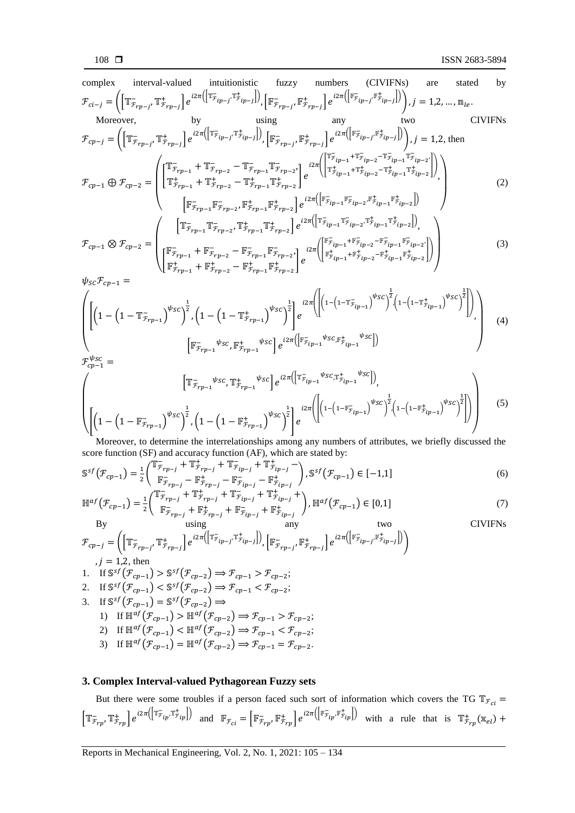complex interval-valued intuitionistic fuzzy numbers (CIVIFNs) are stated by  
\n
$$
\mathcal{F}_{ci-j} = \left( \left[ \mathbb{TT}_{\bar{r}_{rp-j}} \mathbb{TT}_{\bar{r}_{rp-j}} \right] e^{i2\pi \left( \left[ \mathbb{FT}_{\bar{r}_{lp-j}} \mathbb{FT}_{\bar{r}_{lp-j}} \right] } \right] \left[ \mathbb{FT}_{\bar{r}_{rp-j}} \mathbb{FT}_{\bar{r}_{rp-j}} \right] e^{i2\pi \left( \left[ \mathbb{FT}_{\bar{r}_{lp-j}} \mathbb{FT}_{\bar{r}_{lp-j}} \right] } \right) \right), j = 1, 2, ..., \mathbb{m}_{le}.
$$
\nMoreover, by using any two CIVIFNs  
\n
$$
\mathcal{F}_{cp-j} = \left( \left[ \mathbb{TT}_{\bar{r}_{rp-j}} \mathbb{TT}_{\bar{r}_{rp-j}} \right] e^{i2\pi \left( \left[ \mathbb{FT}_{\bar{r}_{jp-j}} \mathbb{FT}_{\bar{r}_{rp-j}} \right] } \right) e^{i2\pi \left( \left[ \mathbb{FT}_{\bar{r}_{ip-j}} \mathbb{FT}_{\bar{r}_{ip-j}} \right] } \right) \right), j = 1, 2, \text{ then}
$$
\n
$$
\mathcal{F}_{cp-j} = \left( \left[ \mathbb{TT}_{\bar{r}_{rp-1}} \mathbb{TT}_{\bar{r}_{rp-2}} \mathbb{TT}_{\bar{r}_{rp-1}} \mathbb{TT}_{\bar{r}_{rp-2}} \right] e^{i2\pi \left( \left[ \mathbb{FT}_{\bar{r}_{jp-1}} \mathbb{FT}_{\bar{r}_{jp-2}} \mathbb{TT}_{\bar{r}_{jp-1}} \mathbb{TT}_{\bar{r}_{lp-2}} \right] } \right) \right)
$$
\n
$$
\mathcal{F}_{cp-1} \bigoplus \mathcal{F}_{cp-2} = \left( \left[ \mathbb{TT}_{\bar{r}_{rp-1}} \mathbb{TT}_{\bar{r}_{rp-2}} \mathbb{TT}_{\bar{r}_{rp-1}} \mathbb{TT}_{\bar{r}_{rp-2}} \right] e^{i2\pi \left( \left[ \mathbb{FT}_{\bar{r}_{ip-1}} \mathbb{FT}_{\bar{r}_{ip-2}} \mathbb{FT}_{\bar{r}_{ip-2}} \right] } \right) \right)
$$
\n
$$
\mathcal{F}_{cp-1} \bigotimes \mathcal{F}_{
$$

score function (SF) and accuracy function (AF), which are stated by:

$$
\mathbb{S}^{sf}(\mathcal{F}_{cp-1}) = \frac{1}{2} \begin{pmatrix} \mathbb{T}_{\mathcal{F}_{rp-j}} + \mathbb{T}_{\mathcal{F}_{rp-j}} + \mathbb{T}_{\mathcal{F}_{ip-j}} + \mathbb{T}_{\mathcal{F}_{ip-j}}^+ - \\ \mathbb{F}_{\mathcal{F}_{rp-j}} - \mathbb{F}_{\mathcal{F}_{rp-j}}^+ - \mathbb{F}_{\mathcal{F}_{ip-j}}^- - \mathbb{F}_{\mathcal{F}_{ip-j}}^+ - \mathbb{F}_{\mathcal{F}_{ip-j}}^+ \end{pmatrix}, \mathbb{S}^{sf}(\mathcal{F}_{cp-1}) \in [-1, 1]
$$
(6)

$$
\mathbb{H}^{af}(\mathcal{F}_{cp-1}) = \frac{1}{2} \begin{pmatrix} \mathbb{T}_{\mathcal{F}_{rp-j}}^+ + \mathbb{T}_{\mathcal{F}_{rp-j}}^+ + \mathbb{T}_{\mathcal{F}_{ip-j}}^- + \mathbb{T}_{\mathcal{F}_{ip-j}}^+ + \mathbb{T}_{\mathcal{F}_{ip-j}}^+ \\ \mathbb{F}_{\mathcal{F}_{rp-j}}^- + \mathbb{F}_{\mathcal{F}_{rp-j}}^+ + \mathbb{F}_{\mathcal{F}_{ip-j}}^- + \mathbb{F}_{\mathcal{F}_{ip-j}}^+ \end{pmatrix}, \mathbb{H}^{af}(\mathcal{F}_{cp-1}) \in [0,1]
$$
\n(7)

By using any two  
\n
$$
\mathcal{F}_{cp-j} = \left( \left[ \mathbb{T}_{\mathcal{F}_{rp-j}} \mathbb{T}_{\mathcal{F}_{rp-j}}^+ \right] e^{i2\pi \left( \left[ \mathbb{T}_{\mathcal{F}_{ip-j}} \mathbb{T}_{\mathcal{F}_{ip-j}}^+ \right] \right)}, \left[ \mathbb{F}_{\mathcal{F}_{rp-j}} \mathbb{F}_{\mathcal{F}_{rp-j}}^+ \right] e^{i2\pi \left( \left[ \mathbb{F}_{\mathcal{F}_{ip-j}} \mathbb{F}_{\mathcal{F}_{ip-j}}^+ \right] \right)} \right)
$$
\n
$$
j = 1, 2, \text{ then}
$$

$$
j = 1,2, \text{ then}
$$
  
1. If  $\mathbb{S}^{sf}(\mathcal{F}_{cp-1}) > \mathbb{S}^{sf}(\mathcal{F}_{cp-2}) \Rightarrow \mathcal{F}_{cp-1} > \mathcal{F}_{cp-2};$ 

2. If 
$$
\mathbb{S}^{sf}(F_{cp-1}) < \mathbb{S}^{sf}(F_{cp-2}) \Rightarrow F_{cp-1} < F_{cp-2}
$$

3. If 
$$
\mathbb{S}^{sf}(F_{cp-1}) = \mathbb{S}^{sf}(F_{cp-2}) \Rightarrow
$$
  
1) If  $\mathbb{H}^{sf}(F) > \mathbb{H}^{sf}(F) \Rightarrow$ 

1) If 
$$
\mathbb{H}^{af}(\mathcal{F}_{cp-1}) > \mathbb{H}^{af}(\mathcal{F}_{cp-2}) \Rightarrow \mathcal{F}_{cp-1} > \mathcal{F}_{cp-2};
$$
  
2) If  $\mathbb{H}^{af}(\mathcal{F}_{cp-1}) > \mathbb{H}^{af}(\mathcal{F}_{cp-2}) \Rightarrow \mathcal{F}_{cp-1} > \mathcal{F}_{cp-2};$ 

2) If 
$$
\mathbb{H}^{af}(\mathcal{F}_{cp-1}) < \mathbb{H}^{af}(\mathcal{F}_{cp-2}) \Rightarrow \mathcal{F}_{cp-1} < \mathcal{F}_{cp-2}
$$

3) If 
$$
\mathbb{H}^{af}(\mathcal{F}_{cp-1}) = \mathbb{H}^{af}(\mathcal{F}_{cp-2}) \Rightarrow \mathcal{F}_{cp-1} = \mathcal{F}_{cp-2}
$$
.

## **3. Complex Interval-valued Pythagorean Fuzzy sets**

But there were some troubles if a person faced such sort of information which covers the TG  $\mathbb{T}_{\mathcal{F}_{c_i}} =$  $\left[\mathbb{T}_{\overline{\mathcal{F}}_{rp}}, \mathbb{T}_{\overline{\mathcal{F}}_{rp}}^+\right]e^{i2\pi\left(\left[\mathbb{T}_{\overline{\mathcal{F}}_{ip}}, \mathbb{T}_{\overline{\mathcal{F}}_{rp}}^+\right]\right)}$  and  $\mathbb{F}_{\mathcal{F}_{ci}} = \left[\mathbb{F}_{\overline{\mathcal{F}}_{rp}}, \mathbb{F}_{\overline{\mathcal{F}}_{rp}}^+\right]e^{i2\pi\left(\left[\mathbb{F}_{\overline{\mathcal{F}}_{ip}}, \mathbb{F}_{\overline{\mathcal{F}}_{ip}}^+\right]\right)}$  with a rule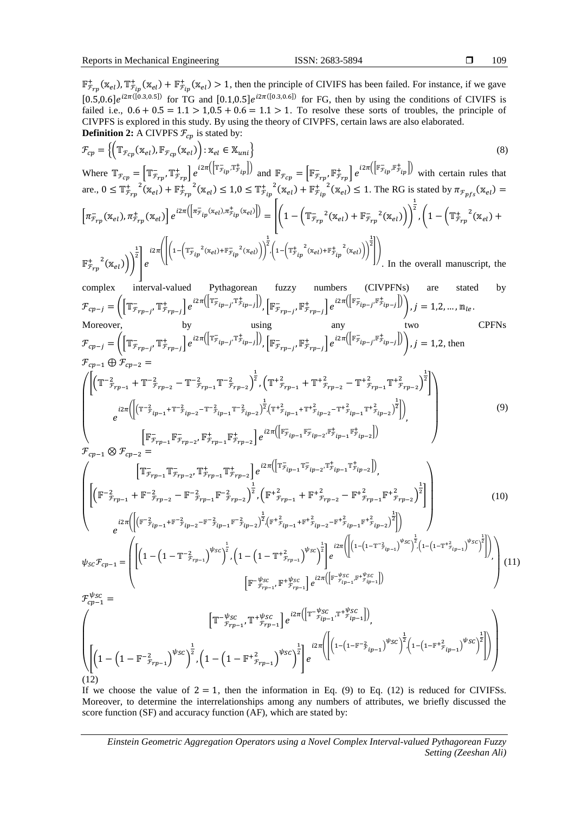109

 $\mathbb{F}_{r_{rp}}^+(x_{el}), \mathbb{T}_{r_{ip}}^+(x_{el}) + \mathbb{F}_{r_{ip}}^+(x_{el}) > 1$ , then the principle of CIVIFS has been failed. For instance, if we gave  $[0.5, 0.6]e^{i2\pi([0.3, 0.5])}$  for TG and  $[0.1, 0.5]e^{i2\pi([0.3, 0.6])}$  for FG, then by using the conditions of CIVIFS is failed i.e.,  $0.6 + 0.5 = 1.1 > 1, 0.5 + 0.6 = 1.1 > 1$ . To resolve these sorts of troubles, the principle of CIVPFS is explored in this study. By using the theory of CIVPFS, certain laws are also elaborated. **Definition 2:** A CIVPFS  $\mathcal{F}_{cp}$  is stated by:

$$
\mathcal{F}_{cp} = \left\{ \left( \mathbb{T}_{\mathcal{F}_{cp}}(\mathbf{x}_{el}), \mathbb{F}_{\mathcal{F}_{cp}}(\mathbf{x}_{el}) \right) : \mathbf{x}_{el} \in \mathbf{X}_{uni} \right\}
$$
\n
$$
(8)
$$

Where  $\mathbb{T}_{\mathcal{F}_{cp}} = \left[ \mathbb{T}_{\mathcal{F}_{rp}}^-, \mathbb{T}_{\mathcal{F}_{rp}}^+ \right] e^{i2\pi \left( \left[ \mathbb{T}_{\mathcal{F}_{ip}}^-, \mathbb{T}_{\mathcal{F}_{ip}}^+ \right] \right)}$  and  $\mathbb{F}_{\mathcal{F}_{cp}} = \left[ \mathbb{F}_{\mathcal{F}_{rp}}^-, \mathbb{F}_{\mathcal{F}_{rp}}^+ \right] e^{i2\pi \left( \left[ \mathbb{F}_{\mathcal{F}_{ip}}^-, \mathbb{F}_{\mathcal{F}_{ip}}^+ \right] \right)}$  with are.,  $0 \leq T_{\mathcal{F}_{rp}}^{\dagger}^2(\mathbf{x}_{el}) + \mathbf{F}_{\mathcal{F}_{rp}}^{\dagger}^2(\mathbf{x}_{el}) \leq 1.0 \leq T_{\mathcal{F}_{ip}}^{\dagger}^2(\mathbf{x}_{el}) + \mathbf{F}_{\mathcal{F}_{ip}}^{\dagger}^2(\mathbf{x}_{el}) \leq 1$ . The RG is stated by  $\pi_{\mathcal{F}_{pfs}}(\mathbf{x}_{el}) =$  $\left[\pi^-_{\mathcal{F}_{rp}}(\mathbb{X}_{el}), \pi^+_{\mathcal{F}_{rp}}(\mathbb{X}_{el})\right]e^{i2\pi\left(\left[\pi^-_{\mathcal{F}_{ip}}(\mathbb{X}_{el}), \pi^+_{\mathcal{F}_{ip}}(\mathbb{X}_{el})\right]\right)} = \left|\left(1-\left(\mathbb{T}^-_{\mathcal{F}_{rp}}^2(\mathbb{X}_{el})+\mathbb{F}^-_{\mathcal{F}_{rp}}^2(\mathbb{X}_{el})\right)\right)\right|$  $\frac{1}{2}$ ,  $\left(1 - \left(\mathbb{T}_{\mathcal{F}_{rp}}^+{}^2(\mathbb{X}_{el}) + \right.\right)$  $\pm$  2  $\frac{1}{2}$   $i2\pi$   $\left( \left( 1 - \left( \mathbb{T}_{\mathcal{F}_{ip}}^2 (x_{el}) + \mathbb{F}_{\mathcal{F}_{ip}}^2 (x_{el}) \right) \right) \right)$  $\frac{1}{2}$ ,  $\left(1-\left(\mathbb{T}_{\mathcal{F}_{ip}}^{+}}^{2}\left(\mathbb{x}_{el}\right)+\mathbb{F}_{\mathcal{F}_{ip}}^{+}}^{2}\left(\mathbb{x}_{el}\right)\right)\right)$  $\frac{1}{2}$ 

$$
\mathbb{F}_{\mathcal{F}_{rp}}^{+}(x_{el})) \bigg) \bigg] e^{-\lambda 1}
$$
 In the overall manuscript, the

complex interval-valued Pythagorean fuzzy numbers (CIVPFNs) are stated by  $\mathcal{F}_{cp-j} = \left( \left[ \mathbb{T}^-_{\mathcal{F}_{rp-j}}, \mathbb{T}^+_{\mathcal{F}_{rp-j}} \right] e^{i 2 \pi \left( \left[ \mathbb{T}^-_{\mathcal{F}_{ip-j}}, \mathbb{T}^+_{\mathcal{F}_{ip-j}} \right] \right)}, \left[ \mathbb{F}^-_{\mathcal{F}_{rp-j}}, \mathbb{F}^+_{\mathcal{F}_{rp-j}} \right] e^{i 2 \pi \left( \left[ \mathbb{F}^-_{\mathcal{F}_{ip-j}}, \mathbb{F}^+_{\mathcal{F}_{ip-j}} \right] \right)} \right), j = 1, 2, ..., m_{le}$ Moreover, by using any two CPFNs

$$
\mathcal{F}_{cp-j} = \left( \left[ \mathbb{T}_{\mathcal{F}_{rp-j}}^-, \mathbb{T}_{\mathcal{F}_{rp-j}}^+ \right] e^{i2\pi \left( \left[ \mathbb{T}_{\mathcal{F}_{ip-j}}^-, \mathbb{T}_{\mathcal{F}_{ip-j}}^+ \right] \right)}, \left[ \mathbb{F}_{\mathcal{F}_{rp-j}}^-, \mathbb{F}_{\mathcal{F}_{rp-j}}^+ \right] e^{i2\pi \left( \left[ \mathbb{F}_{\mathcal{F}_{ip-j}}^-, \mathbb{F}_{\mathcal{F}_{ip-j}}^+ \right] \right)} \right), j = 1, 2, \text{ then}
$$
\n
$$
\mathcal{F}_{cp-1} \oplus \mathcal{F}_{cp-2} =
$$
\n
$$
\left( \left[ \left( \mathbb{T}_{\mathcal{F}_{rp-1}}^-, \mathbb{T}_{\mathcal{F}_{rp-2}}^-, \mathbb{T}_{\mathcal{F}_{rp-1}}^-, \mathbb{T}_{\mathcal{F}_{rp-2}}^-, \right) \right] \right), \left[ \mathbb{F}_{\mathcal{F}_{rp-j}}^-, \mathbb{F}_{\mathcal{F}_{rp-j}}^+ \right] e^{i2\pi \left( \left[ \mathbb{F}_{\mathcal{F}_{ip-j}}^-, \mathbb{F}_{\mathcal{F}_{ip-j}}^+ \right] \right)} \right)
$$
\n
$$
\left( \left[ \left( \mathbb{T}_{\mathcal{F}_{rp-1}}^-, \mathbb{T}_{\mathcal{F}_{rp-2}}^-, \mathbb{T}_{\mathcal{F}_{rp-1}}^-, \mathbb{T}_{\mathcal{F}_{rp-2}}^-, \right) \right] \right)
$$
\n
$$
\left( \left( \mathbb{F}_{\mathcal{F}_{rp-1}}^-, \mathbb{F}_{\mathcal{F}_{rp-2}}^+ \right) \right)
$$
\n
$$
\left( \left( \mathbb{F}_{\mathcal{F}_{rp-1}}^-, \mathbb{F}_{\mathcal{F}_{rp-2}}^+ \right) \right)
$$
\n
$$
\left( \left( \mathbb{F}_{\mathcal{F}_{rp-1}}^-, \mathbb{F}_{\mathcal{F}_{rp-2}}^+ \right) \right)
$$
\n
$$
\left( \left( \mathbb{F}_{\mathcal{F}_{rp-1}}^-, \mathbb{F}_{\mathcal{F}_{rp-2}}^+ \right) \right)
$$
\n
$$
\left(
$$

$$
\begin{bmatrix}\n e^{i2\pi \left( \left| \left( \mathbb{T}^{-2} \tilde{f}_{ip-1} + \mathbb{T}^{-2} \tilde{f}_{ip-2} - \mathbb{T}^{-2} \tilde{f}_{ip-1} \mathbb{T}^{-2} \tilde{f}_{ip-2} \right)^2 / \left( \mathbb{T}^{+2} \tilde{f}_{ip-1} + \mathbb{T}^{+2} \tilde{f}_{ip-2} - \mathbb{T}^{+2} \tilde{f}_{ip-1} \mathbb{T}^{+2} \tilde{f}_{ip-2} \right)^2 \right]}\n \Bigg) \\
 \frac{1}{\pi} \left[ \mathbb{F}^{-}_{F_{rp-1}} \mathbb{F}^{-}_{F_{rp-2}} \mathbb{F}^{+}_{F_{rp-1}} \mathbb{F}^{+}_{F_{rp-2}} \right] e^{i2\pi \left( \left[ \mathbb{F}^{-}_{F_{ip-1}} \mathbb{F}^{-}_{F_{ip-2}} \mathbb{F}^{+}_{F_{ip-2}} \right]^2 / \mathbb{F}^{-}_{F_{ip-2}} \right)}\n \end{bmatrix}\n \right)\n \mathcal{F}_{cp-1} \otimes \mathcal{F}_{cp-2} =
$$
\n
$$
(9)
$$

$$
\left(\begin{bmatrix} \mathbb{T}_{\mathcal{F}_{rp-1}}^{\mathcal{F}_{\mathcal{F}_{rp-2}}}\mathbb{T}_{\mathcal{F}_{rp-2}}^{\mathcal{F}_{\mathcal{F}_{\mathcal{F}_{rp-1}}}}\mathbb{T}_{\mathcal{F}_{rp-2}}^{\mathcal{F}_{\mathcal{F}_{\mathcal{F}_{\mathcal{F}_{\mathcal{F}_{\mathcal{F}}}}}}}\end{bmatrix} e^{i2\pi \left(\left[\mathbb{T}_{\mathcal{F}_{ip-1}}^{\mathcal{F}_{\mathcal{F}_{ip-2}}}\mathbb{T}_{\mathcal{F}_{ip-2}}^{\mathcal{F}_{\mathcal{F}_{\mathcal{F}_{\mathcal{F}_{\mathcal{F}_{\mathcal{F}}}}}}}\right]\right)},\\ \left(\begin{bmatrix} \left(\mathbb{F}^{-2}_{\mathcal{F}_{rp-1}} + \mathbb{F}^{-2}_{\mathcal{F}_{rp-2}} - \mathbb{F}^{-2}_{\mathcal{F}_{rp-1}} \mathbb{F}^{-2}_{\mathcal{F}_{rp-2}}\right)^{\frac{1}{2}}, \left(\mathbb{F}^{+2}_{\mathcal{F}_{rp-1}} + \mathbb{F}^{+2}_{\mathcal{F}_{rp-2}} - \mathbb{F}^{+2}_{\mathcal{F}_{rp-1}} \mathbb{F}^{+2}_{\mathcal{F}_{rp-2}}\right)^{\frac{1}{2}} \end{bmatrix}\right)\\ e^{i2\pi \left(\left[\left(\mathbb{F}^{-2}_{\mathcal{F}_{ip-1}} + \mathbb{F}^{-2}_{\mathcal{F}_{ip-2}} - \mathbb{F}^{-2}_{\mathcal{F}_{ip-1}}\mathbb{F}^{-2}_{\mathcal{F}_{ip-2}}\right)^{\frac{1}{2}}\left(\mathbb{F}^{+2}_{\mathcal{F}_{ip-1}} + \mathbb{F}^{+2}_{\mathcal{F}_{ip-2}} - \mathbb{F}^{+2}_{\mathcal{F}_{ip-1}}\mathbb{F}^{+2}_{\mathcal{F}_{ip-2}}\right)^{\frac{1}{2}}\right)}\right)\n\tag{10}
$$

$$
\psi_{SC} \mathcal{F}_{cp-1} = \left( \left[ \left( 1 - \left( 1 - \mathbb{T}^{-2} \mathcal{F}_{rp-1} \right)^{\psi_{SC}} \right)^{\frac{1}{2}} \right, \left( 1 - \left( 1 - \mathbb{T}^{2} \mathcal{F}_{rp-1} \right)^{\psi_{SC}} \right)^{\frac{1}{2}} \right] e^{i 2 \pi \left( \left[ \left( 1 - \left( 1 - \mathbb{T}^{-2} \mathcal{F}_{ip-1} \right)^{\psi_{SC}} \right)^{\frac{1}{2}} \right] \right)} \right) \right)
$$
\n
$$
\mathcal{F}_{cp-1}^{\psi_{SC}} = \left( \left[ \left( 1 - \left( 1 - \mathbb{T}^{-2} \mathcal{F}_{rp-1} \right)^{\psi_{SC}} \right)^{\frac{1}{2}} \right] e^{i 2 \pi \left( \left[ \mathbb{F}^{-\psi_{SC}} \right]^{\psi_{SC}} \right)^{\frac{1}{2}} \left[ e^{-\psi_{SC}} \left( \mathbb{F}^{-\psi_{SC}} \right)^{\psi_{SC}} \right)^{\frac{1}{2}} \right]} \right), \qquad \left[ \mathbb{F}^{-\psi_{SC}} \mathcal{F}_{rp-1}^{\psi_{SC}} \right] e^{i 2 \pi \left( \left[ \mathbb{F}^{-\psi_{SC}} \right]^{\psi_{SC}} \right)^{\frac{1}{2}} \left[ e^{-\psi_{SC}} \right]} \right) \tag{11}
$$

$$
\left(\left[ T^{-\psi_{SC}}_{\mathcal{F}_{rp-1}} T^{+\psi_{SC}}_{\mathcal{F}_{rp-1}} \right] e^{i2\pi \left( \left[ T^{-\psi_{SC}}_{\mathcal{F}_{ip-1}} T^{+\psi_{SC}}_{\mathcal{F}_{ip-1}} \right] \right)},\n\left(\left[ (1 - \left( 1 - F^{-2}_{\mathcal{F}_{rp-1}} \right)^{\psi_{SC}} \right)^{\frac{1}{2}} , \left( 1 - \left( 1 - F^{+\frac{2}{2}}_{\mathcal{F}_{rp-1}} \right)^{\psi_{SC}} \right)^{\frac{1}{2}} \right] e^{i2\pi \left( \left[ \left( 1 - \left( 1 - F^{-2}_{\mathcal{F}_{ip-1}} \right)^{\psi_{SC}} \right)^{\frac{1}{2}} , \left( 1 - \left( 1 - F^{+\frac{2}{2}}_{\mathcal{F}_{ip-1}} \right)^{\psi_{SC}} \right)^{\frac{1}{2}} \right] \right)}\right)
$$

If we choose the value of  $2 = 1$ , then the information in Eq. (9) to Eq. (12) is reduced for CIVIFSs. Moreover, to determine the interrelationships among any numbers of attributes, we briefly discussed the score function (SF) and accuracy function (AF), which are stated by: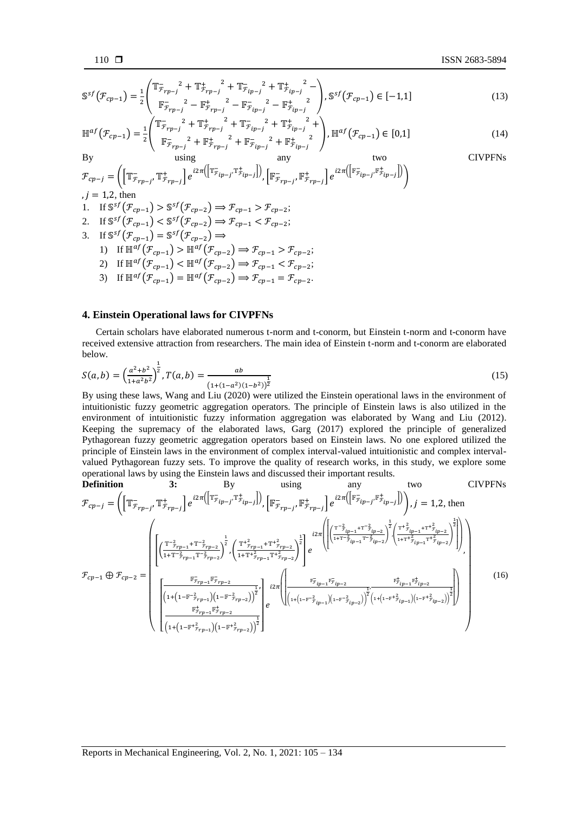$$
\mathbb{S}^{sf}(\mathcal{F}_{cp-1}) = \frac{1}{2} \left( \frac{\mathbb{T}_{\mathcal{F}_{rp-j}}^2 + \mathbb{T}_{\mathcal{F}_{rp-j}}^+{}^2 + \mathbb{T}_{\mathcal{F}_{ip-j}}^-{}^2 + \mathbb{T}_{\mathcal{F}_{ip-j}}^+{}^2 - \left| \mathbb{F}_{\mathcal{F}_{ip-j}}^-{}^2 - \mathbb{F}_{\mathcal{F}_{ip-j}}^+{}^2 - \mathbb{F}_{\mathcal{F}_{ip-j}}^-{}^2 - \mathbb{F}_{\mathcal{F}_{ip-j}}^+{}^2 - \left| \mathbb{F}_{\mathcal{F}_{ip-j}}^-{}^2 - \mathbb{F}_{\mathcal{F}_{ip-j}}^+{}^2 \right| \right), \mathbb{S}^{sf}(\mathcal{F}_{cp-1}) \in [-1,1]
$$
\n(13)

$$
\mathbb{H}^{af}(\mathcal{F}_{cp-1}) = \frac{1}{2} \begin{pmatrix} \mathbb{T}_{\mathcal{F}_{rp-j}}^{-2} + \mathbb{T}_{\mathcal{F}_{rp-j}}^{+2} + \mathbb{T}_{\mathcal{F}_{ip-j}}^{-2} + \mathbb{T}_{\mathcal{F}_{ip-j}}^{+2} + \mathbb{T}_{\mathcal{F}_{ip-j}}^{+2} \\ \mathbb{F}_{\mathcal{F}_{rp-j}}^{-2} + \mathbb{F}_{\mathcal{F}_{rp-j}}^{+2} + \mathbb{F}_{\mathcal{F}_{ip-j}}^{-2} + \mathbb{F}_{\mathcal{F}_{ip-j}}^{+2} \end{pmatrix}, \mathbb{H}^{af}(\mathcal{F}_{cp-1}) \in [0,1]
$$
\n(14)

By using any two  
\n
$$
\mathcal{F}_{cp-j} = \left( \left[ \mathbb{T}^-_{\mathcal{F}_{rp-j}}, \mathbb{T}^+_{\mathcal{F}_{rp-j}} \right] e^{i2\pi \left( \left[ \mathbb{T}^-_{\mathcal{F}_{ip-j}}, \mathbb{T}^+_{\mathcal{F}_{ip-j}} \right] \right)}, \left[ \mathbb{F}^-_{\mathcal{F}_{rp-j}}, \mathbb{F}^+_{\mathcal{F}_{rp-j}} \right] e^{i2\pi \left( \left[ \mathbb{F}^-_{\mathcal{F}_{ip-j}}, \mathbb{F}^+_{\mathcal{F}_{ip-j}} \right] \right)} \right)
$$
\n
$$
j = 1.2, \text{ then}
$$
\n(IVPHNs)

1. If 
$$
\mathbb{S}^{sf}(\mathcal{F}_{cp-1}) > \mathbb{S}^{sf}(\mathcal{F}_{cp-2}) \Rightarrow \mathcal{F}_{cp-1} > \mathcal{F}_{cp-2}
$$
;

- 2. If  $\mathbb{S}^{\mathfrak{sl}}(\mathcal{F}_{cp-1}) < \mathbb{S}^{\mathfrak{sl}}(\mathcal{F}_{cp-2}) \Rightarrow \mathcal{F}_{cp-1} < \mathcal{F}_{cp-2};$
- 3. If  $\mathbb{S}^{sf}(\mathcal{F}_{cp-1}) = \mathbb{S}^{sf}(\mathcal{F}_{cp-2}) \Rightarrow$ 1) If  $\mathbb{H}^{af}(\mathcal{F}_{cp-1}) > \mathbb{H}^{af}(\mathcal{F}_{cp-2}) \Rightarrow \mathcal{F}_{cp-1} > \mathcal{F}_{cp-2};$ 2) If  $\mathbb{H}^{af}(\mathcal{F}_{cp-1}) < \mathbb{H}^{af}(\mathcal{F}_{cp-2}) \Rightarrow \mathcal{F}_{cp-1} < \mathcal{F}_{cp-2};$ 
	- 3) If  $\mathbb{H}^{af}(\mathcal{F}_{cp-1}) = \mathbb{H}^{af}(\mathcal{F}_{cp-2}) \Rightarrow \mathcal{F}_{cp-1} = \mathcal{F}_{cp-2}.$

## **4. Einstein Operational laws for CIVPFNs**

Certain scholars have elaborated numerous t-norm and t-conorm, but Einstein t-norm and t-conorm have received extensive attraction from researchers. The main idea of Einstein t-norm and t-conorm are elaborated below.

$$
S(a,b) = \left(\frac{a^2 + b^2}{1 + a^2 b^2}\right)^{\frac{1}{2}}, T(a,b) = \frac{ab}{(1 + (1 - a^2)(1 - b^2))^{\frac{1}{2}}}
$$
(15)

By using these laws, Wang and Liu (2020) were utilized the Einstein operational laws in the environment of intuitionistic fuzzy geometric aggregation operators. The principle of Einstein laws is also utilized in the environment of intuitionistic fuzzy information aggregation was elaborated by Wang and Liu (2012). Keeping the supremacy of the elaborated laws, Garg (2017) explored the principle of generalized Pythagorean fuzzy geometric aggregation operators based on Einstein laws. No one explored utilized the principle of Einstein laws in the environment of complex interval-valued intuitionistic and complex intervalvalued Pythagorean fuzzy sets. To improve the quality of research works, in this study, we explore some operational laws by using the Einstein laws and discussed their important results.

**Definition** 3: By using any two CIVPFNs  
\n
$$
\mathcal{F}_{cp-j} = \left( \left[ \mathbb{T}_{\mathcal{F}_{rp-j}}^{\text{-}} \mathbb{T}_{\mathcal{F}_{rp-j}}^{\text{+}} \right] e^{i2\pi \left( \left[ \mathbb{T}_{\mathcal{F}_{ip-j}}^{\text{-}} \mathbb{T}_{\mathcal{F}_{rp-j}}^{\text{+}} \right] \right)}, \left[ \mathbb{F}_{\mathcal{F}_{rp-j}}^{\text{-}} \mathbb{F}_{\mathcal{F}_{rp-j}}^{\text{+}} \right] e^{i2\pi \left( \left[ \mathbb{F}_{\mathcal{F}_{ip-j}}^{\text{-}} \mathbb{F}_{\mathcal{F}_{ip-j}}^{\text{+}} \right] \right)} \right), j = 1, 2, \text{ then}
$$
\n
$$
\mathcal{F}_{cp-j} = \left( \left[ \frac{\left( \frac{\mathbb{T}^{-2}_{\mathcal{F}_{rp-1}} + \mathbb{T}^{-2}_{\mathcal{F}_{rp-2}}}{1 + \mathbb{T}^{-2}_{\mathcal{F}_{rp-1}} \mathbb{T}^{-2}_{\mathcal{F}_{rp-2}} \right)^{\frac{1}{2}}}, \left( \frac{\mathbb{T}^{+2}_{\mathcal{F}_{rp-1}} + \mathbb{T}^{+2}_{\mathcal{F}_{rp-2}}}{1 + \mathbb{T}^{+2}_{\mathcal{F}_{rp-1}} \mathbb{T}^{-2}_{\mathcal{F}_{rp-2}} \right)^{\frac{1}{2}}} \right) e^{i2\pi \left( \left[ \frac{\left( \frac{\mathbb{T}^{-2}_{\mathcal{F}_{ip-1}} + \mathbb{T}^{-2}_{\mathcal{F}_{ip-2}}}{1 + \mathbb{T}^{2}_{\mathcal{F}_{ip-1}} \mathbb{T}^{-2}_{\mathcal{F}_{ip-2}} \right)^{\frac{1}{2}}} \right]}{\left( \left[ \frac{\mathbb{F}_{\mathcal{F}_{rp-1}}^{\text{}} \mathbb{F}_{\mathcal{F}_{rp-1}}^{\text{-}} \mathbb{F}_{\mathcal{F}_{rp-2}}^{\text{-}}}{1 + \left( 1 - \mathbb{F}^{-2}_{\mathcal{F}_{rp-1}} \right) \left( 1 - \mathbb{F}^{-2}_{\mathcal{F}_{rp-2}} \right)^{\frac{1}{2}}} \right)} e^{-i2\pi \left( \left[ \frac{\mathbb{F}_{\mathcal{F}_{ip-1}}^{\text{-}} \mathbb{F
$$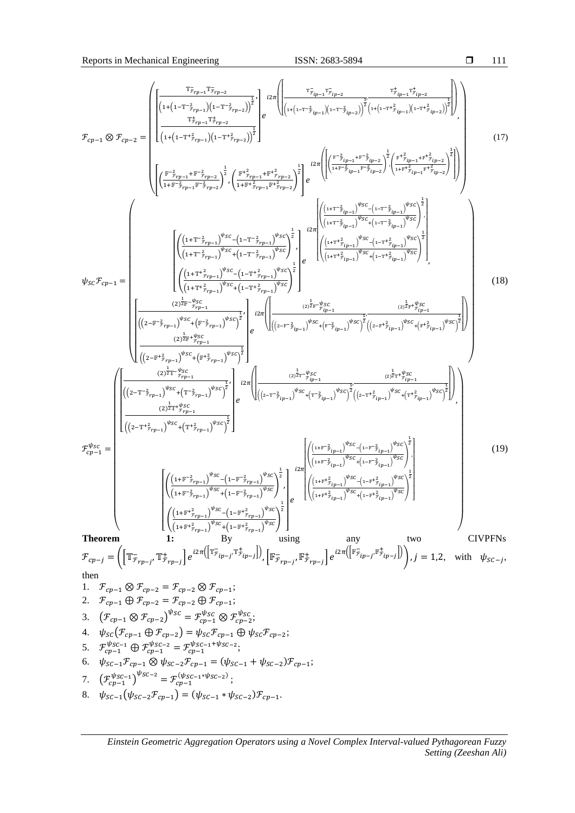$$
T_{cp-1} \otimes T_{cp-2} = \begin{pmatrix} \frac{\tau_{\bar{\gamma}_{rp-1}}\tau_{\bar{\gamma}_{rp-1}}\tau_{\bar{\gamma}_{rp-1}}\tau_{\bar{\gamma}_{rp-1}}\tau_{\bar{\gamma}_{rp-1}}\tau_{\bar{\gamma}_{rp-1}}\tau_{\bar{\gamma}_{rp-1}}\tau_{\bar{\gamma}_{rp-1}}\tau_{\bar{\gamma}_{rp-1}}\tau_{\bar{\gamma}_{rp-1}}\tau_{\bar{\gamma}_{rp-1}}\tau_{\bar{\gamma}_{rp-1}}\tau_{\bar{\gamma}_{rp-1}}\tau_{\bar{\gamma}_{rp-1}}\tau_{\bar{\gamma}_{rp-1}}\tau_{\bar{\gamma}_{rp-1}}\tau_{\bar{\gamma}_{rp-1}}\tau_{\bar{\gamma}_{rp-1}}\tau_{\bar{\gamma}_{rp-1}}\tau_{\bar{\gamma}_{rp-1}}\tau_{\bar{\gamma}_{rp-1}}\tau_{\bar{\gamma}_{rp-1}}\tau_{\bar{\gamma}_{rp-1}}\tau_{\bar{\gamma}_{rp-1}}\tau_{\bar{\gamma}_{rp-1}}\tau_{\bar{\gamma}_{rp-1}}\tau_{\bar{\gamma}_{rp-1}}\tau_{\bar{\gamma}_{rp-1}}\tau_{\bar{\gamma}_{rp-1}}\tau_{\bar{\gamma}_{rp-1}}\tau_{\bar{\gamma}_{rp-1}}\tau_{\bar{\gamma}_{rp-1}}\tau_{\bar{\gamma}_{rp-1}}\tau_{\bar{\gamma}_{rp-1}}\tau_{\bar{\gamma}_{rp-1}}\tau_{\bar{\gamma}_{rp-1}}\tau_{\bar{\gamma}_{rp-1}}\tau_{\bar{\gamma}_{rp-1}}\tau_{\bar{\gamma}_{rp-1}}\tau_{\bar{\gamma}_{rp-1}}\tau_{\bar{\gamma}_{rp-1}}\tau_{\bar{\gamma}_{rp-1}}\tau_{\bar{\gamma}_{rp-1}}\tau_{\bar{\gamma}_{rp-1}}\tau_{\bar{\gamma}_{rp-1}}\tau_{\bar{\gamma}_{rp-1}}\tau_{\bar{\gamma}_{rp-1}}\tau_{\bar{\gamma}_{rp-1}}\tau_{\bar{\gamma}_{rp-1}}\tau_{\bar{\gamma}_{rp-1}}\tau_{\bar{\gamma}_{rp-1}}\tau_{\bar{\gamma}_{rp-1}}\tau_{\bar{\gamma}_{rp-1}}\tau_{\bar{\gamma}_{rp-1}}\tau_{\bar{\gamma}_{rp-1}}\tau_{\bar{\gamma}_{rp-1}}\tau_{\bar{\gamma}_{rp-1}}\tau_{\bar{\gamma}_{rp-1}}\tau_{\bar{\gamma}_{rp-1}}\tau_{\bar{\gamma}_{rp-1}}\tau_{\bar{\gamma}_{rp-1}}\tau_{
$$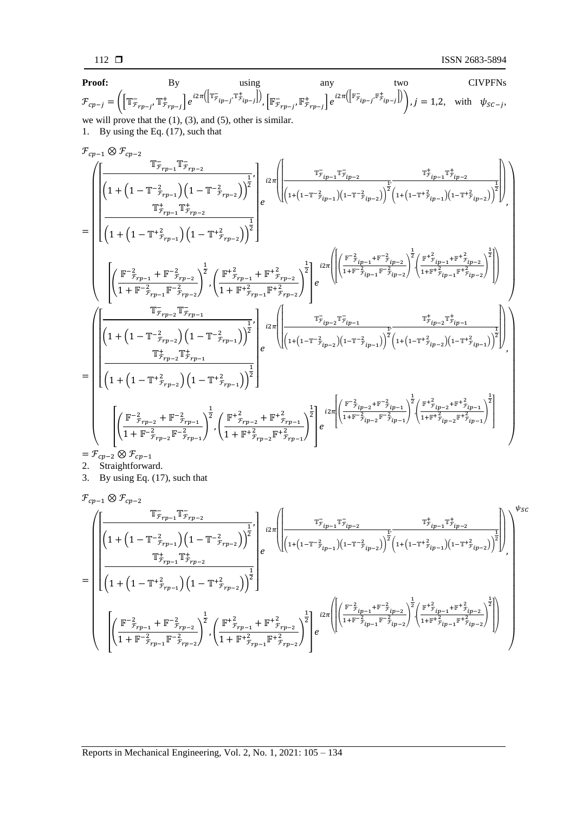$$
112\ \blacksquare
$$

**Proof:** By using any two CIVPFNs 
$$
\mathcal{F}_{cp-j} = \left( \left[ \mathbb{T}_{\mathcal{F}_{rp-j}}^-, \mathbb{T}_{\mathcal{F}_{rp-j}}^+ \right] e^{i2\pi \left( \left[ \mathbb{T}_{\mathcal{F}_{ip-j}}^-, \mathbb{T}_{\mathcal{F}_{ip-j}}^+ \right] \right)}, \left[ \mathbb{F}_{\mathcal{F}_{rp-j}}^-, \mathbb{F}_{\mathcal{F}_{rp-j}}^+ \right] e^{i2\pi \left( \left[ \mathbb{F}_{\mathcal{F}_{ip-j}}, \mathbb{F}_{\mathcal{F}_{ip-j}}^+ \right] \right)} \right), j = 1, 2, \text{ with } \psi_{SC-j},
$$
 we will prove that the (1), (3), and (5), other is similar. \n1. By using the Eq. (17), such that

$$
\mathcal{F}_{cp-1} \otimes \mathcal{F}_{cp-2} \overline{\mathbb{F}_{rp-1} \mathbb{F}_{rp-2}} \\ = \left( \begin{matrix} \frac{\mathbb{T}_{r_{rp-1}}}{1+\left(1-\mathbb{T}^{-2}_{r_{rp-1}}\right)\left(1-\mathbb{T}^{-2}_{r_{rp-2}}\right) \right)^{\frac{1}{2}}}{\left(1+\left(1-\mathbb{T}^{+2}_{r_{rp-1}}\right)\left(1-\mathbb{T}^{+2}_{r_{rp-2}}\right) \right)^{\frac{1}{2}}} \end{matrix} e^{-i 2\pi \left( \begin{matrix} \frac{\mathbb{T}_{r_{lp-1}}}{1+\left(1-\mathbb{T}^{-2}_{r_{lp-2}}\right)\left(1-\mathbb{T}^{+2}_{r_{lp-2}}\right) \right)^{\frac{1}{2}}}{\left(1+\left(1-\mathbb{T}^{+2}_{r_{rp-1}}\right)\left(1-\mathbb{T}^{+2}_{r_{rp-2}}\right) \right)^{\frac{1}{2}}} \end{matrix} e^{-i 2\pi \left( \begin{matrix} \frac{\mathbb{T}_{r_{lp-1}}}{1+\left(1-\mathbb{T}^{-2}_{r_{lp-2}}\right)\left(1-\mathbb{T}^{+2}_{r_{lp-2}}\right) \right)^{\frac{1}{2}}} {\left(1+\left(1-\mathbb{T}^{+2}_{r_{rp-1}}\right)\left(1-\mathbb{T}^{+2}_{r_{rp-2}}\right) \right)^{\frac{1}{2}}} \end{matrix} e^{-i 2\pi \left( \begin{matrix} \frac{\mathbb{T}_{r_{lp-1}}}{1+\mathbb{T}^{-2}_{r_{lp-2}}}\left(1-\mathbb{T}^{+2}_{r_{lp-1}}\right)\left(1-\mathbb{T}^{+2}_{r_{lp-2}}\right) \right)^{\frac{1}{2}}}{\left(1+\mathbb{T}^{-2}_{r_{lp-1}}\mathbb{T}^{-2}_{r_{lp-2}}\right)^{\frac{1}{2}}} \end{matrix} e^{-i 2\pi \left( \begin{matrix} \frac{\mathbb{T}_{r_{lp-1}}}{1+\mathbb{T}^{2}_{r_{lp-1}}}\left(1-\mathbb{T}^{+2}_{r_{lp-2}}\right) \right)^{\frac{1}{2}}}{\left(1+\mathbb{T}^{2}_{r_{lp-1}}\mathbb{T}^{+2}_{r_{lp-2}}\right)^{\frac{1}{2}}} e^{-i 2\pi \left( \begin{matrix} \frac{\mathbb{T
$$

$$
= \mathcal{F}_{cp-2} \otimes \mathcal{F}_{cp-1}
$$

- 2. Straightforward.
- 3. By using Eq. (17), such that

$$
\begin{split} &\mathcal{F}_{cp-1}\otimes\mathcal{F}_{cp-2}\\ &=\left(\begin{aligned} &\left[\frac{\mathbb{T}^{-}_{\mathcal{F}_{rp-1}}\mathbb{T}^{-}_{\mathcal{F}_{rp-2}}}{\left(1+\left(1-\mathbb{T}^{-2}_{\mathcal{F}_{rp-1}}\right)\left(1-\mathbb{T}^{-2}_{\mathcal{F}_{rp-2}}\right)\right)^{\frac{1}{2}}},\ &\frac{\mathbb{T}^{+}_{\mathcal{F}_{lp-1}}\mathbb{T}^{-}_{\mathcal{F}_{lp-2}}}{\mathbb{T}^{+}_{\mathcal{F}_{rp-1}}\mathbb{T}^{+}_{\mathcal{F}_{rp-2}}}\right)\end{aligned}\right)^{\frac{1}{2}}\left(\begin{aligned} &\frac{\mathbb{T}^{-}_{\mathcal{F}_{rp-1}}\mathbb{T}^{-}_{\mathcal{F}_{rp-2}}}{\left(1+\left(1-\mathbb{T}^{+2}_{\mathcal{F}_{rp-1}}\right)\left(1-\mathbb{T}^{+2}_{\mathcal{F}_{rp-2}}\right)\right)^{\frac{1}{2}}}\right)^{\frac{1}{2}}\\ &=\left(\begin{aligned} &\left(\frac{\mathbb{F}^{-2}_{\mathcal{F}_{rp-1}}+\mathbb{F}^{-2}_{\mathcal{F}_{rp-1}}}{\left(1+\left(1-\mathbb{T}^{+2}_{\mathcal{F}_{rp-1}}\right)\left(1-\mathbb{T}^{+2}_{\mathcal{F}_{rp-2}}\right)\right)^{\frac{1}{2}}}\end{aligned}\right)^{\frac{1}{2}}\right)^{\frac{1}{2}}\\ &\left(\left(\frac{\mathbb{F}^{-2}_{\mathcal{F}_{rp-1}}+\mathbb{F}^{-2}_{\mathcal{F}_{rp-2}}}{\left(1+\mathbb{F}^{-2}_{\mathcal{F}_{rp-1}}\mathbb{F}^{-2}_{\mathcal{F}_{rp-2}}\right)^{\frac{1}{2}}},\left(\frac{\mathbb{F}^{+2}_{\mathcal{F}_{rp-1}}+\mathbb{F}^{+2}_{\mathcal{F}_{rp-2}}}{\left(1+\mathbb{F}^{+2}_{\mathcal{F}_{rp-1}}\mathbb{F}^{+2}_{\mathcal{F}_{rp-1}}\mathbb{F}^{+2}_{\mathcal{F}_{rp-1}}\mathbb{F}^{+2}_{\mathcal{F}_{rp-2}}\right)^{\frac{1}{2}}}\right)^{\frac{1}{2}}e^{\frac{i2\pi}{\left(\left(\frac{\mathbb{F
$$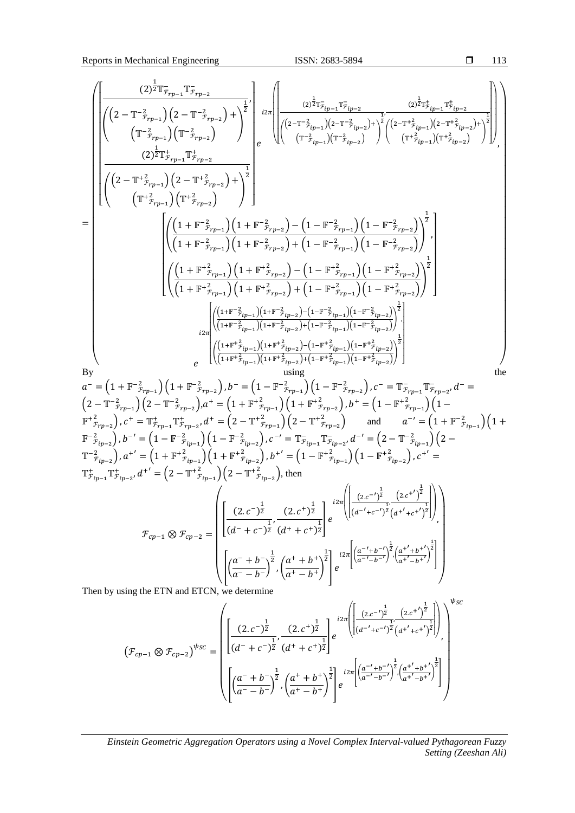Reports in Mechanical Engineering ISSN: 2683-5894

$$
\begin{pmatrix}\n\left[\left(2-\mathbf{T}^{-\frac{1}{2}}\bar{r}_{\tau p-1} \mathbf{T}_{\tau p-2}\right)\left(2-\mathbf{T}^{-\frac{1}{2}}\bar{r}_{p-2}\right) + \left(\frac{1}{2}\left[2\pi\left[\frac{2}{\left(2-\mathbf{T}^{2}\bar{r}_{\tau p-1} \mathbf{T}_{\tau p-2}\right)}\left(2\pi\frac{1}{r_{\tau p-1}}\right)\left(2-\mathbf{T}^{2}\bar{r}_{\tau p-2}\right)\right]\right] & \left[\left(\frac{2-\mathbf{T}^{2}\bar{r}_{\tau p-1} \mathbf{T}_{\tau p-2}}{\left(2\pi\bar{r}_{\tau p-1}\right)\left(2-\mathbf{T}^{2}\bar{r}_{\tau p-2}\right)}\right)\right] & \left[\left(\frac{2-\mathbf{T}^{2}\bar{r}_{\tau p-1} \mathbf{T}_{\tau p-2}}{\left(2\pi\bar{r}_{\tau p-1}\right)\left(2-\mathbf{T}^{2}\bar{r}_{\tau p-2}\right)}\right)\right] & \left[\left(\frac{2-\mathbf{T}^{2}\bar{r}_{\tau p-1} \mathbf{T}_{\tau p-2}}{\left(2-\mathbf{T}^{2}\bar{r}_{\tau p-1}\right)\left(2-\mathbf{T}^{2}\bar{r}_{\tau p-2}\right)}\right)\right] & \left[\left(\frac{2-\mathbf{T}^{2}\bar{r}_{\tau p-1} \mathbf{T}_{\tau p-2}}{\left(2-\mathbf{T}^{2}\bar{r}_{\tau p-1}\right)\left(1+\mathbf{F}^{-\frac{2}{2}}\bar{r}_{\tau p-2}\right)}\right)\left(1-\mathbf{F}^{-\frac{2}{2}}\bar{r}_{\tau p-1}\right)\right] & \left[\left(\frac{1+\mathbf{F}^{-\frac{2}{2}}\bar{r}_{\tau p-1} \mathbf{T}_{\tau p-1}}{\left(1+\mathbf{F}^{-\frac{2}{2}}\bar{r}_{\tau p-1}\right)\left(1+\mathbf{F}^{-\frac{2}{2}}\bar{r}_{\tau p-2}\right)}\right)\left(1-\mathbf{F}^{-\frac{2}{2}}\bar{r}_{\tau p-2}\right)\right)^{2}\right] & \left[\left(\frac{1+\mathbf{F}^{-\frac{2}{2}}\bar{r}_{\tau p-1} \mathbf{T}_{\tau p-1
$$

Then by using the ETN and ETCN, we determine

$$
\left(\mathcal{F}_{cp-1} \otimes \mathcal{F}_{cp-2}\right)^{\psi_{SC}} = \left(\begin{bmatrix} (2.c^{-})^{\frac{1}{2}} & (2.c^{+})^{\frac{1}{2}} \\ \frac{(2.c^{-})^{\frac{1}{2}}}{(d^{-}+c^{-})^{\frac{1}{2}}}\cdot\frac{(2.c^{+})^{\frac{1}{2}}}{(d^{+}+c^{+})^{\frac{1}{2}}}\end{bmatrix} e^{i2\pi \left(\frac{(2.c^{-})^{\frac{1}{2}}}{(d^{-}'+c^{-})^{\frac{1}{2}}}(d^{+}/+c^{+})^{\frac{1}{2}}}\right)}\right)^{\psi_{SC}}
$$
\n
$$
\left(\frac{(\mathcal{F}_{cp-1} \otimes \mathcal{F}_{cp-2})^{\psi_{SC}}}{\left(\frac{a^{-}+b^{-}}{a^{-}-b^{-}}\right)^{\frac{1}{2}}}\cdot\left(\frac{a^{+}+b^{+}}{a^{+}-b^{+}}\right)^{\frac{1}{2}}\right)e^{i2\pi \left[\left(\frac{a^{-}'+b^{-}}{a^{-}'+b^{-}}\right)^{\frac{1}{2}}\cdot\left(\frac{a^{+}'+b^{+}}{a^{+}'-b^{+}}\right)^{\frac{1}{2}}\right]}\right)
$$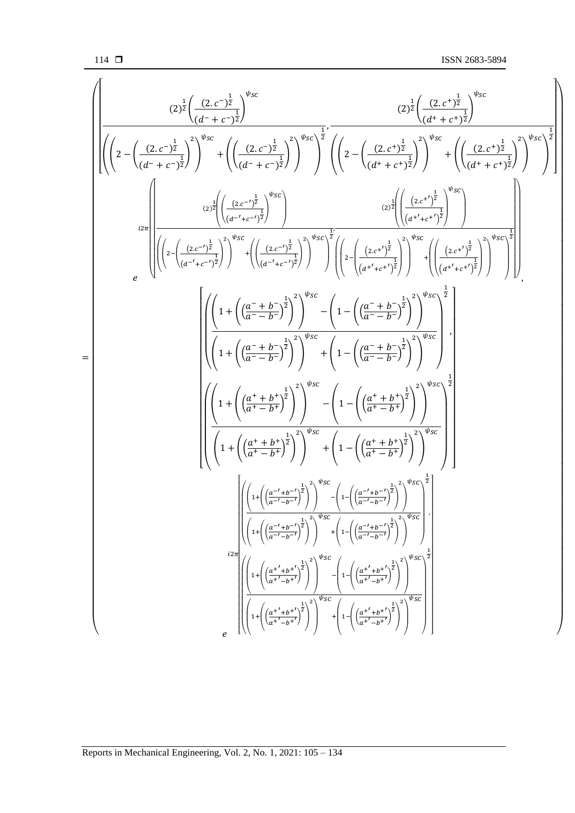$$
\left(\left(2-\left(\frac{(2,c^{-1})^{\frac{1}{2}}}{(d^+ + c^{-1})^{\frac{1}{2}}}\right)^{\psi_{SC}} + \left(\left(\frac{(2,c^{-1})^{\frac{1}{2}}}{(d^+ + c^{-1})^{\frac{1}{2}}}\right)^{\psi_{SC}}\right)^{\frac{1}{2}} \cdot \left(\left(2-\left(\frac{(2,c^{4})^{\frac{1}{2}}}{(d^+ + c^{4})^{\frac{1}{2}}}\right)^{\psi_{SC}} + \left(\left(\frac{(2,c^{4})^{\frac{1}{2}}}{(d^+ + c^{4})^{\frac{1}{2}}}\right)^{\psi_{SC}}\right)^{\frac{1}{2}}\right) \cdot \left(\left(2-\left(\frac{(2,c^{4})^{\frac{1}{2}}}{(d^+ + c^{4})^{\frac{1}{2}}}\right)^{\psi_{SC}}\right)^{\frac{1}{2}}\right) \cdot \left(\left(\frac{(2,c^{4})^{\frac{1}{2}}}{(d^+ + c^{4})^{\frac{1}{2}}}\right)^{\psi_{SC}}\right)^{\frac{1}{2}}\right) \cdot \left(\left(\frac{(2,c^{4})^{\frac{1}{2}}}{(d^+ + c^{4})^{\frac{1}{2}}}\right)^{\psi_{SC}}\right) \cdot \left(\left(\frac{(2,c^{4})^{\frac{1}{2}}}{(d^+ + c^{4})^{\frac{1}{2}}}\right)^{\psi_{SC}}\right) \cdot \left(\left(\frac{(2,c^{4})^{\frac{1}{2}}}{(d^+ + c^{4})^{\frac{1}{2}}}\right)^{\psi_{SC}}\right) \cdot \left(\left(\frac{(2,c^{4})^{\frac{1}{2}}}{(d^+ + c^{4})^{\frac{1}{2}}}\right)^{\psi_{SC}}\right)\right) \cdot \left(\left(\frac{(2,c^{4})^{\frac{1}{2}}}{(d^+ + c^{4})^{\frac{1}{2}}}\right)^{\psi_{SC}}\right) \cdot \left(\left(\frac{(2,c^{4})^{\frac{1}{2}}}{(d^+ + c^{4})^{\frac{1}{2}}}\right)^{\psi_{SC}}\right) \cdot \left(\left(\frac{(2,c^{4})^{\frac{1}{2}}}{(d^+ + c^{4})^{\frac{1}{2}}}\right)^{\psi_{SC}}\right) \cdot \left(\left(\frac{(2,c^{4})^{\frac{1}{2}}}{(d^+ + c^{4})^{\frac{1}{2}}}\right)^{\psi_{SC}}\right) \cdot \left(\
$$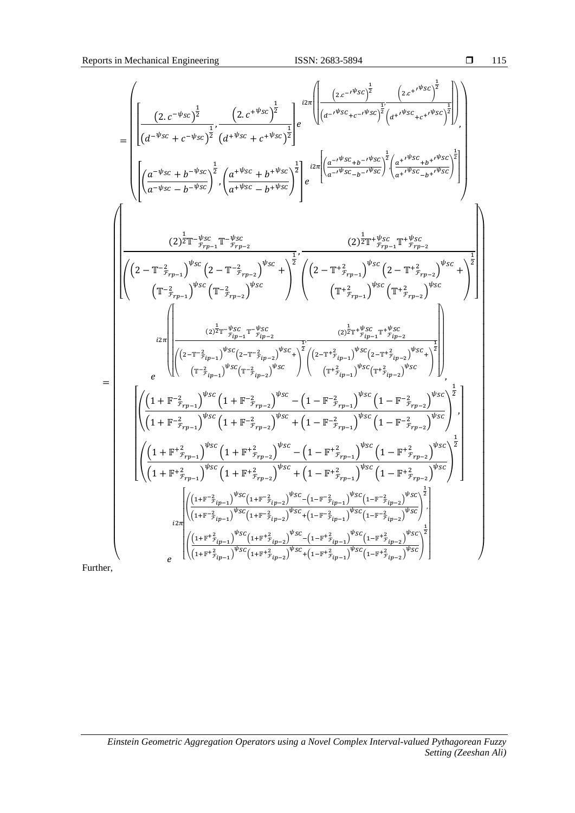$$
=\left(\frac{\left[\left(2,c^{-\psi_{SC}}\right)^{\frac{1}{2}}}{\left(d^{-\psi_{SC}}+c^{-\psi_{SC}}\right)^{\frac{1}{2}}}\left(d^{+\psi_{SC}}+c^{+\psi_{SC}}\right)^{\frac{1}{2}}\right]e^{i2\pi}\left(\frac{\left(2,c^{+\psi_{SC}}\right)^{\frac{1}{2}}}{\left(d^{-\psi_{SC}}+c^{-\psi_{SC}}\right)^{\frac{1}{2}}\left(d^{+\psi_{SC}}+c^{+\psi_{SC}}\right)^{\frac{1}{2}}\right)}\right),\\ \left(\frac{\left(a^{-\psi_{SC}}+b^{-\psi_{SC}}\right)^{\frac{1}{2}}}{\left(d^{-\psi_{SC}}-b^{-\psi_{SC}}\right)^{\frac{1}{2}}}\left(\frac{a^{+\psi_{SC}}+b^{+\psi_{SC}}\right)^{\frac{1}{2}}}{a^{+\psi_{SC}}-b^{+\psi_{SC}}}\right)^{\frac{1}{2}}e^{i2\pi}\left(\frac{\left(a^{-\psi_{SC}}+b^{-\psi_{SC}}\right)^{\frac{1}{2}}}{a^{-\psi_{SC}}-b^{-\psi_{SC}}}\right)^{\frac{1}{2}}\right)}\right)
$$
\n
$$
\left(\frac{2^{\frac{1}{2}}\pi^{-\psi_{SC}}}{\left(2-\mathbb{T}^{-\frac{2}{2}}\tau_{p-1}\right)^{\psi_{SC}}\left(2-\mathbb{T}^{-\frac{2}{2}}\tau_{p-2}\right)^{\psi_{SC}}}\right)^{\frac{1}{2}}e^{-\frac{\left(2^{\frac{1}{2}}\pi^{+\psi_{SC}}+b^{-\psi_{SC}}\right)^{\frac{1}{2}}}{\left(d^{-\psi_{SC}}+b^{-\psi_{SC}}\right)^{\frac{1}{2}}}\right)}\right)
$$
\n
$$
\left(\frac{2^{\frac{1}{2}}\pi^{-\psi_{SC}}}{\left(1-\frac{\tau_{p-1}^{2}}{\tau_{p-1}}\right)^{\psi_{SC}}\left(\mathbb{T}^{-\frac{2}{2}}\tau_{p-2}\right)^{\psi_{SC}}\right)^{\frac{1}{2}}e^{-\frac{\left(2-\mathbb{T}^{+\frac{2}{2}}\tau_{p-1}\right)^{\psi_{SC}}}{\left(1+\frac{\tau_{p-1}^{2}}{\tau_{p-1}}\right)^{\psi_{SC}}\left(1+\frac{\tau_{p-2}^{2}}{\tau_{p-2}}\right)^{\psi_{SC}}}\right)^{\frac{1}{2}}}\right)
$$
\n $$ 

Further,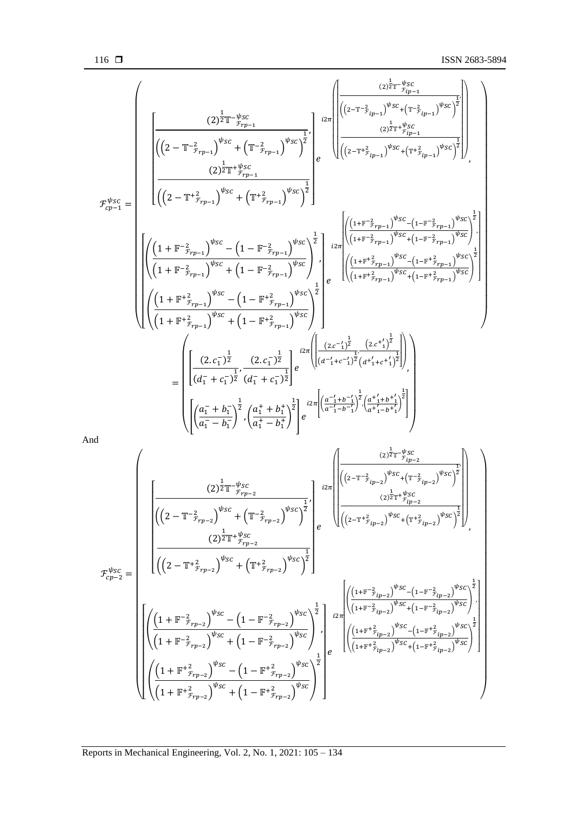$$
\mathcal{F}_{cp-1}^{\psi_{SC}} = \left\{\begin{bmatrix} (2)^{\frac{1}{2}}\mathbb{T}^{-\frac{\psi_{SC}}{r_{p_{p-1}}}} \\ \left((2-\mathbb{T}^{-2}_{r_{p_{p-1}}})^{\psi_{SC}} + (\mathbb{T}^{-2}_{r_{p_{p-1}}})^{\psi_{SC}}\right)^{\frac{1}{2}} \\ \left((2-\mathbb{T}^{+2}_{r_{p_{p-1}}})^{\psi_{SC}} + (\mathbb{T}^{+2}_{r_{p_{p-1}}})^{\psi_{SC}}\right)^{\frac{1}{2}} \\ \left((2-\mathbb{T}^{+2}_{r_{p_{p-1}}})^{\psi_{SC}} + (\mathbb{T}^{+2}_{r_{p_{p-1}}})^{\psi_{SC}}\right)^{\frac{1}{2}} \\ \left((2-\mathbb{T}^{+2}_{r_{p_{p-1}}})^{\psi_{SC}} + (\mathbb{T}^{+2}_{r_{p_{p-1}}})^{\psi_{SC}}\right)^{\frac{1}{2}} \right\} \\ \left[\left(\frac{(1+\mathbb{F}^{-2}_{r_{p_{p-1}}})^{\psi_{SC}} - (1-\mathbb{F}^{-2}_{r_{p_{p-1}}})^{\psi_{SC}}}{(1+\mathbb{F}^{-2}_{r_{p_{p-1}}})^{\psi_{SC}} + (\mathbb{T}^{+2}_{r_{p_{p-1}}})^{\psi_{SC}}\right)^{\frac{1}{2}}}\right] \left\{\begin{bmatrix} ((1+\mathbb{F}^{-2}_{r_{p_{p-1}}})^{\psi_{SC}} + (1-\mathbb{F}^{-2}_{r_{p_{p-1}}})^{\psi_{SC}}) \\ \left((1+\mathbb{F}^{-2}_{r_{p_{p-1}}})^{\psi_{SC}} - (1-\mathbb{F}^{-2}_{r_{p_{p-1}}})^{\psi_{SC}}\right)^{\frac{1}{2}} \\ \left((1+\mathbb{F}^{+2}_{r_{p_{p-1}}})^{\psi_{SC}} - (1-\mathbb{F}^{+2}_{r_{p_{p-1}}})^{\psi_{SC}}\right)^{\frac{1}{2}} \\ \left((1+\mathbb{F}^{+2}_{r_{p_{p-1}}})^{\psi_{SC}} - (1-\mathbb{F}^{+2}_{r_{p_{p-1}}})^{\psi_{SC}}\right)^{\frac{1}{2}} \right\} \\ \left[\left(\frac{(1+\mathbb{F}^{+2}_{r_{p_{p-1}}})^{\psi_{SC}} - (1-\mathbb{F}^{+2}_{r_{
$$

And

$$
\mathcal{F}_{cp-2}^{\psi_{SC}} = \left[\begin{matrix} (2)^{\frac{1}{2}}\mathbb{T}^{-\psi_{SC}} \\ \frac{2}{2}\mathbb{T}^{-\psi_{SC}} \\ \frac{1}{2}\mathbb{T}^{\psi_{SC}} \\ \frac{1}{2}\mathbb{T}^{\psi_{SC}} \\ \frac{1}{2}\mathbb{T}^{\psi_{SC}} \\ \frac{1}{2}\mathbb{T}^{\psi_{SC}} \\ \frac{1}{2}\mathbb{T}^{\psi_{SC}} \\ \frac{1}{2}\mathbb{T}^{\psi_{SC}} \\ \frac{1}{2}\mathbb{T}^{\psi_{SC}} \\ \frac{1}{2}\mathbb{T}^{\psi_{SC}} \\ \frac{1}{2}\mathbb{T}^{\psi_{SC}} \\ \frac{1}{2}\mathbb{T}^{\psi_{SC}} \\ \frac{1}{2}\mathbb{T}^{\psi_{SC}} \\ \frac{1}{2}\mathbb{T}^{\psi_{SC}} \\ \frac{1}{2}\mathbb{T}^{\psi_{SC}} \\ \frac{1}{2}\mathbb{T}^{\psi_{SC}} \\ \frac{1}{2}\mathbb{T}^{\psi_{SC}} \\ \frac{1}{2}\mathbb{T}^{\psi_{SC}} \\ \frac{1}{2}\mathbb{T}^{\psi_{SC}} \\ \frac{1}{2}\mathbb{T}^{\psi_{SC}} \\ \frac{1}{2}\mathbb{T}^{\psi_{SC}} \\ \frac{1}{2}\mathbb{T}^{\psi_{SC}} \\ \frac{1}{2}\mathbb{T}^{\psi_{SC}} \\ \frac{1}{2}\mathbb{T}^{\psi_{SC}} \\ \frac{1}{2}\mathbb{T}^{\psi_{SC}} \\ \frac{1}{2}\mathbb{T}^{\psi_{SC}} \\ \frac{1}{2}\mathbb{T}^{\psi_{SC}} \\ \frac{1}{2}\mathbb{T}^{\psi_{SC}} \\ \frac{1}{2}\mathbb{T}^{\psi_{SC}} \\ \frac{1}{2}\mathbb{T}^{\psi_{SC}} \\ \frac{1}{2}\mathbb{T}^{\psi_{SC}} \\ \frac{1}{2}\mathbb{T}^{\psi_{SC}} \\ \frac{1}{2}\mathbb{T}^{\psi_{SC}} \\ \frac{1}{2}\mathbb{T}^{\psi_{SC}} \\ \frac{1}{2}\mathbb{T}^{\psi_{SC}} \\ \frac{1}{2}\mathbb{T}^{\psi_{SC}} \\ \frac{1}{2}\mathbb{T}^{\psi_{SC}} \\ \frac{1}{2}\mathbb{T}^{\psi_{SC}} \\ \frac{1}{2}\mathbb{T}^{\psi_{SC}} \\ \frac{1}{2}\mathbb{T}^{\psi_{SC}} \\ \frac{1}{2}\mathbb{T}^
$$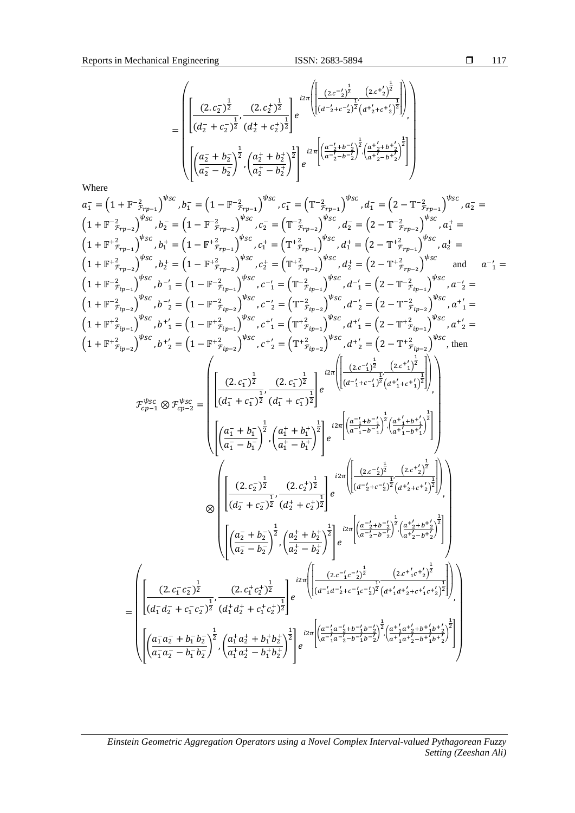$\overline{a}$ 

$$
= \left(\begin{array}{ccc} \left(2.c_{2}\right)^{\frac{1}{2}} & \left(2.c_{2}^{+}\right)^{\frac{1}{2}} \\ \left(2.c_{2}^{-}\right)^{\frac{1}{2}} & \left(2.c_{2}^{+}\right)^{\frac{1}{2}} \\ \left(d_{2}^{-}+c_{2}^{-}\right)^{\frac{1}{2}} & \left(d_{2}^{+}+c_{2}^{+}\right)^{\frac{1}{2}} \end{array}\right)e^{i2\pi\left(\left(\frac{\left(2.c^{-1}\right)^{\frac{1}{2}}}{\left(d^{-1}+c^{-1}\right)^{\frac{1}{2}}\left(a^{+1}+c^{+1}\right)^{\frac{1}{2}}}\right)\right)} \\ \left(\left(\frac{a_{2}^{-}+b_{2}^{-}}{a_{2}^{-}-b_{2}^{-}}\right)^{\frac{1}{2}} & \left(\frac{a_{2}^{+}+b_{2}^{+}}{a_{2}^{+}-b_{2}^{+}}\right)^{\frac{1}{2}}\right)e^{i2\pi\left(\left(\frac{a^{-1}+b^{-1}}{a^{-1}+b^{-1}}\right)^{\frac{1}{2}}\left(\frac{a^{+1}+b^{+1}}{a^{+1}+b^{+1}}\right)^{\frac{1}{2}}\right)}\right)\end{array}
$$

Where

$$
a_{1}^{T} = (1 + \mathbb{F}^{-2}{}_{\tilde{r}_{p-1}})^{y_{SC}}, b_{1}^{T} = (1 - \mathbb{F}^{-2}{}_{\tilde{r}_{p-1}})^{y_{SC}}, c_{1}^{T} = (\mathbb{T}^{-2}{}_{\tilde{r}_{p-2}})^{y_{SC}}, d_{1}^{T} = (2 - \mathbb{T}^{-2}{}_{\tilde{r}_{p-2}})^{y_{SC}}, d_{2}^{T} = (1 - \mathbb{F}^{-2}{}_{\tilde{r}_{p-2}})^{y_{SC}}, d_{2}^{T} = (2 - \mathbb{T}^{-2}{}_{\tilde{r}_{p-2}})^{y_{SC}}, d_{1}^{T} = (1 - \mathbb{F}^{2}{}_{\tilde{r}_{p-1}})^{y_{SC}}, c_{1}^{T} = (\mathbb{T}^{2}{}_{\tilde{r}_{p-1}})^{y_{SC}}, d_{1}^{T} = (2 - \mathbb{T}^{2}{}_{\tilde{r}_{p-1}})^{y_{SC}}, d_{1}^{T} = (1 - \mathbb{F}^{2}{}_{\tilde{r}_{p-1}})^{y_{SC}}, c_{1}^{T} = (\mathbb{T}^{2}{}_{\tilde{r}_{p-2}})^{y_{SC}}, d_{2}^{T} = (2 - \mathbb{T}^{2}{}_{\tilde{r}_{p-2}})^{y_{SC}}, d_{2}^{T} = (1 - \mathbb{F}^{2}{}_{\tilde{r}_{p-2}})^{y_{SC}}, d_{2}^{T} = (2 - \mathbb{T}^{2}{}_{\tilde{r}_{p-2}})^{y_{SC}}, d_{2}^{T} = (2 - \mathbb{T}^{2}{}_{\tilde{r}_{p-2}})^{y_{SC}}, d_{2}^{T} = (2 - \mathbb{T}^{2}{}_{\tilde{r}_{p-2}})^{y_{SC}}, d_{2}^{T} = (2 - \mathbb{T}^{2}{}_{\tilde{r}_{p-2}})^{y_{SC}}, d_{2}^{T} = (2 - \mathbb{T}^{2}{}_{\tilde{r}_{p-2}})^{y_{SC}}, d_{2}^{T} = (1 - \mathbb{F}^{2}{}_{\tilde{r}_{p-2}})^{y_{SC}}, c_{1}^{T} = (\mathbb{T}^{2}{}_{\tilde{r}_{p-2}})^{y_{SC}}, d_{1}^{T} = (2 - \mathbb{T}^{2}{}
$$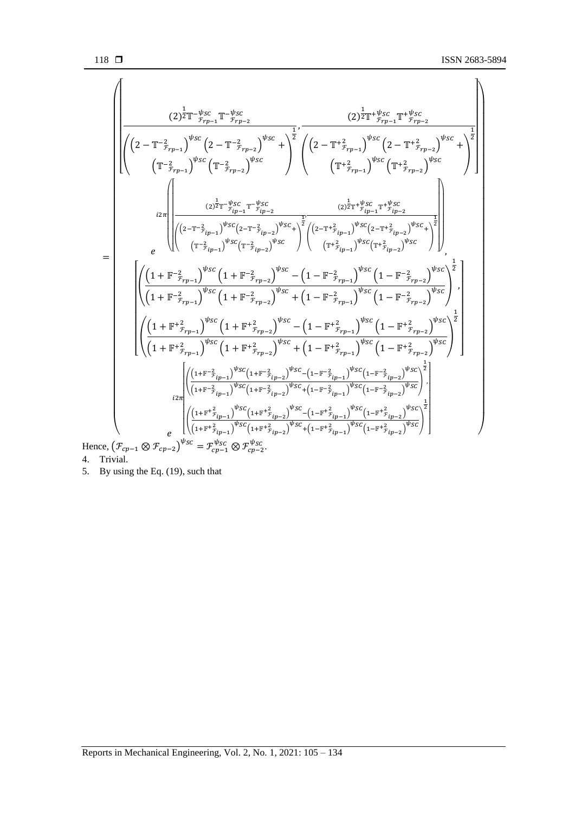$$
\begin{aligned}&\left(\left(2\right)^{\frac{1}{2}}\mathbb{T}^{-\frac{p}{p_{r}}}\mathbb{F}_{r-p-1}\right)^{v_{SC}}\left(2-\mathbb{T}^{-\frac{2}{p_{r}}}\mathbb{F}_{r-p-2}\right)\\&\left(\left(\mathbb{T}^{-\frac{2}{p_{r}}}-1\right)^{v_{SC}}\left(2-\mathbb{T}^{-\frac{2}{p_{r}}}\mathbb{F}_{r-p-2}\right)^{v_{SC}}+\right)^{\frac{1}{2}}\left(\left(2-\mathbb{T}^{+^{\frac{2}{p_{r}}}}\mathbb{F}_{r-p-1}\right)^{v_{SC}}\left(2-\mathbb{T}^{+^{\frac{2}{p_{r}}}}\mathbb{F}_{r-p-2}\right)\\&\left(\mathbb{T}^{+^{\frac{2}{p_{r}}}}\mathbb{F}_{r-p-1}\right)^{v_{SC}}\left(\mathbb{T}^{+^{\frac{2}{p_{r}}}}\mathbb{F}_{r-p-1}\right)^{v_{SC}}\left(\mathbb{T}^{+^{\frac{2}{p_{r}}}}\mathbb{F}_{r-p-1}\right)^{v_{SC}}\left(\mathbb{T}^{+^{\frac{2}{p_{r}}}}\mathbb{F}_{r-p-2}\right)\\&\left(\frac{2^{1}}{2}\pi\left(\frac{2^{-\frac{2}{p_{r}}\pi\frac{p_{SC}}{p_{C}}\left(\mathbb{T}^{-\frac{2}{p_{r}}}-1^{\frac{2}{p_{SC}}}{p_{C}}\right)^{\frac{2}{p_{SC}}\left(\mathbb{T}^{+^{\frac{2}{p_{r}}}}\mathbb{F}_{r-p-1}\right)^{v_{SC}}\left(2^{-\frac{2}{p_{r}}+\frac{2}{p_{C}}}\mathbb{F}_{r-p-2}\right)^{v_{SC}}}{(1+\frac{2}{p_{r}}-1)^{v_{SC}}\left(1+\mathbb{F}^{-\frac{2}{p_{r}}}-1\right)^{v_{SC}}\left(1-\mathbb{F}^{-\frac{2}{p_{r}}}-1\right)^{v_{SC}}\left(1-\mathbb{F}^{-\frac{2}{p_{r}}}-1\right)^{v_{SC}}\left(1-\mathbb{F}^{-\frac{2}{p_{r}}}-1\right)^{v_{SC}}\left(1-\mathbb{F}^{-\frac{2}{p_{r}}}-1\right)^{v_{SC}}\left(1-\mathbb{F}^{-\frac{2}{p_{r}}}-1\right)^{v_{SC}}
$$

4. Trivial.

5. By using the Eq.  $(19)$ , such that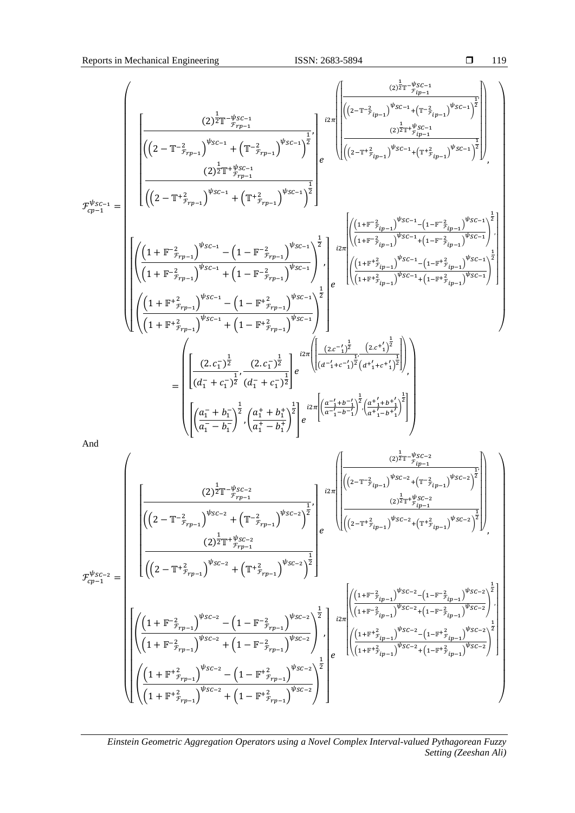$$
\mathcal{F}_{cp-1}^{\psi_{SC-1}} = \left(\begin{array}{c} (2)^{\frac{1}{2}\mathbb{T}-\frac{\psi_{SC-1}}{r_{rp-1}}} \\ \hline \left((2-\mathbb{T}^{-2}_{r_{rp-1}})^{\psi_{SC-1}} + \left(\mathbb{T}^{-2}_{r_{rp-1}}\right)^{\psi_{SC-1}}\right)^{\frac{1}{2}} \\ \hline \left((2-\mathbb{T}^{+2}_{r_{rp-1}})^{\psi_{SC-1}} + \left(\mathbb{T}^{-2}_{r_{rp-1}}\right)^{\psi_{SC-1}}\right)^{\frac{1}{2}} \\ \hline \left((2-\mathbb{T}^{+2}_{r_{rp-1}})^{\psi_{SC-1}} + \left(\mathbb{T}^{+2}_{r_{pr-1}}\right)^{\psi_{SC-1}}\right)^{\frac{1}{2}} \\ \hline \left((2-\mathbb{T}^{+2}_{r_{rp-1}})^{\psi_{SC-1}} + \left(\mathbb{T}^{+2}_{r_{pr-1}}\right)^{\psi_{SC-1}}\right)^{\frac{1}{2}} \\ \hline \left(\left((2-\mathbb{T}^{+2}_{r_{rp-1}})^{\psi_{SC-1}} + \left(\mathbb{T}^{+2}_{r_{pr-1}}\right)^{\psi_{SC-1}}\right)^{\frac{1}{2}} \\ \hline \left(\left((1+\mathbb{F}^{-2}_{r_{rp-1}})^{\psi_{SC-1}} + \left(\mathbb{1}-\mathbb{F}^{-2}_{r_{rp-1}}\right)^{\psi_{SC-1}}\right)^{\frac{1}{2}}\right) \left(\begin{array}{c} \frac{(1+\mathbb{F}^{-2}_{r_{jp-1}})^{\psi_{SC-1}} + (1-\mathbb{F}^{-2}_{r_{ip-1}})^{\psi_{SC-1}} + (1-\mathbb{F}^{-2}_{r_{ip-1}})^{\psi_{SC-1}} + (1-\mathbb{F}^{-2}_{r_{rp-1}})^{\psi_{SC-1}}\right)^{\frac{1}{2}} \\ \hline \left((1+\mathbb{F}^{+2}_{r_{rp-1}})^{\psi_{SC-1}} + \left(1-\mathbb{F}^{-2}_{r_{rp-1}})^{\psi_{SC-1}}\right)^{\frac{1}{2}}\right) \left(\begin{array}{c} \frac{(1+\mathbb{F}^{+2}_{r_{ip-1}})^{\psi_{SC-1}} - (1-\mathbb{F}^{+2}_{r_{ip-1}})^{\psi_{SC-1}} + (1-\mathbb{F}^{+2}_{r_{p-
$$

And

$$
\mathcal{F}_{cp-1}^{\psi_{SC-2}} = \begin{pmatrix} (2)^{\frac{1}{2}}\mathbb{T}^{-\psi_{SC-2}} & (2)^{\frac{1}{2}}\mathbb{T}^{-\psi_{SC-2}} \\ \frac{((2-\mathbb{T}^{-2}f_{rp-1})^{\psi_{SC-2}} + (\mathbb{T}^{-2}f_{rp-1})^{\psi_{SC-2}})}{((2)^{\frac{1}{2}}\mathbb{T}^{+\psi_{SC-2}} + (\mathbb{T}^{-2}f_{rp-1})^{\psi_{SC-2}})} \frac{1}{2} \end{pmatrix} \mathbb{E}_{cp} \\ \frac{((2-\mathbb{T}^{-2}f_{rp-1})^{\psi_{SC-2}} + (\mathbb{T}^{-2}f_{rp-1})^{\psi_{SC-2}})}{((2)^{\frac{1}{2}}\mathbb{T}^{+\psi_{SC-2}} + (\mathbb{T}^{+2}f_{rp-1})^{\psi_{SC-2}})} \frac{1}{2} \begin{pmatrix} (2)^{\frac{1}{2}}\mathbb{T}^{+\psi_{SC-2}} & (2)^{\frac{1}{2}}\mathbb{T}^{+\psi_{SC-2}} \\ \frac{((2-\mathbb{T}^{+2}f_{rp-1})^{\psi_{SC-2}} + (\mathbb{T}^{+2}f_{rp-1})^{\psi_{SC-2}})}{((2-\mathbb{T}^{+2}f_{rp-1})^{\psi_{SC-2}} + (\mathbb{T}^{+2}f_{rp-1})^{\psi_{SC-2}})} \frac{1}{2} \end{pmatrix} \\ \frac{((1+\mathbb{F}^{-2}f_{rp-1})^{\psi_{SC-2}} + (1-\mathbb{F}^{-2}f_{rp-1})^{\psi_{SC-2}})}{((1+\mathbb{F}^{-2}f_{rp-1})^{\psi_{SC-2}} + (1-\mathbb{F}^{-2}f_{rp-1})^{\psi_{SC-2}})} \frac{1}{2} \begin{pmatrix} \frac{((1+\mathbb{F}^{+2}f_{rp-1})^{\psi_{SC-2}} + (\mathbb{F}^{+2}f_{rp-1})^{\psi_{SC-2}} + (\mathbb{F}^{+2}f_{rp-1})^{\psi_{SC-2}}) \\ \frac{((1+\mathbb{F}^{+2}f_{rp-1})^{\psi_{SC-2}} + (1-\mathbb{F}^{+2}f_{rp-1})^{\psi_{SC-2}})}{((1+\mathbb{F}^{+2}f_{rp-1})^{\psi_{SC-2}} +
$$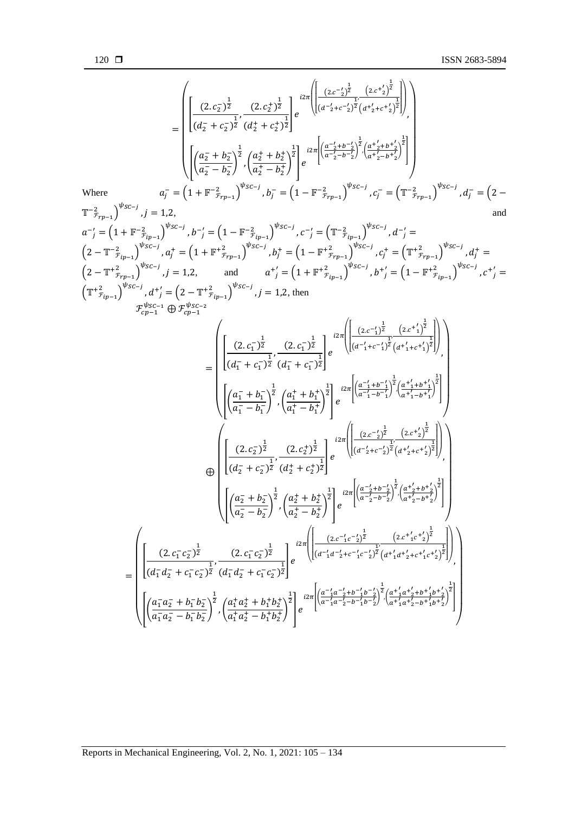$$
\text{where}
$$
\n
$$
a_{j}^{T} = \begin{pmatrix}\n\frac{2}{3} \left[ \frac{(2 \cdot c_{j}^{2})^{\frac{1}{2}}}{(d_{2}^{T} + c_{2}^{2})^{\frac{1}{2}}} - \frac{(2 \cdot c_{j}^{2})^{\frac{1}{2}}}{(d_{2}^{T} + c_{2}^{2})^{\frac{1}{2}}} \right] e^{i2\pi i} \left[ \frac{2 \cdot c_{j}^{2} + c_{j}^{2} + c_{j}^{2}}{(d_{2}^{T} + c_{2}^{2})^{\frac{1}{2}}} \right] \\
\frac{2}{3} \left[ \frac{2}{3} \left( \frac{2}{3} - \frac{1}{2} \right)^{\frac{1}{2}}}{(d_{2}^{T} - \frac{1}{2})^{\frac{1}{2}}} \right] e^{i2\pi i} \left[ \frac{2 \cdot c_{j}^{2} + c_{j}^{2} + c_{j}^{2}}{(d_{2}^{T} - \frac{1}{2})^{\frac{1}{2}}} \right] \\
\text{Where}
$$
\n
$$
a_{j}^{T} = \begin{pmatrix}\n1 + \frac{\pi}{2} \cdot \frac{2}{3} \pi \cdot \frac{1}{2} \\
\frac{1}{3} \left( \frac{2}{3} - \frac{1}{2} \right)^{\frac{1}{2}} \\
\frac{1}{3} \left( \frac{2}{3} - \frac{1}{2} \right)^{\frac{1}{2}} \\
\frac{1}{3} \left( \frac{2}{3} - \frac{1}{2} \right)^{\frac{1}{2}} \\
\frac{1}{3} \left( \frac{2}{3} - \frac{1}{2} \right)^{\frac{1}{2}} \\
\frac{1}{3} \left( \frac{2}{3} - \frac{1}{2} \right)^{\frac{1}{2}} \\
\frac{1}{3} \left( \frac{2}{3} - \frac{1}{2} \right)^{\frac{1}{2}} \\
\frac{1}{3} \left( \frac{2}{3} - \frac{1}{2} \right)^{\frac{1}{2}} \\
\frac{1}{3} \left( \frac{2}{3} - \frac{1}{2} \right)^{\frac{1}{2}} \\
\frac{1}{3} \left( \frac{2}{3} - \frac{1}{2} \right)^{\frac{1}{2}} \\
\frac{1}{3} \left( \frac{2}{3} - \frac{1}{2} \right)^{\frac{1}{
$$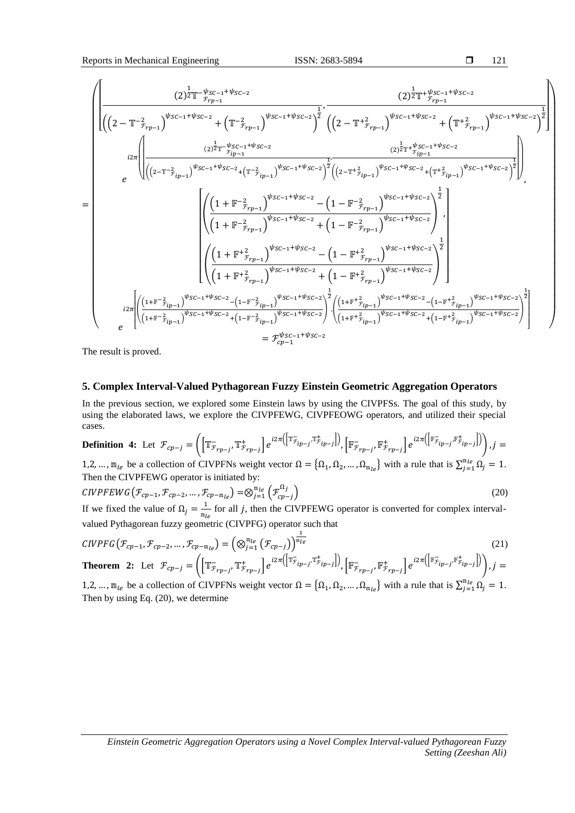Reports in Mechanical Engineering ISSN: 2683-5894

r.

$$
\Box \qquad 121
$$

$$
\begin{split}=&\frac{\left(\left|\left((2-\mathbb{T}^{-2}F_{rp-1})^{y_{SC-1}+y_{SC-2}}\right)^{2}\right|^{2}}{\left((2-\mathbb{T}^{-2}F_{rp-1})^{y_{SC-1}+y_{SC-2}}\right)^{2}}\right)^{2}}\cdot\frac{\left((2)^{\frac{1}{2}}\mathbb{T}^{+\frac{y_{SC-1}+y_{SC-2}}{p_{rp-1}}}\right)^{y_{SC-1}+y_{SC-2}}}{\left((2-\mathbb{T}^{+\frac{2}{2}}F_{rp-1})^{y_{SC-1}+y_{SC-2}}\right)^{2}}+\left(\mathbb{T}^{+\frac{2}{2}}F_{rp-1}\right)^{y_{SC-1}+y_{SC-2}}\right)^{2}}\right)^{2}} \\=&\frac{\left(\frac{(2)^{\frac{1}{2}}\mathbb{T}^{+\frac{y_{SC-1}+y_{SC-2}}{p_{ip-1}}}\right)^{y_{SC-1}+y_{SC-2}}}{\left((2-\mathbb{T}^{+\frac{2}{2}}F_{rp-1})^{y_{SC-1}+y_{SC-2}}\right)^{2}\left((2-\mathbb{T}^{+\frac{2}{2}}F_{rp-1})^{y_{SC-1}+y_{SC-2}}\right)^{2}}\right)^{2}}\right)^{2}} \\=&\frac{\left(\frac{\left((1+\mathbb{F}^{-2}F_{rp-1})^{y_{SC-1}+y_{SC-2}}\right)^{2}}{\left((1+\mathbb{F}^{-2}F_{rp-1})^{y_{SC-1}+y_{SC-2}}\right)^{2}}\right)^{\frac{1}{2}}}{\left((1+\mathbb{F}^{+\frac{2}{2}}F_{rp-1})^{y_{SC-1}+y_{SC-2}}\right)^{2}}+\left(1-\mathbb{F}^{+\frac{2}{2}}F_{rp-1}\right)^{y_{SC-1}+y_{SC-2}}\right)^{2}}\right)^{2}} \\=&\frac{\left(\frac{\left((1+\mathbb{F}^{+\frac{2}{2}}F_{rp-1})^{y_{SC-1}+y_{SC-2}}\right)^{y_{SC-1}+y_{SC-2}}}{\left((1+\mathbb{F}^{+\frac{2}{2}}F_{rp-1})^{y_{SC-1}+y_{SC-2}}\right)^{y_{SC-1}+y_{SC-2}}\right)^{2}}{\left((1+\mathbb{F}^{+\frac{2}{2}}F_{rp-1})^{y
$$

The result is proved.

## **5. Complex Interval-Valued Pythagorean Fuzzy Einstein Geometric Aggregation Operators**

In the previous section, we explored some Einstein laws by using the CIVPFSs. The goal of this study, by using the elaborated laws, we explore the CIVPFEWG, CIVPFEOWG operators, and utilized their special cases.

**Definition 4:** Let 
$$
\mathcal{F}_{cp-j} = \left( \left[ \mathbb{T}^-_{\mathcal{F}_{rp-j}}, \mathbb{T}^+_{\mathcal{F}_{rp-j}} \right] e^{i2\pi \left( \left[ \mathbb{T}^-_{\mathcal{F}_{ip-j}}, \mathbb{T}^+_{\mathcal{F}_{ip-j}} \right] \right)}, \left[ \mathbb{F}^-_{\mathcal{F}_{rp-j}}, \mathbb{F}^+_{\mathcal{F}_{rp-j}} \right] e^{i2\pi \left( \left[ \mathbb{F}^-_{\mathcal{F}_{ip-j}}, \mathbb{F}^+_{\mathcal{F}_{ip-j}} \right] \right)} \right), j = 1, 2, \dots, n
$$
 be a collection of CUPENs, which exists,  $Q = \{0, 0, \dots, 0\}$ , with a rule that is  $\sum^{\mathfrak{m}} \mathfrak{m} \mathfrak{m} \mathfrak{m} \mathfrak{m} \mathfrak{m}$ .

1,2, ...,  $m_{le}$  be a collection of CIVPFNs weight vector  $\Omega = {\Omega_1, \Omega_2, ..., \Omega_{m_{le}}}\$  with a rule that is  $\sum_{j=1}^{m_{le}} \Omega_j = 1$ . Then the CIVPFEWG operator is initiated by:

$$
CIVPFEWG(\mathcal{F}_{cp-1}, \mathcal{F}_{cp-2}, \dots, \mathcal{F}_{cp-m_{le}}) = \otimes_{j=1}^{m_{le}} (\mathcal{F}_{cp-j}^{\Omega_j})
$$
\n
$$
U_{\Omega} = \mathcal{F}_{\Omega} \cup \mathcal{F}_{\Omega} \cup \mathcal{F}_{\Omega} \cup \mathcal{F}_{\Omega} \cup \mathcal{F}_{\Omega} \cup \mathcal{F}_{\Omega} \cup \mathcal{F}_{\Omega} \cup \mathcal{F}_{\Omega} \cup \mathcal{F}_{\Omega} \cup \mathcal{F}_{\Omega} \cup \mathcal{F}_{\Omega} \cup \mathcal{F}_{\Omega} \cup \mathcal{F}_{\Omega} \cup \mathcal{F}_{\Omega} \cup \mathcal{F}_{\Omega} \cup \mathcal{F}_{\Omega} \cup \mathcal{F}_{\Omega} \cup \mathcal{F}_{\Omega} \cup \mathcal{F}_{\Omega} \cup \mathcal{F}_{\Omega} \cup \mathcal{F}_{\Omega} \cup \mathcal{F}_{\Omega} \cup \mathcal{F}_{\Omega} \cup \mathcal{F}_{\Omega} \cup \mathcal{F}_{\Omega} \cup \mathcal{F}_{\Omega} \cup \mathcal{F}_{\Omega} \cup \mathcal{F}_{\Omega} \cup \mathcal{F}_{\Omega} \cup \mathcal{F}_{\Omega} \cup \mathcal{F}_{\Omega} \cup \mathcal{F}_{\Omega} \cup \mathcal{F}_{\Omega} \cup \mathcal{F}_{\Omega} \cup \mathcal{F}_{\Omega} \cup \mathcal{F}_{\Omega} \cup \mathcal{F}_{\Omega} \cup \mathcal{F}_{\Omega} \cup \mathcal{F}_{\Omega} \cup \mathcal{F}_{\Omega} \cup \mathcal{F}_{\Omega} \cup \mathcal{F}_{\Omega} \cup \mathcal{F}_{\Omega} \cup \mathcal{F}_{\Omega} \cup \mathcal{F}_{\Omega} \cup \mathcal{F}_{\Omega} \cup \mathcal{F}_{\Omega} \cup \mathcal{F}_{\Omega} \cup \mathcal{F}_{\Omega} \cup \mathcal{F}_{\Omega} \cup \mathcal{F}_{\Omega} \cup \mathcal{F}_{\Omega} \cup \mathcal{F}_{\Omega} \cup \mathcal{F}_{\Omega} \cup \mathcal{F}_{\Omega} \cup \mathcal{F}_{\Omega} \cup \mathcal{F}_{\Omega} \cup \mathcal{F}_{\Omega} \cup \mathcal{F}_{\Omega} \cup \mathcal{F}_{\Omega} \cup \mathcal{F}_{\Omega} \cup \mathcal{
$$

If we fixed the value of  $\Omega_j = \frac{1}{m}$  $\frac{1}{m_{le}}$  for all *j*, then the CIVPFEWG operator is converted for complex intervalvalued Pythagorean fuzzy geometric (CIVPFG) operator such that

$$
CIVPEG(\mathcal{F}_{cp-1}, \mathcal{F}_{cp-2}, \dots, \mathcal{F}_{cp-m_{le}}) = \left(\bigotimes_{j=1}^{m_{le}} (\mathcal{F}_{cp-j})\right)^{\frac{1}{m_{le}}}
$$
(21)  
**Theorem 2:** Let  $\mathcal{F}_{cp-j} = \left(\left[\mathbb{T}_{\mathcal{F}_{rp-j}}^-, \mathbb{T}_{\mathcal{F}_{rp-j}}^+\right] e^{i2\pi \left(\left[\mathbb{T}_{\mathcal{F}_{ip-j}}^-, \mathbb{T}_{\mathcal{F}_{ip-j}}^+\right]\right)}, \left[\mathbb{F}_{\mathcal{F}_{rp-j}}^-, \mathbb{F}_{\mathcal{F}_{rp-j}}^+\right] e^{i2\pi \left(\left[\mathbb{F}_{\mathcal{F}_{ip-j}}^-, \mathbb{F}_{\mathcal{F}_{ip-j}}^+\right]\right)}\right), j = 12$  m, be a collection of CIVPFNs weight vector  $0 = \{0, 0, \ldots, 0\}$  with a rule that is  $\sum_{i=1}^{m_{le}} 0 = 1$ 

1,2, ...,  $m_{le}$  be a collection of CIVPFNs weight vector  $\Omega = {\Omega_1, \Omega_2, ..., \Omega_{m_{le}}}\$  with a rule that is  $\sum_{j=1}^{m_{le}} \Omega_j = 1$ . Then by using Eq. (20), we determine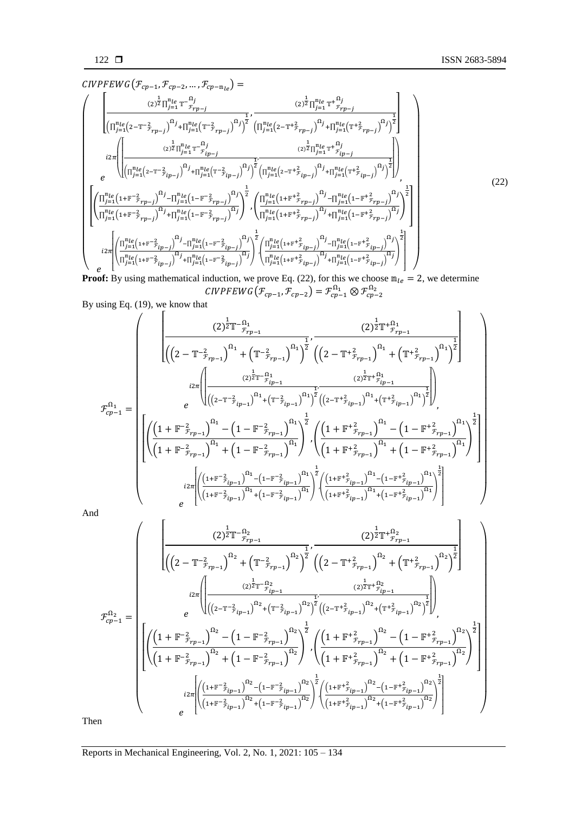$CIVPFEWG(\mathcal{F}_{cp-1}, \mathcal{F}_{cp-2}, ..., \mathcal{F}_{cp-m_{le}})$  =

$$
\begin{pmatrix}\n\left[\frac{(2)^{\frac{1}{2}}\prod_{j=1}^{m_{le}}\mathbf{T}^{-\Omega_{j}}_{r_{p-j}}}{\prod_{j=1}^{m_{le}}(2-\mathbf{T}^{-\frac{2}{2}}r_{p-j})^{\Omega_{j}}+ \prod_{j=1}^{m_{le}}(\mathbf{T}^{-\frac{2}{2}}r_{p-j})^{\Omega_{j}}\right]^{1/2}} \cdot \frac{(2)^{\frac{1}{2}}\prod_{j=1}^{m_{le}}\mathbf{T}^{+^{\Omega_{j}}}_{r_{p-j}}}{\prod_{j=1}^{m_{le}}(2-\mathbf{T}^{+^{\Omega_{j}}}_{r_{p-j}})^{\Omega_{j}}+ \prod_{j=1}^{m_{le}}(\mathbf{T}^{+^{\Omega_{j}}}_{r_{p-j}})^{\Omega_{j}}\right]^{1/2}}\n\right]\n\left[\n\left(\frac{(2)^{\frac{1}{2}}\prod_{j=1}^{m_{le}}\mathbf{T}^{-\Omega_{j}}_{r_{p-j}})}{\prod_{j=1}^{m_{le}}(2-\mathbf{T}^{-\frac{2}{2}}r_{p-j})^{\Omega_{j}}+ \prod_{j=1}^{m_{le}}(\mathbf{T}^{-\frac{2}{2}}r_{p-j})^{\Omega_{j}}\right)^{\frac{1}{2}}\cdot \left(\prod_{j=1}^{m_{le}}(2-\mathbf{T}^{+^{\Omega_{j}}}_{r_{p-j}})^{\Omega_{j}}+ \prod_{j=1}^{m_{le}}(\mathbf{T}^{+^{\Omega_{j}}}_{r_{p-j}})^{\Omega_{j}}\right)^{\frac{1}{2}}\right]\n\right]\n\left[\n\left(\prod_{j=1}^{m_{le}}(1+\mathbf{F}^{-\frac{2}{2}}r_{p-j})^{\Omega_{j}}- \prod_{j=1}^{m_{le}}(1-\mathbf{F}^{-\frac{2}{2}}r_{p-j})^{\Omega_{j}}\right)^{\frac{1}{2}}\cdot \left(\prod_{j=1}^{m_{le}}(1+\mathbf{F}^{+^{\Omega_{j}}}_{r_{p-j}})^{\Omega_{j}}+ \prod_{j=1}^{m_{le}}(1-\mathbf{F}^{+^{\Omega_{j}}}_{r_{p-j}})^{\Omega_{j}}\right)^{\frac{1}{2}}\right]\n\left[\n\left(\prod_{j=1}^{m_{le}}(1+\mathbf{F}^{-\frac{2}{2}}r_{p-j})^{\Omega_{j}}+ \prod_{j=1}^{m_{le}}(1-\mathbf
$$

**Proof:** By using mathematical induction, we prove Eq. (22), for this we choose  $m_{le} = 2$ , we determine CIVPFEWG $(\mathcal{F}_{cp-1}, \mathcal{F}_{cp-2}) = \mathcal{F}_{cp-1}^{\Omega_1} \otimes \mathcal{F}_{cp-2}^{\Omega_2}$ 

By using Eq. (19), we know that

$$
\mathcal{F}^{\Omega_{1}}_{cp-1} = \begin{bmatrix} \left| \frac{(2)^{\frac{1}{2}}T^{-\Omega_{1}}}{\left( \left( 2- T^{-\frac{2}{2}} r_{rp-1} \right)^{\Omega_{1}} + \left( T^{-\frac{2}{2}} r_{rp-1} \right)^{\Omega_{1}} \right)^{\frac{1}{2}}}, \frac{(2)^{\frac{1}{2}}T^{+\Omega_{1}}}{\left( \left( 2- T^{+\frac{2}{2}} r_{rp-1} \right)^{\Omega_{1}} + \left( T^{+\frac{2}{2}} r_{rp-1} \right)^{\Omega_{1}} \right)^{\frac{1}{2}}} \right] \\ \frac{i2\pi}{\left| \left( \frac{(2)^{\frac{1}{2}}T^{-\Omega_{1}} r_{jp-1}}{\left( \left( 2- T^{-\frac{2}{2}} r_{jp-1} \right)^{\Omega_{1}} + \left( T^{-\frac{2}{2}} r_{jp-1} \right)^{\Omega_{1}} \right)^{\frac{1}{2}} \left( \left( 2- T^{+\frac{2}{2}} r_{jp-1} \right)^{\Omega_{1}} + \left( T^{+\frac{2}{2}} r_{jp-1} \right)^{\Omega_{1}} \right)^{\frac{1}{2}}} \right| \right) \\ \frac{1}{\left| \left( \frac{\left( 1 + F^{-\frac{2}{2}} r_{rp-1} \right)^{\Omega_{1}} - \left( 1 - F^{-\frac{2}{2}} r_{rp-1} \right)^{\Omega_{1}} \right)^{\frac{1}{2}}}{\left( 1 + F^{+\frac{2}{2}} r_{rp-1} \right)^{\Omega_{1}} + \left( 1 - F^{+\frac{2}{2}} r_{rp-1} \right)^{\Omega_{1}} \right)^{\frac{1}{2}}} \right| \right|} \\ \frac{i2\pi}{\left| \left( \frac{\left( 1 + F^{-\frac{2}{2}} r_{rp-1} \right)^{\Omega_{1}} + \left( 1 - F^{-\frac{2}{2}} r_{rp-1} \right)^{\Omega_{1}} \right)^{\frac{1}{2}} - \left( \frac{\left( 1 + F^{+\frac{2}{2}} r_{rp-1} \right)^{\Omega_{1}} + \left( 1 - F^{+\frac{2}{2}} r_{pr-1} \right)^{\Omega_{1}} \right)^{\frac{1}{2}}} { \left( 1 + F^{+\frac{2}{2}} r_{jp-1} \right)^{\Omega_{1}} \right)^{\frac{1}{2}}} \right| } \\ - \frac
$$

And

$$
\mathcal{F}^{\Omega_{2}}_{cp-1} = \begin{pmatrix} (2)^{\frac{1}{2}}\mathbb{T}^{-\Omega_{2}} & (2)^{\frac{1}{2}}\mathbb{T}^{+\Omega_{2}} \\ \frac{1}{\left(\left(2-\mathbb{T}^{-\frac{2}{2}}r_{p-1}\right)^{\Omega_{2}}+\left(\mathbb{T}^{-\frac{2}{2}}r_{p-1}\right)^{\Omega_{2}}\right)^{\frac{1}{2}}}, & (2)^{\frac{1}{2}}\mathbb{T}^{+\Omega_{2}}+ \left(\mathbb{T}^{+\frac{2}{2}}r_{p-1}\right)^{\Omega_{2}}\right)^{\frac{1}{2}} \\ i2\pi \left(\frac{(2)^{\frac{1}{2}}\mathbb{T}^{-\Omega_{2}}r_{p-1}}{\left((2-\mathbb{T}^{-\frac{2}{2}}r_{p-1})^{\Omega_{2}}+\left(\mathbb{T}^{-\frac{2}{2}}r_{p-1}\right)^{\Omega_{2}}\right)^{\frac{1}{2}}}\right)\left(\frac{(2)^{\frac{1}{2}}\mathbb{T}^{+\frac{\Omega_{2}}{2}}r_{p-1}}{\left((2-\mathbb{T}^{+\frac{2}{2}}r_{p-1})^{\Omega_{2}}+\left(\mathbb{T}^{+\frac{2}{2}}r_{p-1}\right)^{\Omega_{2}}\right)^{\frac{1}{2}}}\right)^{\frac{1}{2}} \\ \frac{1}{\left(\left(1+\mathbb{F}^{-\frac{2}{2}}r_{p-1}\right)^{\Omega_{2}}-\left(1-\mathbb{F}^{-\frac{2}{2}}r_{p-1}\right)^{\Omega_{2}}\right)^{\frac{1}{2}}}{\left(\left(1+\mathbb{F}^{+\frac{2}{2}}r_{p-1}\right)^{\Omega_{2}}+\left(1-\mathbb{F}^{+\frac{2}{2}}r_{p-1}\right)^{\Omega_{2}}\right)^{\frac{1}{2}}}\right)^{\frac{1}{2}}}{\left(\frac{(1+\mathbb{F}^{+\frac{2}{2}}r_{p-1})^{\Omega_{2}}+\left(1-\mathbb{F}^{+\frac{2}{2}}r_{p-1}\right)^{\Omega_{2}}}{\left((1+\mathbb{F}^{-\frac{2}{2}}r_{p-1})^{\Omega_{2}}+\left(1-\mathbb{F}^{+\frac{2}{2}}r_{p-1}\right)^{\Omega_{2}}\right)^{\frac{1}{2}}}\right)^{\frac{1}{2}}}{\left(\frac{(1+\mathbb{F}^{+\frac{2}{2}}r_{p-1
$$

Then

Reports in Mechanical Engineering*,* Vol. 2, No. 1, 2021: 105 – 134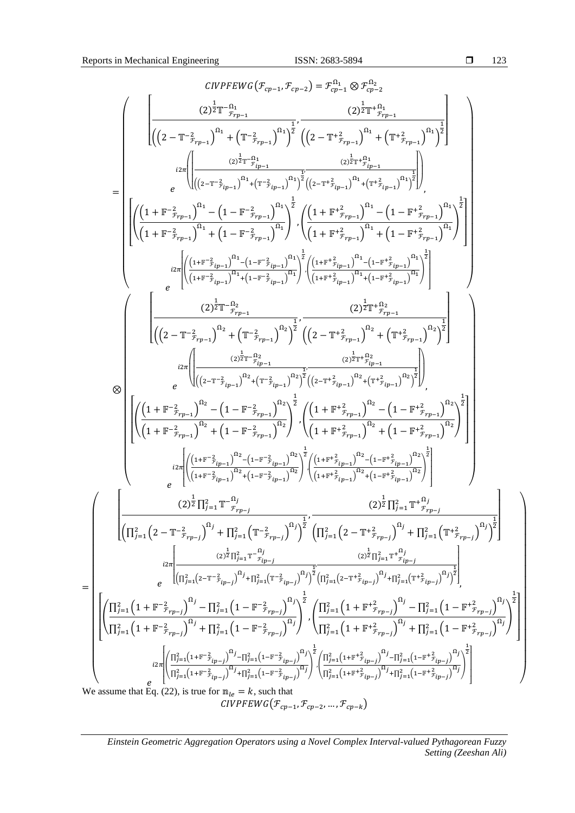=

$$
\begin{split} &\text{CIVPFWO}(\mathcal{F}_{\mathcal{P}^{n-1}},\mathcal{F}_{\mathcal{P}^{n-1}}) = \mathcal{F}_{\mathcal{P}^{n-1}}^{n-1} \otimes \mathcal{F}_{\mathcal{P}^{n-2}}^{n-1} \\ &\text{if} \ (\|2-\mathbf{T}^{-2}\hat{\gamma}_{\mathcal{P}^{n-1}})^{n_1} + \left(\mathbf{T}^{-2}\hat{\gamma}_{\mathcal{P}^{n-1}}\right)^{n_1} \mathcal{F}_{\mathcal{P}^{n-1}}^{(1)} \left(\|2-\mathbf{T}^{+2}\hat{\gamma}_{\mathcal{P}^{n-1}}\right)^{n_1} \mathcal{F}_{\mathcal{P}^{n-1}}^{(1)} \left(\|2-\mathbf{T}^{+2}\hat{\gamma}_{\mathcal{P}^{n-1}}\right)^{n_1} \mathcal{F}_{\mathcal{P}^{n-1}}^{(1)} \right) \\ = & \begin{bmatrix} \frac{1}{\pi} \left[\left((1+\mathbf{F}^{-2}\hat{\gamma}_{\mathcal{P}^{n-1}})^{n_1} + (1-\hat{\gamma}_{\mathcal{P}^{n-1}})^{n_1} \right)^2 \left((2-\mathbf{T}^{+2}\hat{\gamma}_{\mathcal{P}^{n-1}})^{n_1} + (\mathbf{T}^{+2}\hat{\gamma}_{\mathcal{P}^{n-1}})^{n_1} \right)^2 \right] \\ \frac{1}{\pi} \left[\left(\frac{\left(1+\mathbf{F}^{-2}\hat{\gamma}_{\mathcal{P}^{n-1}}\right)^{n_1} + \left(1-\mathbf{F}^{-2}\hat{\gamma}_{\mathcal{P}^{n-1}}\right)^{n_1} \right)^2 \left((1+\mathbf{F}^{+2}\hat{\gamma}_{\mathcal{P}^{n-1}})^{n_1} + (1-\mathbf{F}^{+2}\hat{\gamma}_{\mathcal{P}^{n-1}})^{n_1} \right)^2 \right] } \\ \frac{1}{\pi} \left[\left(\frac{\left(1+\mathbf{F}^{-2}\hat{\gamma}_{\mathcal{P}^{n-1}}\right)^{n_1} + \left(1-\mathbf{F}^{-2}\hat{\gamma}_{\mathcal{P}^{n-1}}\right)^{n_1} \right)^2}{\left((1+\mathbf{F}^{+2}\hat{\gamma}_{\mathcal{P}^{n-1}})^{n
$$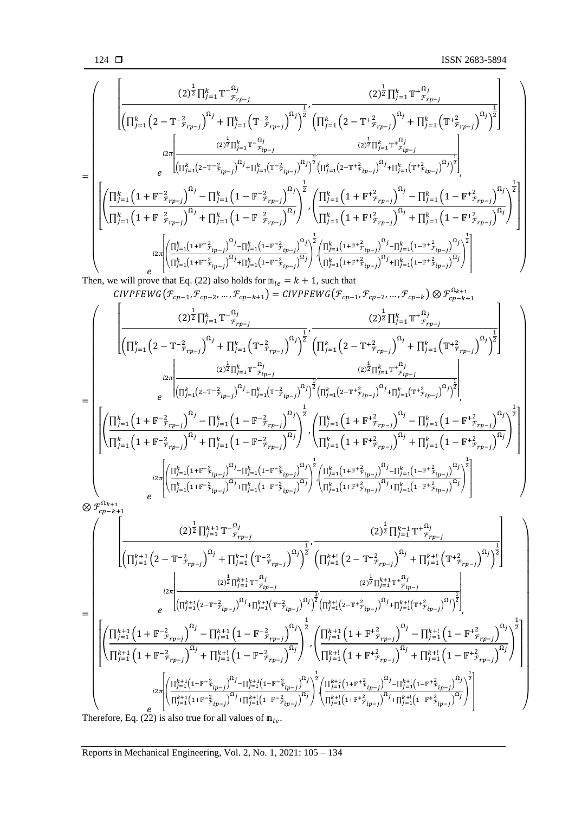= ( [ (2) 1 <sup>2</sup> ∏ − ℱ− Ω =1 (∏ (2− <sup>−</sup> ℱ− 2 ) Ω =1 + ∏ (<sup>−</sup> ℱ− 2 ) Ω =1 ) 1 2 , (2) 1 <sup>2</sup> ∏ + ℱ− Ω =1 (∏ (2 − <sup>+</sup> ℱ− 2 ) Ω =1 + ∏ (<sup>+</sup> ℱ− 2 ) Ω =1 ) 1 2 ] 2 [ (2) 1 2 ∏ − ℱ− Ω =1 (∏ (2−− ℱ− 2 ) Ω =1 +∏ (<sup>−</sup> ℱ− 2 ) Ω =1 ) 1 2 , (2) 1 2 ∏ + ℱ− Ω =1 (∏ (2−+ ℱ− 2 ) Ω =1 +∏ (<sup>+</sup> ℱ− 2 ) Ω =1 ) 1 2 ] , [ ( ∏ (1+ − ℱ− 2 ) <sup>Ω</sup> =1 − ∏ (1− − ℱ− 2 ) <sup>Ω</sup> =1 ∏ (1+ <sup>−</sup> ℱ− 2 ) Ω =1 + ∏ (1− <sup>−</sup> ℱ− 2 ) Ω =1 ) 1 2 ,( ∏ (1 + + ℱ− 2 ) <sup>Ω</sup> =1 − ∏ (1 − + ℱ− 2 ) <sup>Ω</sup> =1 ∏ (1 +<sup>+</sup> ℱ− 2 ) Ω =1 + ∏ (1 −<sup>+</sup> ℱ− 2 ) Ω =1 ) 1 2 ] 2 [ ( ∏ (1+ − ℱ− 2 ) Ω =1 −∏ (1− − ℱ− 2 ) Ω =1 ∏ (1+− ℱ− 2 ) Ω =1 +∏ (1−<sup>−</sup> ℱ− 2 ) Ω =1 ) 1 2 ,( ∏ (1+ + ℱ− 2 ) Ω =1 −∏ (1− + ℱ− 2 ) Ω =1 ∏ (1++ ℱ− 2 ) Ω =1 +∏ (1−<sup>+</sup> ℱ− 2 ) Ω =1 ) 1 2 ] ) Then, we will prove that Eq. (22) also holds for = + 1, such that (ℱ−1 ,ℱ−2 , … ,ℱ−+1) = (ℱ−1 ,ℱ−2 , … ,ℱ−) ⊗ ℱ−+1 Ω+1 = ( [ (2) 1 <sup>2</sup> ∏ − ℱ− Ω =1 (∏ (2− <sup>−</sup> ℱ− 2 ) Ω =1 + ∏ (<sup>−</sup> ℱ− 2 ) Ω =1 ) 1 2 , (2) 1 <sup>2</sup> ∏ + ℱ− Ω =1 (∏ (2 − <sup>+</sup> ℱ− 2 ) Ω =1 + ∏ (<sup>+</sup> ℱ− 2 ) Ω =1 ) 1 2 ] 2 [ (2) 1 2 ∏ − ℱ− Ω =1 (∏ (2−− ℱ− 2 ) Ω =1 +∏ (<sup>−</sup> ℱ− 2 ) Ω =1 ) 1 2 , (2) 1 2 ∏ + ℱ− Ω =1 (∏ (2−+ ℱ− 2 ) Ω =1 +∏ (<sup>+</sup> ℱ− 2 ) Ω =1 ) 1 2 ] , [ ( ∏ (1+ − ℱ− 2 ) <sup>Ω</sup> =1 − ∏ (1− − ℱ− 2 ) <sup>Ω</sup> =1 ∏ (1+ <sup>−</sup> ℱ− 2 ) Ω =1 + ∏ (1− <sup>−</sup> ℱ− 2 ) Ω =1 ) 1 2 ,( ∏ (1 + + ℱ− 2 ) <sup>Ω</sup> =1 − ∏ (1 − + ℱ− 2 ) <sup>Ω</sup> =1 ∏ (1 +<sup>+</sup> ℱ− 2 ) Ω =1 + ∏ (1 −<sup>+</sup> ℱ− 2 ) Ω =1 ) 1 2 ] 2 [ ( ∏ (1+ − ℱ− 2 ) Ω =1 −∏ (1− − ℱ− 2 ) Ω =1 ∏ (1+− ℱ− 2 ) Ω =1 +∏ (1−<sup>−</sup> ℱ− 2 ) Ω =1 ) 1 2 ,( ∏ (1+ + ℱ− 2 ) Ω =1 −∏ (1− + ℱ− 2 ) Ω =1 ∏ (1++ ℱ− 2 ) Ω =1 +∏ (1−<sup>+</sup> ℱ− 2 ) Ω =1 ) 1 2 ] ) ⊗ ℱ−+1 Ω+1 (∏ (2 − <sup>−</sup> ℱ− 2 ) Ω +1 =1 + ∏ (<sup>−</sup> ℱ− 2 ) Ω +1 =1 ) 2 (∏ (2− <sup>+</sup> ℱ− 2 ) Ω +! =1 + ∏ (<sup>+</sup> ℱ− 2 ) Ω +! =1 ) 2 (2) 1 <sup>2</sup> ∏ − ℱ− +1 Ω =1 1 , (2) 1 <sup>2</sup> ∏ + ℱ− +1 Ω =1 1 

=  $\bigwedge$ L L L L Ł Ł L L L Ł Ł L  $\vert$  $\overline{\phantom{a}}$  $\boldsymbol{e}$  $i2\pi$  $\begin{split} (2)^{\tfrac{1}{2}}\prod_{j=1}^{k+1}\mathbb{T}^{-\tfrac{\Omega_j}{f}}\\ \sqrt{\left(\prod_{j=1}^{k+1}\left(2-\mathbb{T}^{-\tfrac{2}{f}}ip-j\right)^{\Omega_j}+\prod_{j=1}^{k+1}\right)}\end{split}$  $\left(\prod_{j=1}^{k+1} \left(2-\mathbb{T}^{-2} \mathbf{1}_{ip-j}\right)^{\Omega_j} + \prod_{j=1}^{k+1} \left(\mathbb{T}^{-2} \mathbf{1}_{ip-j}\right)^{\Omega_j}\right)$  $\frac{1}{2}$ ,  ${(2)}^{\tfrac{1}{2}}{\prod_{j=1}^{k+1} \mathbb{T}^{+}}^{\Omega_j}_{fip-j}$  $\left(\prod_{j=1}^{k+l} \left(2-\mathbb{T}^+\bar{\mathcal{F}}_{ip-j}\right)^{\Omega_j} + \prod_{j=1}^{k+l} \left(\mathbb{T}^+\bar{\mathcal{F}}_{ip-j}\right)^{\Omega_j}\right)$  $\frac{1}{2}$ ] ,  $\overline{a}$ I I I ł (  $\prod_{j=1}^{k+1} \left(1 + \mathbb{F}^{-2}_{\mathcal{F}_{rp - j}} \right)^{\Omega_j} - \prod_{j=1}^{k+1} \left(1 - \mathbb{F}^{-2}_{\mathcal{F}_{rp - j}} \right)^{\Omega_j}$  $\prod_{j=1}^{k+1} \left(1 + \mathbb{F}^{-2}_{\mathcal{F}_{rp-j}} \right)^{\Omega_j} + \prod_{j=1}^{k+l} \left(1 - \mathbb{F}^{-2}_{\mathcal{F}_{rp-j}} \right)^{\Omega_j}$ )  $\frac{1}{2}$ ,(  $\prod_{j=1}^{k+1} \Big(1 + \mathbb{F}^+_{\mathcal{F}_{rp - j}}\Big)^{\Omega_j} - \prod_{j=1}^{k+l} \Big(1 - \mathbb{F}^+_{\mathcal{F}_{rp - j}}^2\Big)^{\Omega_j}$  $\prod_{j=1}^{k+l} \left( 1 + {\mathbb F^+}^2_{{\mathcal F}_{rp-j}} \right)^{\Omega_j} + \prod_{j=1}^{k+l} \left( 1 - {\mathbb F^+}^2_{{\mathcal F}_{rp-j}} \right)^{\Omega_j}$ )  $\frac{1}{2}$  $\overline{\phantom{a}}$  $\overline{\phantom{a}}$  $\overline{\phantom{a}}$  $\overline{\phantom{a}}$  $\overline{\phantom{a}}$ e  $i2\pi$ |<br>|<br>|<br>|  $\left( \frac{\prod_{j=1}^{k+1} \left(1+\mathbb{F}^{-2} \mathcal{F}_{ip-j}\right)^{\Omega_j} - \prod_{j=1}^{k+1} \left(1-\mathbb{F}^{-2} \mathcal{F}_{ip-j}\right)^{\Omega_j}}{0} \right)$  $\Pi_{j=1}^{k+1} \left( 1 + \mathbb{F}^{-2} \mathcal{F}_{ip-j} \right)^{\Omega_j} + \prod_{j=1}^{k+1} \left( 1 - \mathbb{F}^{-2} \mathcal{F}_{ip-j} \right)^{\Omega_j}$ )  $\frac{1}{2}$  $\int \left( \frac{\prod_{j=1}^{k+1} \left(1+\mathbb{F}^+ \hat{\mathcal{F}}_{ip-j} \right)^{\Omega_j} - \prod_{j=1}^{k+1} \left(1-\mathbb{F}^+ \hat{\mathcal{F}}_{ip-j} \right)^{\Omega_j}}{\Omega} \right)$  $\Pi_{j=1}^{k+1} \left(1+\mathbb{F}^{\pm \frac{2}{r}}_{ip-j}\right)^{\Omega_j} + \Pi_{j=1}^{k+1} \left(1-\mathbb{F}^{\pm \frac{2}{r}}_{ip-j}\right)^{\Omega_j}$ )  $\frac{1}{2}$ ]  $\overline{\phantom{a}}$  $\overline{\phantom{a}}$  $\overline{\phantom{a}}$  $\mathsf{I}$  $\overline{\phantom{a}}$  $\mathsf{I}$  $\mathsf{I}$  $\blacksquare$  $\overline{\phantom{a}}$  $\overline{\phantom{a}}$  $\overline{\phantom{a}}$  $\overline{\phantom{a}}$  $\overline{\phantom{a}}$  $\overline{\phantom{a}}$ 

Therefore, Eq. (22) is also true for all values of  $m_{le}$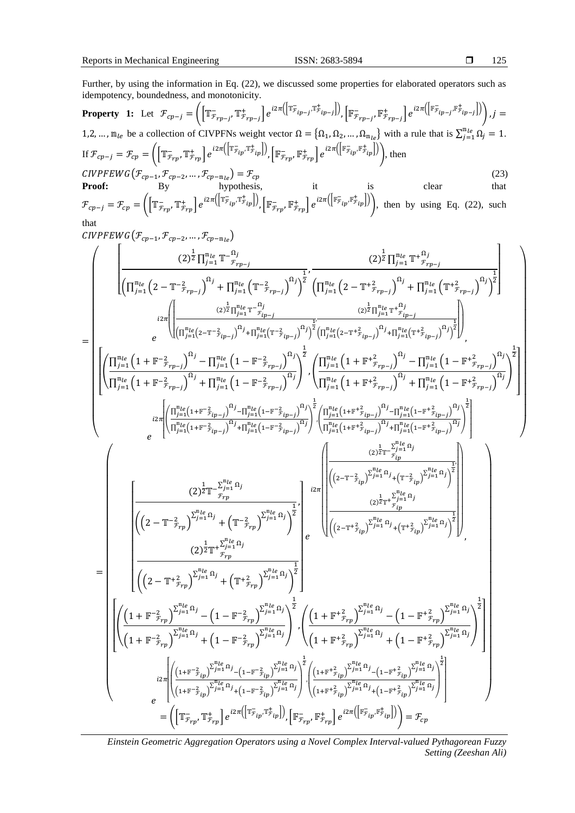125

 $\overline{\phantom{a}}$ 

 $\overline{\phantom{a}}$  $\overline{\phantom{a}}$  $\mathsf{I}$  $\mathsf{I}$  $\mathsf{I}$  $\vert \ \vert$  $\mathsf{I}$  $\overline{\phantom{a}}$  $\overline{\phantom{a}}$  $\overline{\phantom{a}}$  $\overline{\phantom{a}}$  $\overline{\phantom{a}}$  $\overline{\phantom{a}}$  $\overline{\phantom{a}}$  $\overline{\phantom{a}}$ 

Further, by using the information in Eq. (22), we discussed some properties for elaborated operators such as idempotency, boundedness, and monotonicity.  $\sqrt{r}$  $\frac{1}{2}$ 

**Property 1:** Let 
$$
\mathcal{F}_{cp-j} = \left( \left[ \mathbb{T}^{-}_{\mathcal{F}_{rp-j}}, \mathbb{T}^{+}_{\mathcal{F}_{rp-j}} \right] e^{i2\pi \left( \left[ \mathbb{T}^{-}_{\mathcal{F}_{ip-j}}, \mathbb{T}^{+}_{\mathcal{F}_{ip-j}} \right] \right)}, \left[ \mathbb{F}^{-}_{\mathcal{F}_{rp-j}}, \mathbb{F}^{+}_{\mathcal{F}_{rp-j}} \right] e^{i2\pi \left( \left[ \mathbb{F}^{-}_{\mathcal{F}_{ip-j}}, \mathbb{F}^{+}_{\mathcal{F}_{ip-j}} \right] \right)} \right), j = 1, 2, ..., m_{le}
$$
 be a collection of CIVPFNs weight vector  $\Omega = \{\Omega_1, \Omega_2, ..., \Omega_{m_{le}}\}$  with a rule that is  $\sum_{j=1}^{m_{le}} \Omega_j = 1$ .  
If  $\mathcal{F}_{cp-j} = \mathcal{F}_{cp} = \left( \left[ \mathbb{T}^{-}_{\mathcal{F}_{rp}}, \mathbb{T}^{+}_{\mathcal{F}_{rp}} \right] e^{i2\pi \left( \left[ \mathbb{F}^{-}_{\mathcal{F}_{ip}}, \mathbb{F}^{+}_{\mathcal{F}_{rp}} \right] \right)} \right), \left[ \mathbb{F}^{-}_{\mathcal{F}_{rp}}, \mathbb{F}^{+}_{\mathcal{F}_{rp}} \right] e^{i2\pi \left( \left[ \mathbb{F}^{-}_{\mathcal{F}_{ip}}, \mathbb{F}^{+}_{\mathcal{F}_{ip}} \right] \right)} \right),$  then  
\n*CIVPFEWG* $(\mathcal{F}_{cp-1}, \mathcal{F}_{cp-2}, ..., \mathcal{F}_{cp-m_{le}}) = \mathcal{F}_{cp}$  (23)

**Proof:** By hypothesis, it is clear that 
$$
\mathcal{F}_{cp-j} = \mathcal{F}_{cp} = \left( \left[ \mathbb{T}_{\mathcal{F}_{rp}}^-, \mathbb{T}_{\mathcal{F}_{rp}}^+ \right] e^{i2\pi \left( \left[ \mathbb{T}_{\mathcal{F}_{ip}}^-, \mathbb{T}_{\mathcal{F}_{ip}}^+ \right] \right)}, \left[ \mathbb{F}_{\mathcal{F}_{rp}}^-, \mathbb{F}_{\mathcal{F}_{rp}}^+ \right] e^{i2\pi \left( \left[ \mathbb{F}_{\mathcal{F}_{ip}}^-, \mathbb{F}_{\mathcal{F}_{ip}}^+ \right] \right)} \right), \text{ then by using Eq. (22), such that}
$$

that

$$
\begin{split} &\text{CIVPFWG}(F_{cp-1},F_{cp-2},\ldots,F_{cp-n_{0}})\\ &=\left(\begin{aligned} &\left[\frac{(2)^{\frac{1}{2}}\prod_{j=1}^{n_{0}}\prod_{j=1}^{n_{0}}\prod_{j=1}^{n_{0}}\left(1-\tilde{\tau}_{r_{p-j}}^{2}\right)^{2j}\right]^{2j}\left(\prod_{j=1}^{n_{0}}\left(2-\tilde{\tau}_{r_{p-j}}^{2}\right)^{2j}\right)^{1}+\prod_{j=1}^{n_{0}}\left(\tilde{\tau}_{r_{p-j}}^{2}\right)^{2j}\right)^{1}+\prod_{j=1}^{n_{0}}\left(\tilde{\tau}_{r_{p-j}}^{2}\right)^{2j}\right)^{1}+\prod_{j=1}^{n_{0}}\left(\tilde{\tau}_{r_{p-j}}^{2}\right)^{2j}\right)^{1}+\prod_{j=1}^{n_{0}}\left(\tilde{\tau}_{r_{p-j}}^{2}\right)^{2j}\left(\tilde{\tau}_{r_{p-j}}^{2}\right)^{2j}\left(\tilde{\tau}_{r_{p-j}}^{2}\right)^{2j}\left(\tilde{\tau}_{r_{p-j}}^{2}\right)^{2j}\right)^{1}+\prod_{j=1}^{n_{0}}\left(\tilde{\tau}_{r_{p-j}}^{2}\right)^{2j}\right)^{1}+\prod_{j=1}^{n_{0}}\left(\tilde{\tau}_{r_{p-j}}^{2}\right)^{2j}\left(\tilde{\tau}_{r_{p-j}}^{2}\right)^{2j}\left(\tilde{\tau}_{r_{p-j}}^{2}\right)^{2j}\left(\tilde{\tau}_{r_{p-j}}^{2}\right)^{2j}\left(\tilde{\tau}_{r_{p-j}}^{2}\right)^{2j}\left(\tilde{\tau}_{r_{p-j}}^{2}\right)^{2j}\left(\tilde{\tau}_{r_{p-j}}^{2}\right)^{2j}\left(\tilde{\tau}_{r_{p-j}}^{2}\right)^{2j}\right)^{1}+\prod_{j=1}^{n_{0}}\left(1-\tilde{\tau}_{r_{p-j}}^{2}\right)^{2j}\right)^{1}+\prod_{j=1}^{n_{0}}\left(1-\tilde{\tau}_{r_{p-j}}^{2}\right)^{2j}\left(\tilde{\tau}_{r_{p-j}}^{2}\right)^{2j}\left(\tilde{\tau}_{r_{p-j}}^{2}\right)^{2j}\left(\tilde{\tau}_{r_{p-j}}^{2}\right)^{2j}\left(\tilde{\tau
$$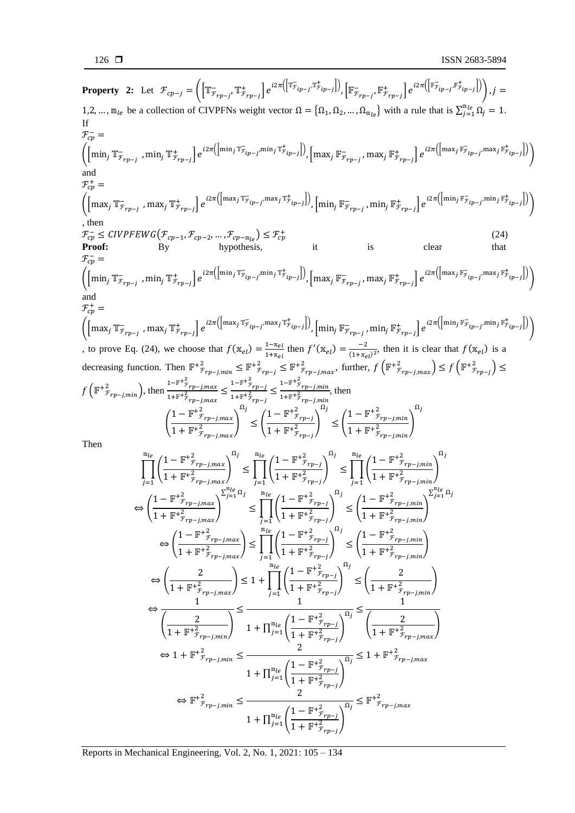**Property 2:** Let  $\mathcal{F}_{cp-j} = \left( \left[ \mathbb{T}^{-}_{\mathcal{F}_{rp-j}}, \mathbb{T}^{+}_{\mathcal{F}_{rp-j}} \right] e^{i2\pi \left( \left[ \mathbb{T}^{-}_{\mathcal{F}_{ip-j}}, \mathbb{T}^{+}_{\mathcal{F}_{ip-j}} \right] \right)}, \left[ \mathbb{F}^{-}_{\mathcal{F}_{rp-j}}, \mathbb{F}^{+}_{\mathcal{F}_{rp-j}} \right] e^{i2\pi \left( \left[ \mathbb{F}^{-}_{\mathcal{F}_{ip-j}}, \mathbb{F}^{+}_{\mathcal{F}_{ip-j}} \right] \right)} \right), j =$ 1,2, ...,  $m_{le}$  be a collection of CIVPFNs weight vector  $\Omega = {\Omega_1, \Omega_2, ..., \Omega_{m_{le}}}\$  with a rule that is  $\sum_{j=1}^{m_{le}} \Omega_j = 1$ . If  $\mathcal{F}_{cp}^-$  =  $\left(\left[\min_j \mathbb{T}^-_{\mathcal{F}_{rp-j}}\right], \min_j \mathbb{T}^+_{\mathcal{F}_{rp-j}}\right]e^{i2\pi\left(\left[\min_j \mathbb{T}^-_{\mathcal{F}_{ip-j}}\right], \min_j \mathbb{T}^+_{\mathcal{F}_{ip-j}}\right)}\right), \left[\max_j \mathbb{F}^-_{\mathcal{F}_{rp-j}}, \max_j \mathbb{F}^+_{\mathcal{F}_{rp-j}}\right]e^{i2\pi\left(\left[\max_j \mathbb{F}^-_{\mathcal{F}_{ip-j}}\right], \min_j \mathbb{F}^+_{\mathcal{F}_{ip-j}}\right]\right)}\right)$ and  $\mathcal{F}_{cp}^+ =$  $\left(\left[\max_j \mathbb{T}^-_{\mathcal{F}_{rp-j}}\right],\max_j \mathbb{T}^+_{\mathcal{F}_{rp-j}}\right]e^{i2\pi\left(\left[\max_j \mathbb{T}^-_{\mathcal{F}_{ip-j}}\max_j \mathbb{T}^+_{\mathcal{F}_{ip-j}}\right]\right)},\left[\min_j \mathbb{F}^-_{\mathcal{F}_{rp-j}},\min_j \mathbb{F}^+_{\mathcal{F}_{rp-j}}\right]e^{i2\pi\left(\left[\min_j \mathbb{F}^-_{\mathcal{F}_{ip-j}}\min_j \mathbb{F}^+_{\mathcal{F}_{ip-j}}\right]\right)}\right)$ , then  $\mathcal{F}_{cp}^{-} \leq \text{CIVPFEWG}(\mathcal{F}_{cp-1}, \mathcal{F}_{cp-2}, \dots, \mathcal{F}_{cp-m_{le}}) \leq \mathcal{F}_{cp}^{+}$  $_{\rm cp}^+$  (24) **Proof:** By hypothesis, it is clear that  $\mathcal{F}_{cp}^-$  =  $\left(\left[\min_j \mathbb{T}^-_{\mathcal{F}_{rp-j}}\right], \min_j \mathbb{T}^+_{\mathcal{F}_{rp-j}}\right]e^{i2\pi\left(\left[\min_j \mathbb{T}^-_{\mathcal{F}_{ip-j}}\right], \min_j \mathbb{T}^+_{\mathcal{F}_{ip-j}}\right)}\right), \left[\max_j \mathbb{F}^-_{\mathcal{F}_{rp-j}} , \max_j \mathbb{F}^+_{\mathcal{F}_{rp-j}}\right]e^{i2\pi\left(\left[\max_j \mathbb{F}^-_{\mathcal{F}_{ip-j}}\right], \min_j \mathbb{F}^+_{\mathcal{F}_{ip-j}}\right]\right)}\right)$ and  $\mathcal{F}_{cp}^+ =$  $\left(\left[\max_j \mathbb{T}^-_{\mathcal{F}_{rp-j}}\right],\max_j \mathbb{T}^+_{\mathcal{F}_{rp-j}}\right]e^{i2\pi\left(\left[\max_j \mathbb{T}^-_{\mathcal{F}_{ip-j}}\max_j \mathbb{T}^+_{\mathcal{F}_{ip-j}}\right]\right)},\left[\min_j \mathbb{F}^-_{\mathcal{F}_{rp-j}},\min_j \mathbb{F}^+_{\mathcal{F}_{rp-j}}\right]e^{i2\pi\left(\left[\min_j \mathbb{F}^-_{\mathcal{F}_{ip-j}}\min_j \mathbb{F}^+_{\mathcal{F}_{ip-j}}\right]\right)}\right)$ , to prove Eq. (24), we choose that  $f(\mathbf{x}_{el}) = \frac{1-\mathbf{x}_{el}}{1+\mathbf{x}_{el}}$  $\frac{1-x_{el}}{1+x_{el}}$  then  $f'(\mathbf{x}_{el}) = \frac{-2}{(1+x_e)}$  $\frac{-2}{(1+x_{el})^2}$ , then it is clear that  $f(x_{el})$  is a decreasing function. Then  $\mathbb{F}_{\mathcal{F}_{rp-j,min}}^{+2} \leq \mathbb{F}_{\mathcal{F}_{rp-j}}^{+2} \leq \mathbb{F}_{\mathcal{F}_{rp-j,max}}^{+2}$ , further,  $f\left(\mathbb{F}_{\mathcal{F}_{rp-j,max}}^{+2}\right) \leq f\left(\mathbb{F}_{\mathcal{F}_{rp-j}}^{+2}\right) \leq$  $f\left(\mathbb{F}^{\pm 2}_{r_{rp-j,min}}\right)$ , then  $\frac{1-\mathbb{F}^{\pm 2}_{r_{rp-j,max}}}{1+\mathbb{F}^{\pm 2}_{r}}$  $\frac{1-\mathbb{F}^+ \frac{2}{r}}{1+\mathbb{F}^+ \frac{2}{r}}_{rp-j, max} \leq \frac{1-\mathbb{F}^+ \frac{2}{r}}{1+\mathbb{F}^+ \frac{2}{r}}_{rp-j}$  $\frac{1-\mathbb{F}^+ \frac{2}{r}}{1+\mathbb{F}^+ \frac{2}{r}} = \frac{1-\mathbb{F}^+ \frac{2}{r}}{1+\mathbb{F}^+ \frac{2}{r}} = \frac{1-\mathbb{F}^+ \frac{2}{r}}{1+\mathbb{F}^+ \frac{2}{r}} = \frac{1-\mathbb{F}^+ \frac{2}{r}}{1+\mathbb{F}^+ \frac{2}{r}} = \frac{1}{1+\mathbb{F}^+ \frac{2}{r}} = \frac{1}{1+\mathbb{F}^+ \frac{2}{r}} = \frac{1}{1+\mathbb{F}^+ \frac{2}{r}} = \frac{1}{1$  $\frac{r_{p-j, min}}{1+\mathbb{F}^2 \mathcal{F}_{rp-j, min}}$ , then (  $1-\mathbb{F}^{\dagger^2}_{\mathcal{F}_{rp-j,max}}$  $\frac{1+\mathbb{F}^2}{1+\mathbb{F}^2_{r_p-j,max}}$  $\Omega_j$ ≤ (  $1-\mathbb{F}^{\dagger^2}_{r_{rp-j}}$  $\frac{1+\mathbb{F}^2}{1+\mathbb{F}^2_{r-p-j}}$  $\Omega_j$ ≤ (  $1-\mathbb{F}^{\dagger^2}_{\mathcal{F}_{rp-j,min}}$  $\frac{1+\mathbb{F}^2}{1+\mathbb{F}^2_{r_p-j,min}}$  $\Omega_j$ Then  $⊓$ [(  $1-\mathbb{F}^{\dagger^2}_{\mathcal{F}_{rp-j,max}}$  $\frac{1+\mathbb{F}^2 \cdot \mathbb{F}^2}{1+\mathbb{F}^2 \cdot \mathbb{F}^2 \cdot \mathbb{F}^2}$  $m_{le}$  (1  $m+2$   $\qquad \qquad \Omega_j$  $j=1$   $\zeta$   $r=5$   $\eta$   $r=5$   $\eta$   $r=5$   $\eta$   $r=5$   $\eta$   $r=1$ ≤ ∏(  $1-\mathbb{F}^{\dagger^2}_{r_{rp-j}}$  $\frac{1+\mathbb{F}^2}{1+\mathbb{F}^2_{r-p-j}}$  $m_{le}$  (1  $m+2$   $\lambda^{0j}$ ≤ ∏(  $1-\mathbb{F}^{\dagger^2}_{\mathcal{F}_{rp-j,min}}$  $\frac{1 + \mathbb{F}^2 \cdot \mathbb{F}^2}{1 + \mathbb{F}^2 \cdot \mathbb{F}^2 \cdot \mathbb{F}^2}$  $m_{le}$  /1  $m+2$   $\qquad \qquad \Omega_j$ ⇔ (  $1-\mathbb{F}^{\dagger^2}_{\mathcal{F}_{rp-j,max}}$  $\frac{1+\mathbb{F}^2}{1+\mathbb{F}^2_{r_p-j,max}}$  $\sum_{j=1}^{\mathbb{m}_{le}} \Omega_j$ ≤ ∏(  $1 - \mathbb{F}^+_{r_{rp-j}}^2$  $\frac{1 + \mathbb{F}^2}{1 + \mathbb{F}^2_{r_{p-j}}}$  $m_{le}$  (1  $m+2$   $\sqrt{a}$ )  $j=1$ ≤ (  $1-\mathbb{F}^{\dagger^2}_{\mathcal{F}_{rp-j,min}}$  $\frac{1 + \mathbb{F}^2 \cdot \mathbb{F}^2}{1 + \mathbb{F}^2 \cdot \mathbb{F}^2 \cdot \mathbb{F}^2}$  $\sum_{j=1}^{\mathfrak{m}_{le}} \Omega_j$ ⇔ (  $1-\mathbb{F}^{\dagger^2}_{\mathcal{F}_{rp-j,max}}$  $\left( \frac{n_{p-j,\text{max}}}{1+\mathbb{F}^2 \cdot \mathcal{F}_{rp-j,\text{max}}} \right) \leq \prod_{j=1}$  $1 - \mathbb{F}^+_{\mathcal{F}_{rp-j}}^2$  $\frac{1 + \mathbb{F}^2}{1 + \mathbb{F}^2_{r_p-j}}$  $m_{le}$  (1  $m+2$   $\sqrt{a}$ )  $j=1$ ≤ (  $1-\mathbb{F}^{\dagger^2}_{\mathcal{F}_{rp-j,min}}$  $\frac{1 + \mathbb{F}^2}{1 + \mathbb{F}^2 \mathbb{F}_{rp-j,min}}$  $\Leftrightarrow$   $\left(\frac{2}{1+\pi^2}\right)$  $\frac{1}{1+\mathbb{F}^2 \mathbb{F}_{r_{p-j,max}}}\leq 1 + \prod_{j=1}$  $1-\mathbb{F}^{\dagger^2}_{r_{rp-j}}$  $\frac{1+\mathbb{F}^2}{1+\mathbb{F}^2_{r-p-j}}$  $m_{le}$  (1  $m+2$   $\sqrt{\Omega}$ )  $j=1$  $\leq \left( \frac{2}{1+\pi^2} \right)$  $\frac{1+\mathbb{F}^2_{f_{rp-j,min}}}{1+\mathbb{F}_{rp-j,min}}$  $\Leftrightarrow$   $\frac{1}{1}$  $\left(\frac{2}{4 \cdot \sqrt{m+2}}\right)$  $1 + \mathbb{F}^{\dagger} \mathcal{F}_{rp-j,min}$  $\frac{2}{2}$  )  $≤$   $\frac{1}{1}$  $1 + \prod_{i=1}^{m_{le}}$ 1 –  $\mathbb{F}^{\dagger^2}_{r_{rp-j}}$  $1 + \mathbb{F}^{\dagger^2}_{r_{rp-j}}$  $\frac{\frac{3}{2}rp-1}{2}$  $\Omega_j$  $\prod_{j=1}^{\mathfrak{m}}$  $\leq$   $\frac{1}{\sqrt{1-\frac{1}{1-\frac{1}{1-\frac{1}{1-\frac{1}{1-\frac{1}{1-\frac{1}{1-\frac{1}{1-\frac{1}{1-\frac{1}{1-\frac{1}{1-\frac{1}{1-\frac{1}{1-\frac{1}{1-\frac{1}{1-\frac{1}{1-\frac{1}{1-\frac{1}{1-\frac{1}{1-\frac{1}{1-\frac{1}{1-\frac{1}{1-\frac{1}{1-\frac{1}{1-\frac{1}{1-\frac{1}{1-\frac{1}{1-\frac{1}{1-\frac{1}{1-\frac{1}{1-\frac{1}{1-\frac{1}{1-\frac{1}{1-\frac{1}{1-\frac{1}{1-\$  $\frac{2}{4 \cdot \pi^2}$  $1 + \mathbb{F}^{\dagger} \mathcal{F}_{rp-j,max}$  $\frac{2}{2}$  )  $\Leftrightarrow 1 + \mathbb{F}^{\dagger^2}_{r_{rp-j,min}} \leq \frac{2}{\sqrt{2\pi}}$  $1 + \prod_{i=1}^{m}$ 1 –  $\mathbb{F}^{\dagger^2}_{r_{rp-j}}$  $1 + \mathbb{F}^{\dagger} \mathcal{F}_{rp-j}$  $\frac{\binom{3}{2} + \binom{7}{2}}{2}$  $\Omega_j$  $\sum_{j=1}^{\mathfrak{m}}$  $\leq 1 + \mathbb{F}^{\dagger^2} \mathcal{F}_{rp-j,max}$  $\Leftrightarrow \mathbb{F}^{\dagger}{}_{\mathcal{F}_{rp-j,min}}^2 \leq \frac{2}{\sqrt{2\pi}}$  $1 + \prod_{i=1}^{m_{le}}$ 1 –  $\mathbb{F}^{\dagger^2}_{r_{rp-j}}$  $1 + \mathbb{F}^{\dagger}{}_{\mathcal{F}_{rp-j}}^2$  $\frac{\frac{3}{2}rp-1}{2}$  $\Omega_j$  $\prod_{j=1}^{\mathfrak{m}}$  $\leq \mathbb{F}^{\dagger^2}_{\mathcal{F}_{rp-j,max}}$ 

Reports in Mechanical Engineering*,* Vol. 2, No. 1, 2021: 105 – 134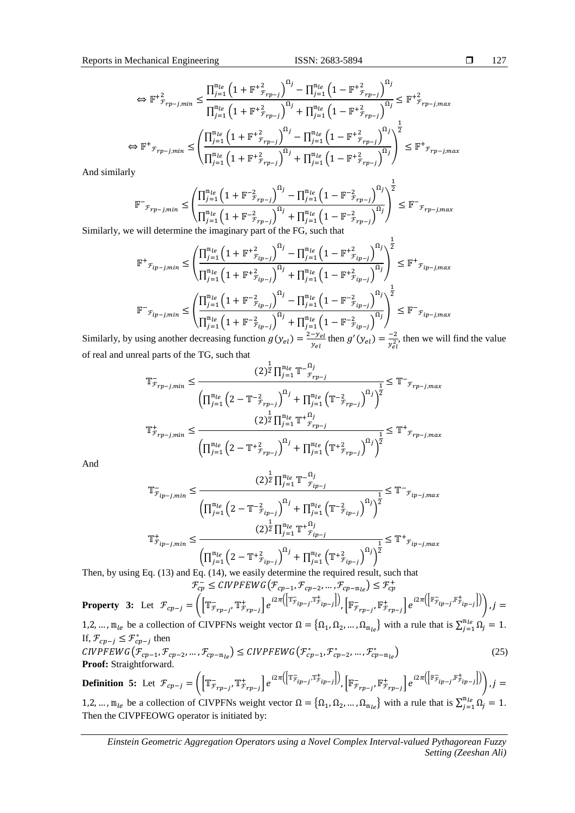1

$$
\Leftrightarrow \mathbb{F}^{+}{}_{r_{rp-j,min}}^{2} \leq \frac{\prod_{j=1}^{\mathbb{m}_{le}} \left(1 + \mathbb{F}^{+}{}_{r_{rp-j}}^{2}\right)^{\Omega_{j}} - \prod_{j=1}^{\mathbb{m}_{le}} \left(1 - \mathbb{F}^{+}{}_{r_{rp-j}}^{2}\right)^{\Omega_{j}}}{\prod_{j=1}^{\mathbb{m}_{le}} \left(1 + \mathbb{F}^{+}{}_{r_{rp-j}}^{2}\right)^{\Omega_{j}} + \prod_{j=1}^{\mathbb{m}_{le}} \left(1 - \mathbb{F}^{+}{}_{r_{rp-j}}^{2}\right)^{\Omega_{j}} \leq \mathbb{F}^{+}{}_{r_{rp-j,max}}^{2}}
$$
\n
$$
\Leftrightarrow \mathbb{F}^{+}{}_{r_{rp-j,min}} \leq \left(\frac{\prod_{j=1}^{\mathbb{m}_{le}} \left(1 + \mathbb{F}^{+}{}_{r_{rp-j}}^{2}\right)^{\Omega_{j}} - \prod_{j=1}^{\mathbb{m}_{le}} \left(1 - \mathbb{F}^{+}{}_{r_{rp-j}}^{2}\right)^{\Omega_{j}}}{\prod_{j=1}^{\mathbb{m}_{le}} \left(1 + \mathbb{F}^{+}{}_{r_{rp-j}}^{2}\right)^{\Omega_{j}} + \prod_{j=1}^{\mathbb{m}_{le}} \left(1 - \mathbb{F}^{+}{}_{r_{rp-j}}^{2}\right)^{\Omega_{j}}}\right)^{\frac{1}{2}} \leq \mathbb{F}^{+}{}_{r_{rp-j,max}}
$$

And similarly

$$
\mathbb{F}^{-}\mathbf{F}_{\mathbf{F}_{rp-j,min}} \leq \left(\frac{\prod_{j=1}^{\mathbb{m}_{le}}\left(1+\mathbb{F}^{-2}\mathbf{F}_{rp-j}\right)^{\Omega_{j}}-\prod_{j=1}^{\mathbb{m}_{le}}\left(1-\mathbb{F}^{-2}\mathbf{F}_{rp-j}\right)^{\Omega_{j}}}{\prod_{j=1}^{\mathbb{m}_{le}}\left(1+\mathbb{F}^{-2}\mathbf{F}_{rp-j}\right)^{\Omega_{j}}+\prod_{j=1}^{\mathbb{m}_{le}}\left(1-\mathbb{F}^{-2}\mathbf{F}_{rp-j}\right)^{\Omega_{j}}}\right)^{\frac{1}{2}} \leq \mathbb{F}^{-}\mathbf{F}_{rp-j,max}
$$

Similarly, we will determine the imaginary part of the FG, such that

$$
\mathbb{F}^{+}{}_{\mathcal{F}_{ip-j,min}} \leq \left( \frac{\prod_{j=1}^{\mathfrak{m}_{le}} \left( 1 + \mathbb{F}^{+}{}_{\mathcal{F}_{ip-j}}^{2} \right)^{\Omega_{j}} - \prod_{j=1}^{\mathfrak{m}_{le}} \left( 1 - \mathbb{F}^{+}{}_{\mathcal{F}_{ip-j}}^{2} \right)^{\Omega_{j}}}{\prod_{j=1}^{\mathfrak{m}_{le}} \left( 1 + \mathbb{F}^{+}{}_{\mathcal{F}_{ip-j}}^{2} \right)^{\Omega_{j}} + \prod_{j=1}^{\mathfrak{m}_{le}} \left( 1 - \mathbb{F}^{+}{}_{\mathcal{F}_{ip-j}}^{2} \right)^{\Omega_{j}} \leq \mathbb{F}^{+}{}_{\mathcal{F}_{ip-j,max}}
$$
\n
$$
\mathbb{F}^{-}{}_{\mathcal{F}_{ip-j,min}} \leq \left( \frac{\prod_{j=1}^{\mathfrak{m}_{le}} \left( 1 + \mathbb{F}^{-}{}_{\mathcal{F}_{ip-j}}^{2} \right)^{\Omega_{j}} - \prod_{j=1}^{\mathfrak{m}_{le}} \left( 1 - \mathbb{F}^{-}{}_{\mathcal{F}_{ip-j}}^{2} \right)^{\Omega_{j}} \right)^{\frac{1}{2}} \leq \mathbb{F}^{-}{}_{\mathcal{F}_{ip-j,max}}
$$
\nusing each expression decreasing function  $g(x) = \sum_{j=1}^{2-\mathcal{Y}_{el}}$  then  $g'(x) = \sum_{j=1}^{2} \text{ then } g'(x) = \sum_{j=1}^{2} \text{ then } g'(x) = \sum_{j=1}^{2} \text{ then } g'(x) = \sum_{j=1}^{2} \text{ then } g'(x) = \sum_{j=1}^{2} \text{ then } g'(x) = \sum_{j=1}^{2} \text{ then } g'(x) = \sum_{j=1}^{2} \text{ then } g'(x) = \sum_{j=1}^{2} \text{ then } g'(x) = \sum_{j=1}^{2} \text{ then } g'(x) = \sum_{j=1}^{2} \text{ then } g'(x) = \sum_{j=1}^{2} \text{ then } g'(x) = \sum_{j=1}^{2} \text{ then } g'(x) = \sum_{j=1}^{2} \text{ then } g'(x) = \sum_{$ 

Similarly, by using another decreasing function  $g(y_{el}) = \frac{2-y_{el}}{y_{el}}$  $\frac{-y_{el}}{y_{el}}$  then  $g'(y_{el}) = \frac{-2}{y_{el}^2}$  $\frac{-2}{y_{el}^2}$ , then we will find the value of real and unreal parts of the TG, such that 1  $\Omega$ .

$$
\mathbb{T}_{\mathcal{F}_{rp-j,min}}^{-} \leq \frac{(2)^{\frac{m}{2}} \prod_{j=1}^{m_{le}} \mathbb{T}^{-\frac{\alpha_{j}}{r_{rp-j}}}}{\left(\prod_{j=1}^{m_{le}} \left(2 - \mathbb{T}^{-\frac{2}{2}}_{\mathcal{F}_{rp-j}}\right)^{\Omega_{j}} + \prod_{j=1}^{m_{le}} \left(\mathbb{T}^{-\frac{2}{2}}_{\mathcal{F}_{rp-j}}\right)^{\Omega_{j}}\right)^{\frac{1}{2}}}
$$
\n
$$
\mathbb{T}_{\mathcal{F}_{rp-j,min}}^{+} \leq \frac{(2)^{\frac{1}{2}} \prod_{j=1}^{m_{le}} \mathbb{T}^{+\frac{\Omega_{j}}{r_{rp-j}}}}{\left(\prod_{j=1}^{m_{le}} \left(2 - \mathbb{T}^{+\frac{2}{2}}_{\mathcal{F}_{rp-j}}\right)^{\Omega_{j}} + \prod_{j=1}^{m_{le}} \left(\mathbb{T}^{+\frac{2}{2}}_{\mathcal{F}_{rp-j}}\right)^{\Omega_{j}}\right)^{\frac{1}{2}}} \leq \mathbb{T}^{+}_{\mathcal{F}_{rp-j,max}}
$$

And

$$
\mathbb{T}_{\bar{r}_{ip-j,min}}^{-} \leq \frac{(2)^{\frac{1}{2}} \prod_{j=1}^{\mathbb{m}_{le}} \mathbb{T}^{-\mathcal{S}_{ip-j}}_{\bar{r}_{ip-j}}}{\left(\prod_{j=1}^{\mathbb{m}_{le}} \left(2 - \mathbb{T}^{-\frac{2}{\bar{r}_{ip-j}}}\right)^{\Omega_{j}} + \prod_{j=1}^{\mathbb{m}_{le}} \left(\mathbb{T}^{-\frac{2}{\bar{r}_{ip-j}}}\right)^{\Omega_{j}}\right)^{\frac{1}{2}}} \leq \mathbb{T}^{-}_{\bar{r}_{ip-j,max}}
$$
\n
$$
\mathbb{T}_{\bar{r}_{ip-j,min}}^{+} \leq \frac{(2)^{\frac{1}{2}} \prod_{j=1}^{\mathbb{m}_{le}} \mathbb{T}^{+\mathcal{S}_{ip}}_{\bar{r}_{ip-j}}}{\left(\prod_{j=1}^{\mathbb{m}_{le}} \left(2 - \mathbb{T}^{+\frac{2}{\bar{r}_{ip-j}}}\right)^{\Omega_{j}} + \prod_{j=1}^{\mathbb{m}_{le}} \left(\mathbb{T}^{+\frac{2}{\bar{r}_{ip-j}}}\right)^{\Omega_{j}}\right)^{\frac{1}{2}}} \leq \mathbb{T}^{+}_{\bar{r}_{ip-j,max}}
$$

Then, by using Eq. (13) and Eq. (14), we easily determine the required result, such that  $\mathcal{F}_{cp}^{-} \leq \text{CIVPFEWG}(\mathcal{F}_{cp-1}, \mathcal{F}_{cp-2}, \dots, \mathcal{F}_{cp-m_{le}}) \leq \mathcal{F}_{cp}^{+}$ 

**Property 3:** Let 
$$
\mathcal{F}_{cp-j} = \left( \left[ \mathbb{T}^-_{\mathcal{F}_{rp-j}}, \mathbb{T}^+_{\mathcal{F}_{rp-j}} \right] e^{i2\pi \left( \left[ \mathbb{T}^-_{\mathcal{F}_{ip-j}}, \mathbb{T}^+_{\mathcal{F}_{ip-j}} \right] \right)}, \left[ \mathbb{F}^-_{\mathcal{F}_{rp-j}}, \mathbb{F}^+_{\mathcal{F}_{rp-j}} \right] e^{i2\pi \left( \left[ \mathbb{F}^-_{\mathcal{F}_{ip-j}}, \mathbb{F}^+_{\mathcal{F}_{ip-j}} \right] \right)} \right), j = 1, 2, \dots, b
$$
 as a collection of CIVPENs, weight vector,  $0 = \{0, 0, \dots, 0\}$ , with a rule that is  $\sum^{\mathfrak{m}_{le}} 0, -1$ .

1,2, ...,  $m_{le}$  be a collection of CIVPFNs weight vector  $\Omega = {\Omega_1, \Omega_2, ..., \Omega_{m_{le}}}$  with a rule that is  $\sum_{j=1}^{m_{le}} \Omega_j = 1$ . If,  $\mathcal{F}_{cp-j} \leq \mathcal{F}_{cp-j}^*$  then

$$
CIVPFEWG(\mathcal{F}_{cp-1}, \mathcal{F}_{cp-2}, \dots, \mathcal{F}_{cp-m_{le}}) \le CIVPFEWG(\mathcal{F}_{cp-1}^*, \mathcal{F}_{cp-2}^*, \dots, \mathcal{F}_{cp-m_{le}}^*)
$$
\n(25) **Proof:** Straightforward.

**Definition 5:** Let  $\mathcal{F}_{cp-j} = \left( \left[ \mathbb{T}^-_{\mathcal{F}_{rp-j}}, \mathbb{T}^+_{\mathcal{F}_{rp-j}} \right] e^{i2\pi \left( \left[ \mathbb{T}^-_{\mathcal{F}_{ip-j}}, \mathbb{F}^+_{\mathcal{F}_{ip-j}} \right], \right)} \right)$ ,  $\left[ \mathbb{F}^-_{\mathcal{F}_{rp-j}}, \mathbb{F}^+_{\mathcal{F}_{rp-j}} \right] e^{i2\pi \left( \left[ \mathbb{F}^-_{\mathcal{F}_{ip-j}}, \mathbb{F}^+_{\mathcal{F}_{ip-j$ 

1,2, ...,  $m_{le}$  be a collection of CIVPFNs weight vector  $\Omega = {\Omega_1, \Omega_2, ..., \Omega_{m_{le}}}\$  with a rule that is  $\sum_{j=1}^{m_{le}} \Omega_j = 1$ . Then the CIVPFEOWG operator is initiated by: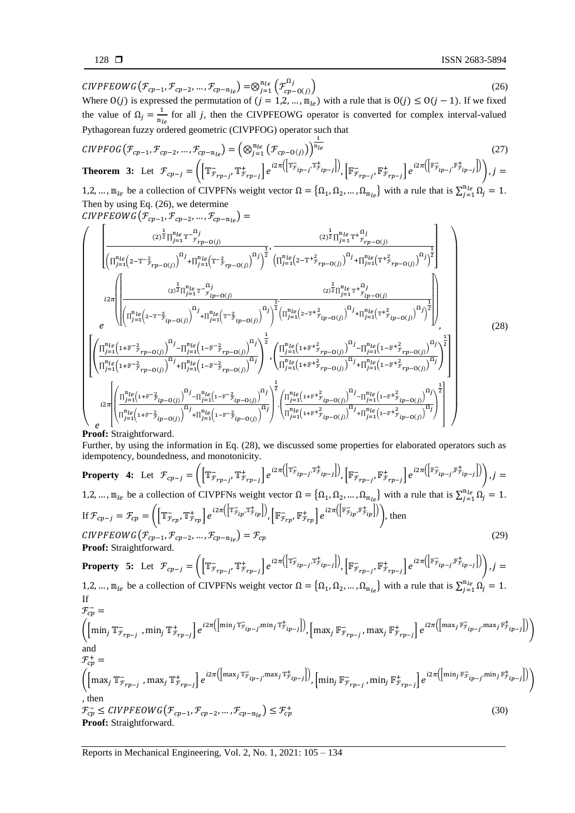$\textit{CIVPFEOWG}(\mathcal{F}_{cp-1}, \mathcal{F}_{cp-2}, ..., \mathcal{F}_{cp-m_{le}}) = \otimes_{j=1}^{m_{le}} \left( \mathcal{F}_{cp-O(j)}^{^{11j}} \right)$  $\begin{pmatrix} \Omega_j \\ \Gamma_{n-1}(i) \end{pmatrix}$  (26) Where  $O(j)$  is expressed the permutation of  $(j = 1, 2, ..., m_{le})$  with a rule that is  $O(j) \le O(j - 1)$ . If we fixed

the value of  $\Omega_j = \frac{1}{m_i}$  $\frac{1}{m_{le}}$  for all *j*, then the CIVPFEOWG operator is converted for complex interval-valued Pythagorean fuzzy ordered geometric (CIVPFOG) operator such that

$$
CIVPFOG(\mathcal{F}_{cp-1}, \mathcal{F}_{cp-2}, \dots, \mathcal{F}_{cp-m_{le}}) = \left(\bigotimes_{j=1}^{m_{le}} (\mathcal{F}_{cp-O(j)})\right)^{\frac{1}{m_{le}}}
$$
(27)  
**Theorem 3:** Let  $\mathcal{F}_{cp-j} = \left(\left[\mathbb{T}^{-}_{\mathcal{F}_{rp-j}}, \mathbb{T}^{+}_{\mathcal{F}_{rp-j}}\right] e^{i2\pi \left(\left[\mathbb{T}^{-}_{\mathcal{F}_{ip-j}}, \mathbb{T}^{+}_{\mathcal{F}_{ip-j}}\right]\right)}, \left[\mathbb{F}^{-}_{\mathcal{F}_{rp-j}}, \mathbb{F}^{+}_{\mathcal{F}_{rp-j}}\right] e^{i2\pi \left(\left[\mathbb{F}^{-}_{\mathcal{F}_{ip-j}}, \mathbb{F}^{+}_{\mathcal{F}_{ip-j}}\right]\right)}\right), j = 10$ 

1,2, ...,  $m_{le}$  be a collection of CIVPFNs weight vector  $\Omega = {\Omega_1, \Omega_2, ..., \Omega_{m_{le}}}\$  with a rule that is  $\sum_{j=1}^{m_{le}} \Omega_j = 1$ . Then by using Eq. (26), we determine

$$
CIVPFEOWG(\mathcal{F}_{cp-1}, \mathcal{F}_{cp-2}, ..., \mathcal{F}_{cp-m_{le}}) =
$$
\n
$$
\left(\prod_{\substack{n_{le}(2^{12}\prod_{j=1}^{m_{le}}r^{-\Omega_{j}}\\(2)^{\frac{1}{2}}\prod_{j=1}^{m_{le}}(r^{-\frac{2}{r}}r_{p-0(j)})}}^{(2)^{\frac{1}{2}}\prod_{j=1}^{m_{le}}(r^{-\frac{2}{r}}r_{p-0(j)})}^{(3)}\right)^{\frac{1}{2}}, \frac{(2)^{\frac{1}{2}}\prod_{j=1}^{m_{le}}r^{+\Omega_{j}}r_{p-0(j)}}{(1)^{\frac{1}{2}}\prod_{j=1}^{m_{le}}(r^{+\frac{2}{r}}r_{p-0(j)})}^{(3)}\right)^{\frac{1}{2}},
$$
\n
$$
12\pi\left(\prod_{\substack{n_{le}(2^{12}\prod_{j=1}^{m_{le}}r^{-\Omega_{j}}\\(2)^{\frac{1}{2}}\prod_{j=1}^{m_{le}}r^{-\Omega_{j}}\\(2)^{\frac{1}{2}}\prod_{j=1}^{m_{le}}(2-r^{-\frac{2}{r}}r_{p-0(j)})}^{(3)}\right)^{\frac{1}{2}}, \frac{(2)^{\frac{1}{2}}\prod_{j=1}^{m_{le}}(r^{+\frac{2}{r}}r_{p-0(j)})}{(2)^{\frac{1}{2}}\prod_{j=1}^{m_{le}}(r^{+\frac{2}{r}}r_{p-0(j)})}^{(3)}\right)^{\frac{1}{2}},
$$
\n
$$
\left(\prod_{\substack{n_{le}(1+\mathbb{F}^{-\frac{2}{r}}r_{p-0(j)})\\(1+\mathbb{F}^{-\frac{2}{r}}r_{p-0(j)})}^{(3)}\right)^{\frac{1}{2}}\left(\prod_{\substack{n_{le}(1+\mathbb{F}^{-\frac{2}{r}}r_{p-0(j)})\\(1+\mathbb{F}^{-\frac{2}{r}}r_{p-0(j)})}^{(3)}\right)^{\frac{1}{2}}, \frac{(28)}{\prod_{j=1}^{m_{le}(1+\mathbb{F}^{+\frac{2}{r}}r_{p-0(j)})}^{(3)}\right)^{\frac{1}{2}},
$$
\n
$$
\left(\prod_{\substack{n_{le}(1+\mathbb{F}^{-\frac{2}{r}}r_{p-0(j)})\\(1
$$

## **Proof:** Straightforward.

Further, by using the information in Eq. (28), we discussed some properties for elaborated operators such as idempotency, boundedness, and monotonicity.

**Property 4:** Let 
$$
\mathcal{F}_{cp-j} = \left( \left[ \mathbb{I}_{\mathcal{F}_{rp-j}}, \mathbb{I}_{\mathcal{F}_{rp-j}}^+ \right] e^{i2\pi \left( \left[ \mathbb{I}_{\mathcal{F}_{ip-j}}, \mathbb{I}_{\mathcal{F}_{ip-j}}^+ \right] \right)}, \left[ \mathbb{F}_{\mathcal{F}_{rp-j}}, \mathbb{F}_{\mathcal{F}_{rp-j}}^+ \right] e^{i2\pi \left( \left[ \mathbb{I}_{\mathcal{F}_{ip-j}}, \mathbb{I}_{\mathcal{F}_{ip-j}}^+ \right] \right)} \right), j = 1, 2, ..., m_{le}
$$
 be a collection of CIVPFNs weight vector  $\Omega = \{\Omega_1, \Omega_2, ..., \Omega_{n_{le}}\}$  with a rule that is  $\sum_{j=1}^{n_{le}} \Omega_j = 1$ .  
\nIf  $\mathcal{F}_{cp-j} = \mathcal{F}_{cp} = \left( \left[ \mathbb{I}_{\mathcal{F}_{rp}}, \mathbb{I}_{\mathcal{F}_{rp}}^+ \right] e^{i2\pi \left( \left[ \mathbb{I}_{\mathcal{F}_{ip}}, \mathbb{I}_{\mathcal{F}_{ip}}^+ \right] \right)} \right), \left[ \mathbb{F}_{\mathcal{F}_{rp}}, \mathbb{F}_{\mathcal{F}_{rp}}^+ \right] e^{i2\pi \left( \left[ \mathbb{I}_{\mathcal{F}_{ip}, \mathcal{F}_{\mathcal{F}_{ip}}}^+ \right] \right)} \right), then$   
\n
$$
\text{CIVPEEOWG}(\mathcal{F}_{cp-1}, \mathcal{F}_{cp-2}, ..., \mathcal{F}_{cp-n_{le}}) = \mathcal{F}_{cp}
$$
\n(29)  
\n**Proof:** Straightforward.  
\n**Property 5:** Let  $\mathcal{F}_{cp-j} = \left( \left[ \mathbb{I}_{\mathcal{F}_{rp-j}}, \mathbb{I}_{\mathcal{F}_{rp-j}}^+ \right] e^{i2\pi \left( \left[ \mathbb{I}_{\mathcal{F}_{ip-j}}, \mathbb{I}_{\mathcal{F}_{ip-j}}^+ \right] \right)}, \left[ \mathbb{I}_{\mathcal{F}_{\mathcal{F}_{rp-j}}, \mathbb{I}_{\mathcal{F}_{rp-j}}^+ \right] e^{i2\pi \left( \left[ \mathbb{I}_{\mathcal{F}_{ip-j}}, \mathbb{I}_{\mathcal$ 

Reports in Mechanical Engineering*,* Vol. 2, No. 1, 2021: 105 – 134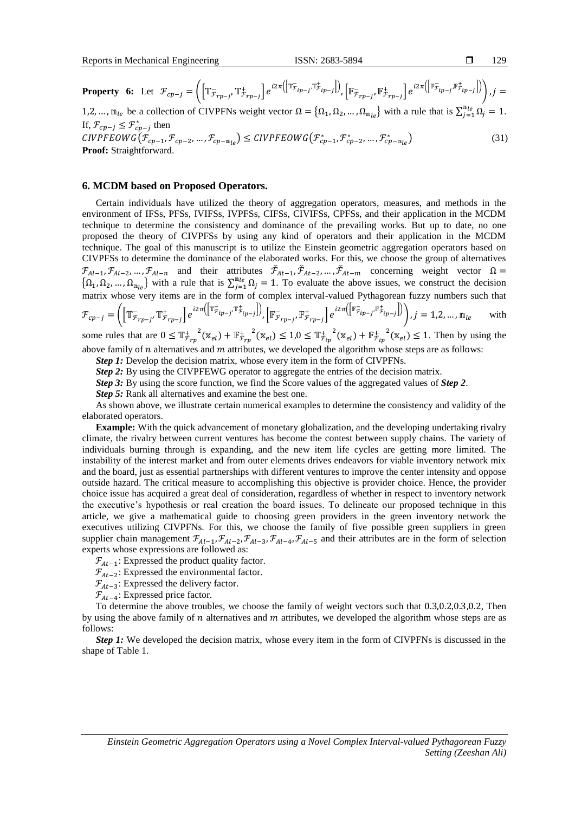129

**Property 6:** Let 
$$
\mathcal{F}_{cp-j} = \left( \left[ \mathbb{T}^{-}_{\mathcal{F}_{rp-j}}, \mathbb{T}^{+}_{\mathcal{F}_{rp-j}} \right] e^{i2\pi \left( \left[ \mathbb{T}^{-}_{\mathcal{F}_{ip-j}}, \mathbb{F}^{+}_{\mathcal{F}_{rp-j}} \right] \right)}, \left[ \mathbb{F}^{-}_{\mathcal{F}_{rp-j}}, \mathbb{F}^{+}_{\mathcal{F}_{rp-j}} \right] e^{i2\pi \left( \left[ \mathbb{F}^{-}_{\mathcal{F}_{ip-j}}, \mathbb{F}^{+}_{\mathcal{F}_{ip-j}} \right] \right)} \right), j = 1, 2, ..., m_{le}
$$
 be a collection of CIVPFNs weight vector  $\Omega = \{\Omega_1, \Omega_2, ..., \Omega_{m_{le}}\}$  with a rule that is  $\sum_{j=1}^{m_{le}} \Omega_j = 1$ .  
If,  $\mathcal{F}_{cp-j} \leq \mathcal{F}^{*}_{cp-j}$  then  
*CIVPFEOWG* ( $\mathcal{F}_{cp-1}, \mathcal{F}_{cp-2}, ..., \mathcal{F}_{cp-m_{le}} \right) \le CIVPFEOWG ( $\mathcal{F}^{*}_{cp-1}, \mathcal{F}^{*}_{cp-2}, ..., \mathcal{F}^{*}_{cp-m_{le}})$  (31)  
**Proof:** Straightforward.$ 

#### **6. MCDM based on Proposed Operators.**

Certain individuals have utilized the theory of aggregation operators, measures, and methods in the environment of IFSs, PFSs, IVIFSs, IVPFSs, CIFSs, CIVIFSs, CPFSs, and their application in the MCDM technique to determine the consistency and dominance of the prevailing works. But up to date, no one proposed the theory of CIVPFSs by using any kind of operators and their application in the MCDM technique. The goal of this manuscript is to utilize the Einstein geometric aggregation operators based on CIVPFSs to determine the dominance of the elaborated works. For this, we choose the group of alternatives  $\mathcal{F}_{A l-1}, \mathcal{F}_{A l-2}, ..., \mathcal{F}_{A l-n}$  and their attributes  $\mathcal{F}_{A t-1}, \mathcal{F}_{A t-2}, ..., \mathcal{F}_{A t-m}$  concerning weight vector  $\Omega =$  $\{\Omega_1, \Omega_2, ..., \Omega_{m_{\ell e}}\}$  with a rule that is  $\sum_{j=1}^{m_{\ell e}} \Omega_j = 1$ . To evaluate the above issues, we construct the decision matrix whose very items are in the form of complex interval-valued Pythagorean fuzzy numbers such that

$$
\mathcal{F}_{cp-j} = \left( \left[ \mathbb{T}^-_{\mathcal{F}_{rp-j}}, \mathbb{T}^+_{\mathcal{F}_{rp-j}} \right] e^{i2\pi \left( \left[ \mathbb{T}^-_{\mathcal{F}_{ip-j}}, \mathbb{T}^+_{\mathcal{F}_{ip-j}} \right] \right)}, \left[ \mathbb{F}^-_{\mathcal{F}_{rp-j}}, \mathbb{F}^+_{\mathcal{F}_{rp-j}} \right] e^{i2\pi \left( \left[ \mathbb{F}^-_{\mathcal{F}_{ip-j}}, \mathbb{F}^+_{\mathcal{F}_{ip-j}} \right] \right)} \right), j = 1, 2, \dots, m_{le} \quad \text{with}
$$

some rules that are  $0 \leq T^{+}_{\mathcal{F}_{rp}}(x_{el}) + F^{+}_{\mathcal{F}_{rp}}(x_{el}) \leq 1.0 \leq T^{+}_{\mathcal{F}_{ip}}(x_{el}) + F^{+}_{\mathcal{F}_{ip}}(x_{el}) \leq 1$ . Then by using the above family of  $n$  alternatives and  $m$  attributes, we developed the algorithm whose steps are as follows:

*Step 1:* Develop the decision matrix, whose every item in the form of CIVPFNs.

*Step 2:* By using the CIVPFEWG operator to aggregate the entries of the decision matrix.

*Step 3:* By using the score function, we find the Score values of the aggregated values of *Step 2*.

*Step 5:* Rank all alternatives and examine the best one.

As shown above, we illustrate certain numerical examples to determine the consistency and validity of the elaborated operators.

**Example:** With the quick advancement of monetary globalization, and the developing undertaking rivalry climate, the rivalry between current ventures has become the contest between supply chains. The variety of individuals burning through is expanding, and the new item life cycles are getting more limited. The instability of the interest market and from outer elements drives endeavors for viable inventory network mix and the board, just as essential partnerships with different ventures to improve the center intensity and oppose outside hazard. The critical measure to accomplishing this objective is provider choice. Hence, the provider choice issue has acquired a great deal of consideration, regardless of whether in respect to inventory network the executive's hypothesis or real creation the board issues. To delineate our proposed technique in this article, we give a mathematical guide to choosing green providers in the green inventory network the executives utilizing CIVPFNs. For this, we choose the family of five possible green suppliers in green supplier chain management  $\mathcal{F}_{A l-1}$ ,  $\mathcal{F}_{A l-2}$ ,  $\mathcal{F}_{A l-3}$ ,  $\mathcal{F}_{A l-4}$ ,  $\mathcal{F}_{A l-5}$  and their attributes are in the form of selection experts whose expressions are followed as:

 $\mathcal{F}_{At-1}$ : Expressed the product quality factor.

 $\mathcal{F}_{At-2}$ : Expressed the environmental factor.

 $\mathcal{F}_{At-3}$ : Expressed the delivery factor.

 $\mathcal{F}_{At-4}$ : Expressed price factor.

To determine the above troubles, we choose the family of weight vectors such that 0.3,0.2,0.3,0.2, Then by using the above family of  $n$  alternatives and  $m$  attributes, we developed the algorithm whose steps are as follows:

*Step 1:* We developed the decision matrix, whose every item in the form of CIVPFNs is discussed in the shape of Table 1.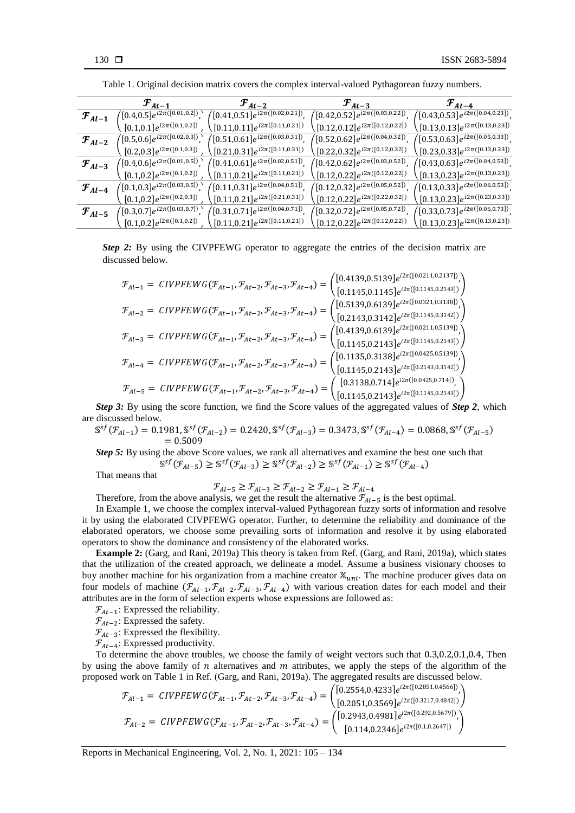|                      | $\mathcal{F}_{At-1}$                  | $\mathcal{F}_{At-2}$                            | $\mathcal{F}_{At-3}$                     | $\mathcal{F}_{At-4}$                    |
|----------------------|---------------------------------------|-------------------------------------------------|------------------------------------------|-----------------------------------------|
| $\mathcal{F}_{Al-1}$ | $([0.4, 0.5]e^{i2\pi([0.01, 0.2])},$  | $([0.41, 0.51]e^{i2\pi([0.02, 0.21])},$         | $([0.42, 0.52]e^{i2\pi([0.03, 0.22])},$  | $([0.43, 0.53]e^{i2\pi([0.04, 0.23])},$ |
|                      | $[0.1, 0.1]e^{i2\pi([0.1, 0.2])}$     | $[0.11, 0.11]e^{i2\pi([0.11, 0.21])}$           | $[0.12, 0.12]e^{i2\pi([0.12, 0.22])}$    | $[0.13, 0.13]e^{i2\pi([0.13, 0.23])}$   |
| $\mathcal{F}_{Al-2}$ | $([0.5, 0.6]e^{i2\pi([0.02, 0.3])},$  | $^{\prime}[0.51, 0.61]e^{i2\pi([0.03, 0.31])},$ | $([0.52, 0.62]e^{i2\pi([0.04, 0.32])},$  | $([0.53, 0.63]e^{i2\pi([0.05, 0.33])},$ |
|                      | $[0.2, 0.3]e^{i2\pi([0.1, 0.3])}$     | $[0.21, 0.31]e^{i2\pi([0.11, 0.31])}$           | $[0.22, 0.32]e^{i2\pi([0.12, 0.32])}$    | $[0.23, 0.33]e^{i2\pi([0.13, 0.33])}$   |
| ${\cal F}_{Al-3}$    | $([0.4, 0.6]e^{i2\pi([0.01, 0.5])},$  | $([0.41, 0.61]e^{i2\pi([0.02, 0.51])},$         | $([0.42, 0.62]e^{i2\pi([0.03, 0.52])},$  | $([0.43, 0.63]e^{i2\pi([0.04, 0.53])},$ |
|                      | $[0.1, 0.2]e^{i2\pi([0.1, 0.2])}$     | $[0.11, 0.21]e^{i2\pi([0.11, 0.21])}$           | $(0.12, 0.22]e^{i2\pi([0.12, 0.22])}$    | $[0.13, 0.23]e^{i2\pi([0.13, 0.23])}$   |
| $\mathcal{F}_{Al-4}$ | $([0.1, 0.3]e^{i2\pi([0.03, 0.5])}$ . | $([0.11, 0.31]e^{i2\pi([0.04, 0.51])})$ .       | $([0.12, 0.32]e^{i2\pi([0.05, 0.52])}.$  | $([0.13, 0.33]e^{i2\pi([0.06, 0.53])},$ |
|                      | $[0.1, 0.2]e^{i2\pi([0.2, 0.3])}$     | $[0.11, 0.21]e^{i2\pi([0.21, 0.31])}$           | $(0.12, 0.22]e^{i2\pi([0.22, 0.32])}$    | $[0.13, 0.23]e^{i2\pi([0.23, 0.33])}$   |
| $\mathcal{F}_{Al-5}$ | $([0.3, 0.7]e^{i2\pi([0.03, 0.7])})$  | $([0.31, 0.71]e^{i2\pi([0.04, 0.71])}.$         | $([0.32, 0.72]e^{i2\pi([0.05, 0.72])}$ . | $([0.33, 0.73]e^{i2\pi([0.06, 0.73])}.$ |
|                      | $[0.1, 0.2]e^{i2\pi([0.1, 0.2])}$     | $[0.11,\!0.21]e^{i2\pi([0.11,0.21])}$           | $[0.12, 0.22]e^{i2\pi([0.12, 0.22])}$    | $[0.13, 0.23]e^{i2\pi([0.13, 0.23])}$   |

Table 1. Original decision matrix covers the complex interval-valued Pythagorean fuzzy numbers.

*Step 2:* By using the CIVPFEWG operator to aggregate the entries of the decision matrix are discussed below.

$$
\mathcal{F}_{Al-1} = \text{CIVPFEWG}(\mathcal{F}_{At-1}, \mathcal{F}_{At-2}, \mathcal{F}_{At-3}, \mathcal{F}_{At-4}) = \begin{pmatrix} [0.4139, 0.5139] e^{i2\pi([0.0211, 0.2137])} \\ [0.1145, 0.1145] e^{i2\pi([0.1145, 0.2143])} \end{pmatrix}
$$
\n
$$
\mathcal{F}_{Al-2} = \text{CIVPFEWG}(\mathcal{F}_{At-1}, \mathcal{F}_{At-2}, \mathcal{F}_{At-3}, \mathcal{F}_{At-4}) = \begin{pmatrix} [0.5139, 0.6139] e^{i2\pi([0.0321, 0.3138])} \\ [0.2143, 0.3142] e^{i2\pi([0.0145, 0.3142])} \end{pmatrix}
$$
\n
$$
\mathcal{F}_{Al-3} = \text{CIVPFEWG}(\mathcal{F}_{At-1}, \mathcal{F}_{At-2}, \mathcal{F}_{At-3}, \mathcal{F}_{At-4}) = \begin{pmatrix} [0.4139, 0.6139] e^{i2\pi([0.0145, 0.3142])} \\ [0.1145, 0.2143] e^{i2\pi([0.0211, 0.5139])} \\ [0.1145, 0.2143] e^{i2\pi([0.0425, 0.5139])} \end{pmatrix}
$$
\n
$$
\mathcal{F}_{Al-4} = \text{CIVPFEWG}(\mathcal{F}_{At-1}, \mathcal{F}_{At-2}, \mathcal{F}_{At-3}, \mathcal{F}_{At-4}) = \begin{pmatrix} [0.1135, 0.3138] e^{i2\pi([0.0425, 0.5139])} \\ [0.1145, 0.2143] e^{i2\pi([0.0425, 0.514])} \end{pmatrix}
$$
\n
$$
\mathcal{F}_{Al-5} = \text{CIVPFEWG}(\mathcal{F}_{At-1}, \mathcal{F}_{At-2}, \mathcal{F}_{At-3}, \mathcal{F}_{At-4}) = \begin{pmatrix} [0.3138, 0.714
$$

*Step 3:* By using the score function, we find the Score values of the aggregated values of *Step 2*, which are discussed below.

$$
\mathbb{S}^{sf}(\mathcal{F}_{Al-1}) = 0.1981, \mathbb{S}^{sf}(\mathcal{F}_{Al-2}) = 0.2420, \mathbb{S}^{sf}(\mathcal{F}_{Al-3}) = 0.3473, \mathbb{S}^{sf}(\mathcal{F}_{Al-4}) = 0.0868, \mathbb{S}^{sf}(\mathcal{F}_{Al-5}) = 0.5009
$$

*Step 5:* By using the above Score values, we rank all alternatives and examine the best one such that  $\mathbb{S}^{sf}(\mathcal{F}_{Al-5}) \geq \mathbb{S}^{sf}(\mathcal{F}_{Al-3}) \geq \mathbb{S}^{sf}(\mathcal{F}_{Al-2}) \geq \mathbb{S}^{sf}(\mathcal{F}_{Al-1}) \geq \mathbb{S}^{sf}(\mathcal{F}_{Al-4})$ 

That means that

$$
\mathcal{F}_{Al-5}\geq\mathcal{F}_{Al-3}\geq\mathcal{F}_{Al-2}\geq\mathcal{F}_{Al-1}\geq\mathcal{F}_{Al-4}
$$

Therefore, from the above analysis, we get the result the alternative  $\mathcal{F}_{Al-5}$  is the best optimal.

In Example 1, we choose the complex interval-valued Pythagorean fuzzy sorts of information and resolve it by using the elaborated CIVPFEWG operator. Further, to determine the reliability and dominance of the elaborated operators, we choose some prevailing sorts of information and resolve it by using elaborated operators to show the dominance and consistency of the elaborated works.

**Example 2:** (Garg, and Rani, 2019a) This theory is taken from Ref. (Garg, and Rani, 2019a), which states that the utilization of the created approach, we delineate a model. Assume a business visionary chooses to buy another machine for his organization from a machine creator  $\mathbb{X}_{uni}$ . The machine producer gives data on four models of machine  $(\mathcal{F}_{Al-1}, \mathcal{F}_{Al-2}, \mathcal{F}_{Al-3}, \mathcal{F}_{Al-4})$  with various creation dates for each model and their attributes are in the form of selection experts whose expressions are followed as:

 $\mathcal{F}_{At-1}$ : Expressed the reliability.

 $\mathcal{F}_{At-2}$ : Expressed the safety.

 $\mathcal{F}_{At-3}$ : Expressed the flexibility.

 $\mathcal{F}_{At-4}$ : Expressed productivity.

To determine the above troubles, we choose the family of weight vectors such that 0.3,0.2,0.1,0.4, Then by using the above family of  $n$  alternatives and  $m$  attributes, we apply the steps of the algorithm of the proposed work on Table 1 in Ref. (Garg, and Rani, 2019a). The aggregated results are discussed below.

$$
\mathcal{F}_{Al-1} = \text{CIVPFEWG}(\mathcal{F}_{At-1}, \mathcal{F}_{At-2}, \mathcal{F}_{At-3}, \mathcal{F}_{At-4}) = \begin{pmatrix} [0.2554, 0.4233] e^{i2\pi([0.2851, 0.4566])}, \\ [0.2051, 0.3569] e^{i2\pi([0.3217, 0.4842])} \end{pmatrix}
$$

$$
\mathcal{F}_{Al-2} = \text{CIVPFEWG}(\mathcal{F}_{At-1}, \mathcal{F}_{At-2}, \mathcal{F}_{At-3}, \mathcal{F}_{At-4}) = \begin{pmatrix} [0.2943, 0.4981] e^{i2\pi([0.292, 0.5679])}, \\ [0.114, 0.2346] e^{i2\pi([0.1, 0.2647])} \end{pmatrix}
$$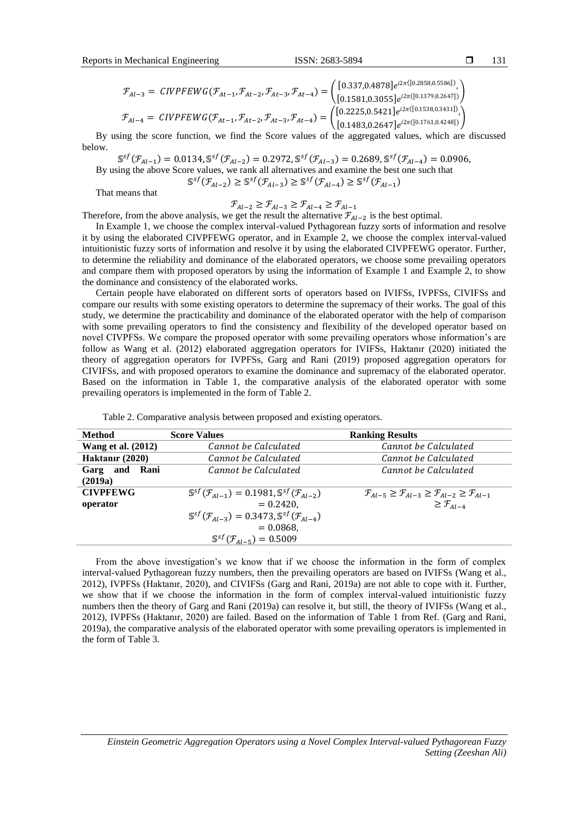$$
\mathcal{F}_{Al-3} = \text{CIVPFEWG}(\mathcal{F}_{At-1}, \mathcal{F}_{At-2}, \mathcal{F}_{At-3}, \mathcal{F}_{At-4}) = \begin{pmatrix} [0.337, 0.4878]e^{i2\pi([0.2858, 0.5586])}, \\ [0.1581, 0.3055]e^{i2\pi([0.1379, 0.2647])} \end{pmatrix}
$$

$$
\mathcal{F}_{Al-4} = \text{CIVPFEWG}(\mathcal{F}_{At-1}, \mathcal{F}_{At-2}, \mathcal{F}_{At-3}, \mathcal{F}_{At-4}) = \begin{pmatrix} [0.2225, 0.5421]e^{i2\pi([0.1538, 0.3431])}, \\ [0.1483, 0.2647]e^{i2\pi([0.1761, 0.4248])} \end{pmatrix}
$$

By using the score function, we find the Score values of the aggregated values, which are discussed below.

 $\mathbb{S}^{sf}(\mathcal{F}_{Al-1}) = 0.0134$ ,  $\mathbb{S}^{sf}(\mathcal{F}_{Al-2}) = 0.2972$ ,  $\mathbb{S}^{sf}(\mathcal{F}_{Al-3}) = 0.2689$ ,  $\mathbb{S}^{sf}(\mathcal{F}_{Al-4}) = 0.0906$ , By using the above Score values, we rank all alternatives and examine the best one such that  $\mathbb{S}^{sf}(\mathcal{F}_{Al-2}) \geq \mathbb{S}^{sf}(\mathcal{F}_{Al-3}) \geq \mathbb{S}^{sf}(\mathcal{F}_{Al-4}) \geq \mathbb{S}^{sf}(\mathcal{F}_{Al-1})$ 

That means that

$$
\mathcal{F}_{Al-2}\geq\mathcal{F}_{Al-3}\geq\mathcal{F}_{Al-4}\geq\mathcal{F}_{Al-1}
$$

Therefore, from the above analysis, we get the result the alternative  $\mathcal{F}_{Al-2}$  is the best optimal.

In Example 1, we choose the complex interval-valued Pythagorean fuzzy sorts of information and resolve it by using the elaborated CIVPFEWG operator, and in Example 2, we choose the complex interval-valued intuitionistic fuzzy sorts of information and resolve it by using the elaborated CIVPFEWG operator. Further, to determine the reliability and dominance of the elaborated operators, we choose some prevailing operators and compare them with proposed operators by using the information of Example 1 and Example 2, to show the dominance and consistency of the elaborated works.

Certain people have elaborated on different sorts of operators based on IVIFSs, IVPFSs, CIVIFSs and compare our results with some existing operators to determine the supremacy of their works. The goal of this study, we determine the practicability and dominance of the elaborated operator with the help of comparison with some prevailing operators to find the consistency and flexibility of the developed operator based on novel CIVPFSs. We compare the proposed operator with some prevailing operators whose information's are follow as Wang et al. (2012) elaborated aggregation operators for IVIFSs, Haktanır (2020) initiated the theory of aggregation operators for IVPFSs, Garg and Rani (2019) proposed aggregation operators for CIVIFSs, and with proposed operators to examine the dominance and supremacy of the elaborated operator. Based on the information in Table 1, the comparative analysis of the elaborated operator with some prevailing operators is implemented in the form of Table 2.

| <b>Method</b>             | <b>Score Values</b>                                                                 | <b>Ranking Results</b>                                                                                   |
|---------------------------|-------------------------------------------------------------------------------------|----------------------------------------------------------------------------------------------------------|
| <b>Wang et al.</b> (2012) | Cannot be Calculated                                                                | Cannot be Calculated                                                                                     |
| Haktanır (2020)           | Cannot be Calculated                                                                | Cannot be Calculated                                                                                     |
| Garg and Rani             | Cannot be Calculated                                                                | Cannot be Calculated                                                                                     |
| (2019a)                   |                                                                                     |                                                                                                          |
| <b>CIVPFEWG</b>           | $\mathbb{S}^{sf}(\mathcal{F}_{4l-1}) = 0.1981, \mathbb{S}^{sf}(\mathcal{F}_{4l-2})$ | $\mathcal{F}_{A I - 5} \geq \mathcal{F}_{A I - 3} \geq \mathcal{F}_{A I - 2} \geq \mathcal{F}_{A I - 1}$ |
| operator                  | $= 0.2420.$                                                                         | $\geq \mathcal{F}_{Al-4}$                                                                                |
|                           | $\mathbb{S}^{sf}(\mathcal{F}_{A1-3}) = 0.3473, \mathbb{S}^{sf}(\mathcal{F}_{A1-4})$ |                                                                                                          |
|                           | $= 0.0868.$                                                                         |                                                                                                          |
|                           | $\mathbb{S}^{sf}(\mathcal{F}_{4l-5}) = 0.5009$                                      |                                                                                                          |

Table 2. Comparative analysis between proposed and existing operators.

From the above investigation's we know that if we choose the information in the form of complex interval-valued Pythagorean fuzzy numbers, then the prevailing operators are based on IVIFSs (Wang et al., 2012), IVPFSs (Haktanır, 2020), and CIVIFSs (Garg and Rani, 2019a) are not able to cope with it. Further, we show that if we choose the information in the form of complex interval-valued intuitionistic fuzzy numbers then the theory of Garg and Rani (2019a) can resolve it, but still, the theory of IVIFSs (Wang et al., 2012), IVPFSs (Haktanır, 2020) are failed. Based on the information of Table 1 from Ref. (Garg and Rani, 2019a), the comparative analysis of the elaborated operator with some prevailing operators is implemented in the form of Table 3.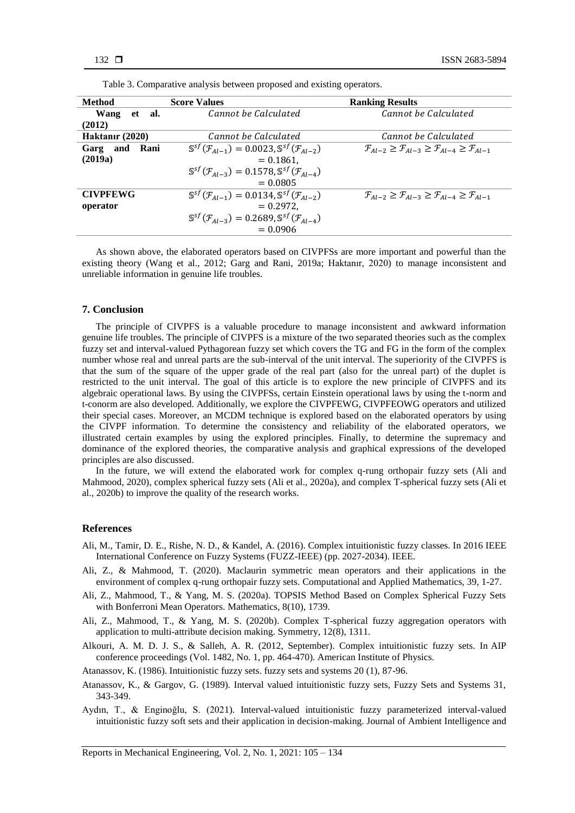| <b>Method</b>    | <b>Score Values</b>                                                                 | <b>Ranking Results</b>                                                                           |
|------------------|-------------------------------------------------------------------------------------|--------------------------------------------------------------------------------------------------|
| Wang<br>et al.   | Cannot be Calculated                                                                | Cannot be Calculated                                                                             |
| (2012)           |                                                                                     |                                                                                                  |
| Haktanır (2020)  | Cannot be Calculated                                                                | Cannot be Calculated                                                                             |
| Rani<br>Garg and | $\mathbb{S}^{sf}(\mathcal{F}_{Al-1}) = 0.0023, \mathbb{S}^{sf}(\mathcal{F}_{Al-2})$ | $\mathcal{F}_{A I-2} \geq \mathcal{F}_{A I-3} \geq \mathcal{F}_{A I-4} \geq \mathcal{F}_{A I-1}$ |
| (2019a)          | $= 0.1861,$                                                                         |                                                                                                  |
|                  | $\mathbb{S}^{sf}(\mathcal{F}_{A1-3}) = 0.1578, \mathbb{S}^{sf}(\mathcal{F}_{A1-4})$ |                                                                                                  |
|                  | $= 0.0805$                                                                          |                                                                                                  |
| <b>CIVPFEWG</b>  | $\mathbb{S}^{sf}(\mathcal{F}_{Al-1}) = 0.0134, \mathbb{S}^{sf}(\mathcal{F}_{Al-2})$ | $\mathcal{F}_{4l-2} \geq \mathcal{F}_{4l-3} \geq \mathcal{F}_{4l-4} \geq \mathcal{F}_{4l-1}$     |
| operator         | $= 0.2972.$                                                                         |                                                                                                  |
|                  | $\mathbb{S}^{sf}(\mathcal{F}_{A1-3}) = 0.2689, \mathbb{S}^{sf}(\mathcal{F}_{A1-4})$ |                                                                                                  |
|                  | $= 0.0906$                                                                          |                                                                                                  |

Table 3. Comparative analysis between proposed and existing operators.

As shown above, the elaborated operators based on CIVPFSs are more important and powerful than the existing theory (Wang et al., 2012; Garg and Rani, 2019a; Haktanır, 2020) to manage inconsistent and unreliable information in genuine life troubles.

#### **7. Conclusion**

The principle of CIVPFS is a valuable procedure to manage inconsistent and awkward information genuine life troubles. The principle of CIVPFS is a mixture of the two separated theories such as the complex fuzzy set and interval-valued Pythagorean fuzzy set which covers the TG and FG in the form of the complex number whose real and unreal parts are the sub-interval of the unit interval. The superiority of the CIVPFS is that the sum of the square of the upper grade of the real part (also for the unreal part) of the duplet is restricted to the unit interval. The goal of this article is to explore the new principle of CIVPFS and its algebraic operational laws. By using the CIVPFSs, certain Einstein operational laws by using the t-norm and t-conorm are also developed. Additionally, we explore the CIVPFEWG, CIVPFEOWG operators and utilized their special cases. Moreover, an MCDM technique is explored based on the elaborated operators by using the CIVPF information. To determine the consistency and reliability of the elaborated operators, we illustrated certain examples by using the explored principles. Finally, to determine the supremacy and dominance of the explored theories, the comparative analysis and graphical expressions of the developed principles are also discussed.

In the future, we will extend the elaborated work for complex q-rung orthopair fuzzy sets (Ali and Mahmood, 2020), complex spherical fuzzy sets (Ali et al., 2020a), and complex T-spherical fuzzy sets (Ali et al., 2020b) to improve the quality of the research works.

#### **References**

- Ali, M., Tamir, D. E., Rishe, N. D., & Kandel, A. (2016). Complex intuitionistic fuzzy classes. In 2016 IEEE International Conference on Fuzzy Systems (FUZZ-IEEE) (pp. 2027-2034). IEEE.
- Ali, Z., & Mahmood, T. (2020). Maclaurin symmetric mean operators and their applications in the environment of complex q-rung orthopair fuzzy sets. Computational and Applied Mathematics, 39, 1-27.
- Ali, Z., Mahmood, T., & Yang, M. S. (2020a). TOPSIS Method Based on Complex Spherical Fuzzy Sets with Bonferroni Mean Operators. Mathematics, 8(10), 1739.
- Ali, Z., Mahmood, T., & Yang, M. S. (2020b). Complex T-spherical fuzzy aggregation operators with application to multi-attribute decision making. Symmetry, 12(8), 1311.
- Alkouri, A. M. D. J. S., & Salleh, A. R. (2012, September). Complex intuitionistic fuzzy sets. In AIP conference proceedings (Vol. 1482, No. 1, pp. 464-470). American Institute of Physics.
- Atanassov, K. (1986). Intuitionistic fuzzy sets. fuzzy sets and systems 20 (1), 87-96.
- Atanassov, K., & Gargov, G. (1989). Interval valued intuitionistic fuzzy sets, Fuzzy Sets and Systems 31, 343-349.
- Aydın, T., & Enginoğlu, S. (2021). Interval-valued intuitionistic fuzzy parameterized interval-valued intuitionistic fuzzy soft sets and their application in decision-making. Journal of Ambient Intelligence and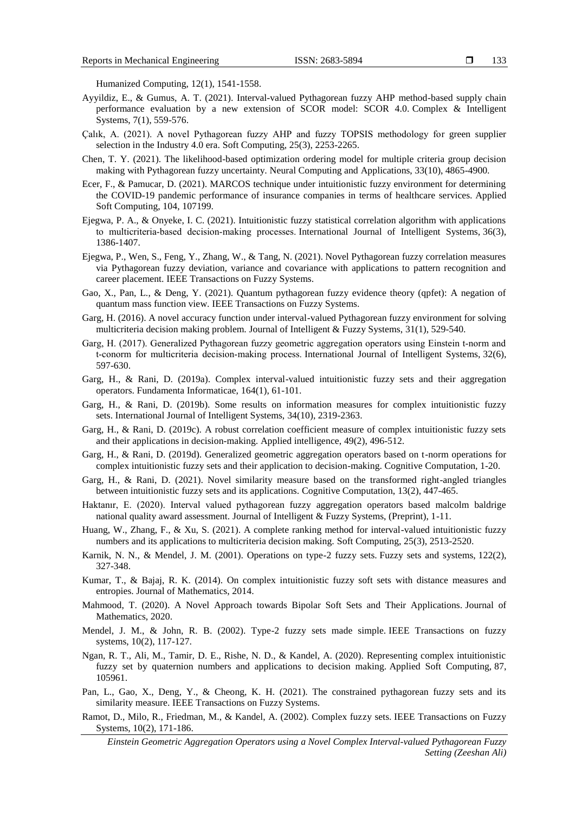Humanized Computing, 12(1), 1541-1558.

- Ayyildiz, E., & Gumus, A. T. (2021). Interval-valued Pythagorean fuzzy AHP method-based supply chain performance evaluation by a new extension of SCOR model: SCOR 4.0. Complex & Intelligent Systems, 7(1), 559-576.
- Çalık, A. (2021). A novel Pythagorean fuzzy AHP and fuzzy TOPSIS methodology for green supplier selection in the Industry 4.0 era. Soft Computing, 25(3), 2253-2265.
- Chen, T. Y. (2021). The likelihood-based optimization ordering model for multiple criteria group decision making with Pythagorean fuzzy uncertainty. Neural Computing and Applications, 33(10), 4865-4900.
- Ecer, F., & Pamucar, D. (2021). MARCOS technique under intuitionistic fuzzy environment for determining the COVID-19 pandemic performance of insurance companies in terms of healthcare services. Applied Soft Computing, 104, 107199.
- Ejegwa, P. A., & Onyeke, I. C. (2021). Intuitionistic fuzzy statistical correlation algorithm with applications to multicriteria‐based decision‐making processes. International Journal of Intelligent Systems, 36(3), 1386-1407.
- Ejegwa, P., Wen, S., Feng, Y., Zhang, W., & Tang, N. (2021). Novel Pythagorean fuzzy correlation measures via Pythagorean fuzzy deviation, variance and covariance with applications to pattern recognition and career placement. IEEE Transactions on Fuzzy Systems.
- Gao, X., Pan, L., & Deng, Y. (2021). Quantum pythagorean fuzzy evidence theory (qpfet): A negation of quantum mass function view. IEEE Transactions on Fuzzy Systems.
- Garg, H. (2016). A novel accuracy function under interval-valued Pythagorean fuzzy environment for solving multicriteria decision making problem. Journal of Intelligent & Fuzzy Systems, 31(1), 529-540.
- Garg, H. (2017). Generalized Pythagorean fuzzy geometric aggregation operators using Einstein t‐norm and t-conorm for multicriteria decision-making process. International Journal of Intelligent Systems, 32(6), 597-630.
- Garg, H., & Rani, D. (2019a). Complex interval-valued intuitionistic fuzzy sets and their aggregation operators. Fundamenta Informaticae, 164(1), 61-101.
- Garg, H., & Rani, D. (2019b). Some results on information measures for complex intuitionistic fuzzy sets. International Journal of Intelligent Systems, 34(10), 2319-2363.
- Garg, H., & Rani, D. (2019c). A robust correlation coefficient measure of complex intuitionistic fuzzy sets and their applications in decision-making. Applied intelligence, 49(2), 496-512.
- Garg, H., & Rani, D. (2019d). Generalized geometric aggregation operators based on t-norm operations for complex intuitionistic fuzzy sets and their application to decision-making. Cognitive Computation, 1-20.
- Garg, H., & Rani, D. (2021). Novel similarity measure based on the transformed right-angled triangles between intuitionistic fuzzy sets and its applications. Cognitive Computation, 13(2), 447-465.
- Haktanır, E. (2020). Interval valued pythagorean fuzzy aggregation operators based malcolm baldrige national quality award assessment. Journal of Intelligent & Fuzzy Systems, (Preprint), 1-11.
- Huang, W., Zhang, F., & Xu, S. (2021). A complete ranking method for interval-valued intuitionistic fuzzy numbers and its applications to multicriteria decision making. Soft Computing, 25(3), 2513-2520.
- Karnik, N. N., & Mendel, J. M. (2001). Operations on type-2 fuzzy sets. Fuzzy sets and systems, 122(2), 327-348.
- Kumar, T., & Bajaj, R. K. (2014). On complex intuitionistic fuzzy soft sets with distance measures and entropies. Journal of Mathematics, 2014.
- Mahmood, T. (2020). A Novel Approach towards Bipolar Soft Sets and Their Applications. Journal of Mathematics, 2020.
- Mendel, J. M., & John, R. B. (2002). Type-2 fuzzy sets made simple. IEEE Transactions on fuzzy systems, 10(2), 117-127.
- Ngan, R. T., Ali, M., Tamir, D. E., Rishe, N. D., & Kandel, A. (2020). Representing complex intuitionistic fuzzy set by quaternion numbers and applications to decision making. Applied Soft Computing, 87, 105961.
- Pan, L., Gao, X., Deng, Y., & Cheong, K. H. (2021). The constrained pythagorean fuzzy sets and its similarity measure. IEEE Transactions on Fuzzy Systems.
- Ramot, D., Milo, R., Friedman, M., & Kandel, A. (2002). Complex fuzzy sets. IEEE Transactions on Fuzzy Systems, 10(2), 171-186.